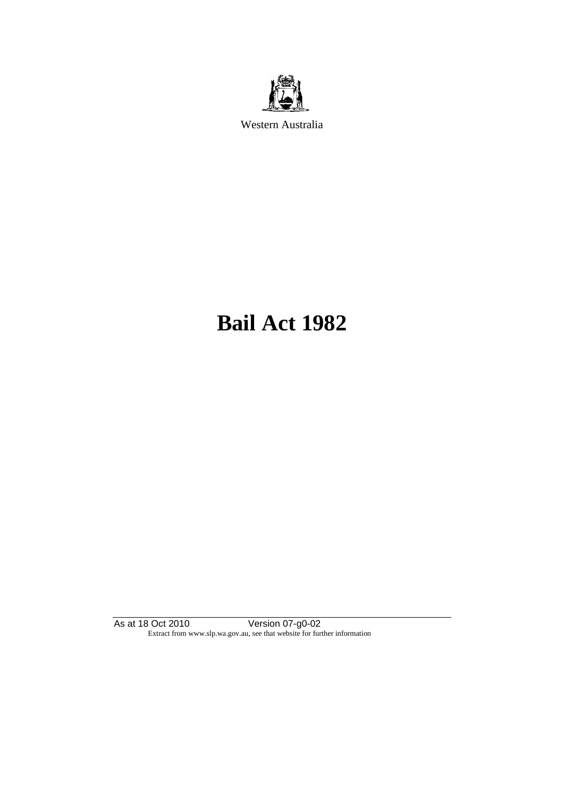

Western Australia

# **Bail Act 1982**

As at 18 Oct 2010 Version 07-g0-02 Extract from www.slp.wa.gov.au, see that website for further information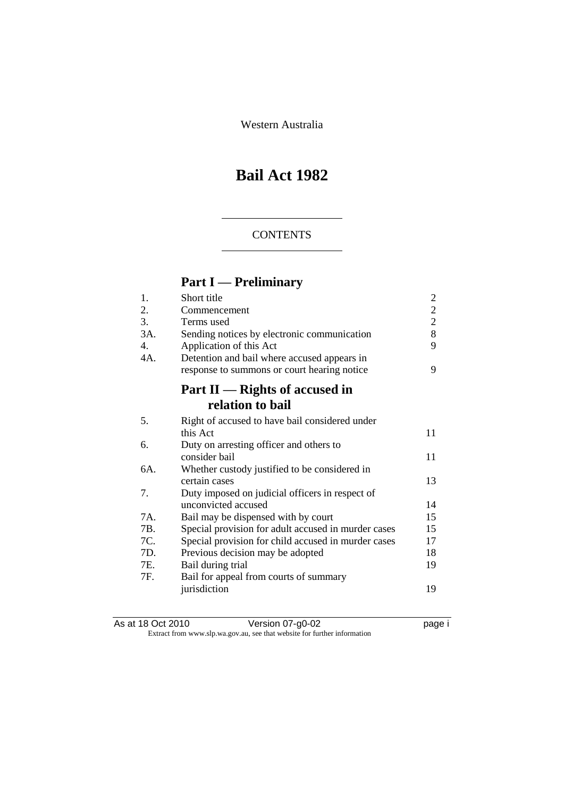Western Australia

## **Bail Act 1982**

### **CONTENTS**

## **Part I — Preliminary**

| 1.  | Short title                                         | $\mathbf{2}$   |
|-----|-----------------------------------------------------|----------------|
| 2.  | Commencement                                        | $\overline{c}$ |
| 3.  | Terms used                                          | $\overline{c}$ |
| 3A. | Sending notices by electronic communication         | 8              |
| 4.  | Application of this Act                             | 9              |
| 4A. | Detention and bail where accused appears in         |                |
|     | response to summons or court hearing notice         | 9              |
|     | Part $II$ — Rights of accused in                    |                |
|     | relation to bail                                    |                |
| 5.  | Right of accused to have bail considered under      |                |
|     | this Act                                            | 11             |
| 6.  | Duty on arresting officer and others to             |                |
|     | consider bail                                       | 11             |
| 6A. | Whether custody justified to be considered in       |                |
|     | certain cases                                       | 13             |
| 7.  | Duty imposed on judicial officers in respect of     |                |
|     | unconvicted accused                                 | 14             |
| 7A. | Bail may be dispensed with by court                 | 15             |
| 7B. | Special provision for adult accused in murder cases | 15             |
| 7C. | Special provision for child accused in murder cases | 17             |
| 7D. | Previous decision may be adopted                    | 18             |
| 7E. | Bail during trial                                   | 19             |
| 7F. | Bail for appeal from courts of summary              |                |
|     | jurisdiction                                        | 19             |
|     |                                                     |                |

| As at 18 Oct 2010 | Version 07-g0-02                                                         | page i |
|-------------------|--------------------------------------------------------------------------|--------|
|                   | Extract from www.slp.wa.gov.au, see that website for further information |        |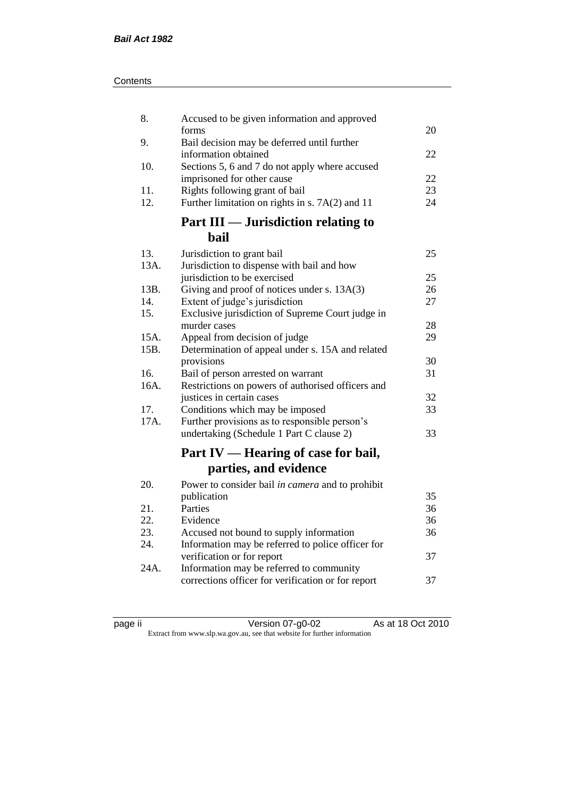| Contents |
|----------|
|----------|

| 8.           | Accused to be given information and approved                                      |    |
|--------------|-----------------------------------------------------------------------------------|----|
|              | forms                                                                             | 20 |
| 9.           | Bail decision may be deferred until further<br>information obtained               | 22 |
| 10.          | Sections 5, 6 and 7 do not apply where accused                                    |    |
|              | imprisoned for other cause                                                        | 22 |
| 11.          | Rights following grant of bail                                                    | 23 |
| 12.          | Further limitation on rights in s. 7A(2) and 11                                   | 24 |
|              | Part III — Jurisdiction relating to                                               |    |
|              | bail                                                                              |    |
| 13.          | Jurisdiction to grant bail                                                        | 25 |
| 13A.         | Jurisdiction to dispense with bail and how                                        |    |
|              | jurisdiction to be exercised                                                      | 25 |
| 13B.         | Giving and proof of notices under s. 13A(3)                                       | 26 |
| 14.          | Extent of judge's jurisdiction                                                    | 27 |
| 15.          | Exclusive jurisdiction of Supreme Court judge in                                  |    |
|              | murder cases                                                                      | 28 |
| 15A.<br>15B. | Appeal from decision of judge<br>Determination of appeal under s. 15A and related | 29 |
|              | provisions                                                                        | 30 |
| 16.          | Bail of person arrested on warrant                                                | 31 |
| 16A.         | Restrictions on powers of authorised officers and                                 |    |
|              | justices in certain cases                                                         | 32 |
| 17.          | Conditions which may be imposed                                                   | 33 |
| 17A.         | Further provisions as to responsible person's                                     |    |
|              | undertaking (Schedule 1 Part C clause 2)                                          | 33 |
|              | Part IV — Hearing of case for bail,                                               |    |
|              | parties, and evidence                                                             |    |
| 20.          | Power to consider bail in camera and to prohibit                                  |    |
|              | publication                                                                       | 35 |
| 21.          | Parties                                                                           | 36 |
| 22.          | Evidence                                                                          | 36 |
| 23.          | Accused not bound to supply information                                           | 36 |
| 24.          | Information may be referred to police officer for                                 |    |
|              | verification or for report                                                        | 37 |
| 24A.         | Information may be referred to community                                          |    |
|              | corrections officer for verification or for report                                | 37 |
|              |                                                                                   |    |

| ıC<br>ı<br>и |  |
|--------------|--|
|              |  |

page ii Version 07-g0-02 As at 18 Oct 2010 Extract from www.slp.wa.gov.au, see that website for further information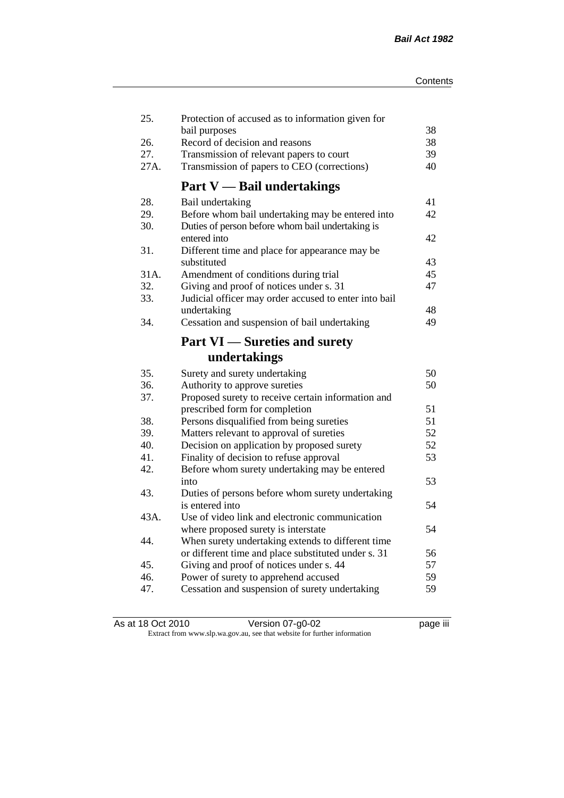| 25.  | Protection of accused as to information given for     |    |
|------|-------------------------------------------------------|----|
|      | bail purposes                                         | 38 |
| 26.  | Record of decision and reasons                        | 38 |
| 27.  | Transmission of relevant papers to court              | 39 |
| 27A. | Transmission of papers to CEO (corrections)           | 40 |
|      | <b>Part V</b> — Bail undertakings                     |    |
| 28.  | Bail undertaking                                      | 41 |
| 29.  | Before whom bail undertaking may be entered into      | 42 |
| 30.  | Duties of person before whom bail undertaking is      |    |
|      | entered into                                          | 42 |
| 31.  | Different time and place for appearance may be        |    |
|      | substituted                                           | 43 |
| 31A. | Amendment of conditions during trial                  | 45 |
| 32.  | Giving and proof of notices under s. 31               | 47 |
| 33.  | Judicial officer may order accused to enter into bail |    |
|      | undertaking                                           | 48 |
| 34.  | Cessation and suspension of bail undertaking          | 49 |
|      | <b>Part VI</b> — Sureties and surety                  |    |
|      | undertakings                                          |    |
| 35.  | Surety and surety undertaking                         | 50 |
| 36.  | Authority to approve sureties                         | 50 |
| 37.  | Proposed surety to receive certain information and    |    |
|      | prescribed form for completion                        | 51 |
| 38.  | Persons disqualified from being sureties              | 51 |
| 39.  | Matters relevant to approval of sureties              | 52 |
| 40.  | Decision on application by proposed surety            | 52 |
| 41.  | Finality of decision to refuse approval               | 53 |
| 42.  | Before whom surety undertaking may be entered         |    |
|      | into                                                  | 53 |
| 43.  | Duties of persons before whom surety undertaking      |    |
|      | is entered into                                       | 54 |
| 43A. | Use of video link and electronic communication        |    |
|      | where proposed surety is interstate                   | 54 |
| 44.  | When surety undertaking extends to different time     |    |
|      | or different time and place substituted under s. 31   | 56 |
| 45.  | Giving and proof of notices under s. 44               | 57 |
| 46.  | Power of surety to apprehend accused                  | 59 |
| 47.  | Cessation and suspension of surety undertaking        | 59 |
|      |                                                       |    |

| As at 18 Oct 2010 | Version 07-g0-02                                                         | <br>page III |
|-------------------|--------------------------------------------------------------------------|--------------|
|                   | Extract from www.slp.wa.gov.au, see that website for further information |              |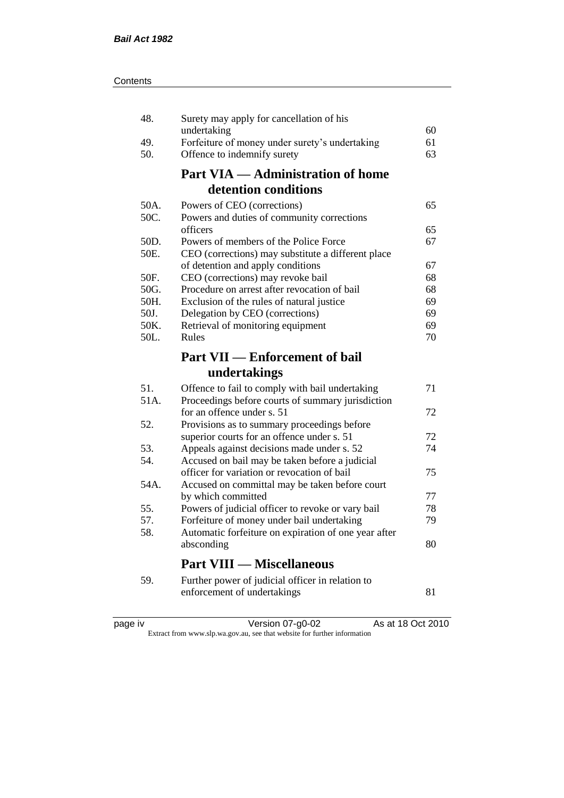| 48.        | Surety may apply for cancellation of his                                        |    |
|------------|---------------------------------------------------------------------------------|----|
|            | undertaking                                                                     | 60 |
| 49.        | Forfeiture of money under surety's undertaking                                  | 61 |
| 50.        | Offence to indemnify surety                                                     | 63 |
|            | <b>Part VIA — Administration of home</b>                                        |    |
|            | detention conditions                                                            |    |
| 50A.       | Powers of CEO (corrections)                                                     | 65 |
| 50C.       | Powers and duties of community corrections                                      |    |
|            | officers                                                                        | 65 |
| 50D.       | Powers of members of the Police Force                                           | 67 |
| 50E.       | CEO (corrections) may substitute a different place                              |    |
|            | of detention and apply conditions                                               | 67 |
| 50F.       | CEO (corrections) may revoke bail                                               | 68 |
| 50G.       | Procedure on arrest after revocation of bail                                    | 68 |
| 50H.       | Exclusion of the rules of natural justice                                       | 69 |
| 50J.       | Delegation by CEO (corrections)                                                 | 69 |
| 50K.       | Retrieval of monitoring equipment                                               | 69 |
| 50L.       | Rules                                                                           | 70 |
|            | <b>Part VII — Enforcement of bail</b>                                           |    |
|            |                                                                                 |    |
|            |                                                                                 |    |
|            | undertakings                                                                    |    |
| 51.        | Offence to fail to comply with bail undertaking                                 | 71 |
| 51A.       | Proceedings before courts of summary jurisdiction                               |    |
|            | for an offence under s. 51                                                      | 72 |
| 52.        | Provisions as to summary proceedings before                                     |    |
|            | superior courts for an offence under s. 51                                      | 72 |
| 53.        | Appeals against decisions made under s. 52                                      | 74 |
| 54.        | Accused on bail may be taken before a judicial                                  |    |
| 54A.       | officer for variation or revocation of bail                                     | 75 |
|            | Accused on committal may be taken before court                                  | 77 |
|            | by which committed                                                              | 78 |
| 55.<br>57. | Powers of judicial officer to revoke or vary bail                               | 79 |
| 58.        | Forfeiture of money under bail undertaking                                      |    |
|            | Automatic forfeiture on expiration of one year after<br>absconding              | 80 |
|            | <b>Part VIII — Miscellaneous</b>                                                |    |
|            |                                                                                 |    |
| 59.        | Further power of judicial officer in relation to<br>enforcement of undertakings | 81 |

| د،    |  |
|-------|--|
| ); 10 |  |
|       |  |
|       |  |
|       |  |

page iv Version 07-g0-02 As at 18 Oct 2010 Extract from www.slp.wa.gov.au, see that website for further information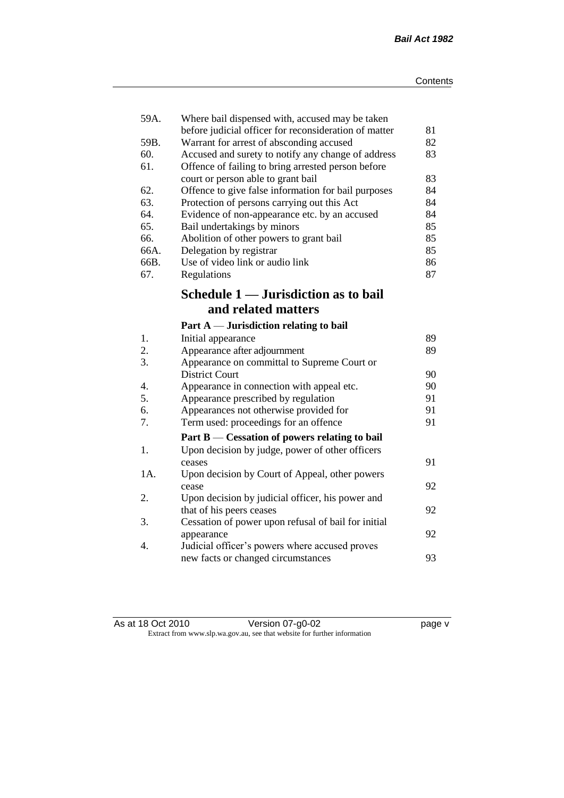| 59A. | Where bail dispensed with, accused may be taken<br>before judicial officer for reconsideration of matter | 81 |
|------|----------------------------------------------------------------------------------------------------------|----|
| 59B. | Warrant for arrest of absconding accused                                                                 | 82 |
| 60.  | Accused and surety to notify any change of address                                                       | 83 |
| 61.  | Offence of failing to bring arrested person before                                                       |    |
|      | court or person able to grant bail                                                                       | 83 |
| 62.  | Offence to give false information for bail purposes                                                      | 84 |
| 63.  | Protection of persons carrying out this Act                                                              | 84 |
| 64.  | Evidence of non-appearance etc. by an accused                                                            | 84 |
| 65.  | Bail undertakings by minors                                                                              | 85 |
| 66.  | Abolition of other powers to grant bail                                                                  | 85 |
| 66A. | Delegation by registrar                                                                                  | 85 |
| 66B. | Use of video link or audio link                                                                          | 86 |
| 67.  | Regulations                                                                                              | 87 |
|      |                                                                                                          |    |
|      | Schedule 1 — Jurisdiction as to bail                                                                     |    |
|      | and related matters                                                                                      |    |
|      | Part $A$ — Jurisdiction relating to bail                                                                 |    |
| 1.   | Initial appearance                                                                                       | 89 |
| 2.   | Appearance after adjournment                                                                             | 89 |
| 3.   | Appearance on committal to Supreme Court or                                                              |    |
|      | <b>District Court</b>                                                                                    | 90 |
| 4.   | Appearance in connection with appeal etc.                                                                | 90 |
| 5.   | Appearance prescribed by regulation                                                                      | 91 |
| 6.   | Appearances not otherwise provided for                                                                   | 91 |
| 7.   | Term used: proceedings for an offence                                                                    | 91 |
|      | Part B — Cessation of powers relating to bail                                                            |    |
| 1.   | Upon decision by judge, power of other officers                                                          |    |
|      | ceases                                                                                                   | 91 |
| 1A.  | Upon decision by Court of Appeal, other powers                                                           |    |
|      | cease                                                                                                    | 92 |
| 2.   | Upon decision by judicial officer, his power and                                                         |    |
|      | that of his peers ceases                                                                                 | 92 |
| 3.   | Cessation of power upon refusal of bail for initial                                                      |    |
|      | appearance                                                                                               | 92 |
| 4.   | Judicial officer's powers where accused proves                                                           |    |
|      | new facts or changed circumstances                                                                       | 93 |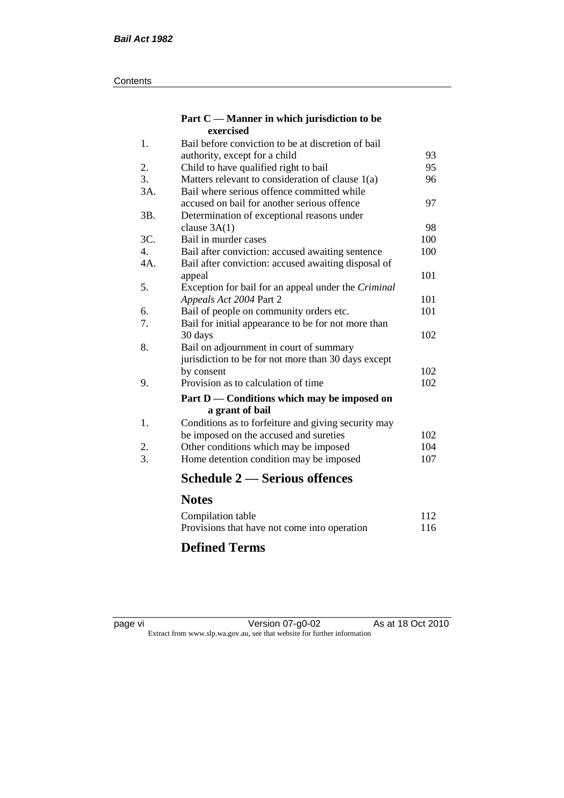#### **Contents**

#### **Part C — Manner in which jurisdiction to be exercised**

| 1.  | Bail before conviction to be at discretion of bail  |     |
|-----|-----------------------------------------------------|-----|
|     | authority, except for a child                       | 93  |
| 2.  | Child to have qualified right to bail               | 95  |
| 3.  | Matters relevant to consideration of clause $1(a)$  | 96  |
| 3A. | Bail where serious offence committed while          |     |
|     | accused on bail for another serious offence         | 97  |
| 3B. | Determination of exceptional reasons under          |     |
|     | clause $3A(1)$                                      | 98  |
| 3C. | Bail in murder cases                                | 100 |
| 4.  | Bail after conviction: accused awaiting sentence    | 100 |
| 4A. | Bail after conviction: accused awaiting disposal of |     |
|     | appeal                                              | 101 |
| 5.  | Exception for bail for an appeal under the Criminal |     |
|     | Appeals Act 2004 Part 2                             | 101 |
| 6.  | Bail of people on community orders etc.             | 101 |
| 7.  | Bail for initial appearance to be for not more than |     |
|     | 30 days                                             | 102 |
| 8.  | Bail on adjournment in court of summary             |     |
|     | jurisdiction to be for not more than 30 days except |     |
|     | by consent                                          | 102 |
| 9.  | Provision as to calculation of time                 | 102 |
|     | Part D — Conditions which may be imposed on         |     |
|     | a grant of bail                                     |     |
| 1.  | Conditions as to forfeiture and giving security may |     |
|     | be imposed on the accused and sureties              | 102 |
| 2.  | Other conditions which may be imposed               | 104 |
| 3.  | Home detention condition may be imposed             | 107 |
|     | <b>Schedule 2 — Serious offences</b>                |     |
|     | <b>Notes</b>                                        |     |
|     | Compilation table                                   | 112 |
|     |                                                     |     |

### Provisions that have not come into operation 116 **Defined Terms**

page vi Version 07-g0-02 As at 18 Oct 2010 Extract from www.slp.wa.gov.au, see that website for further information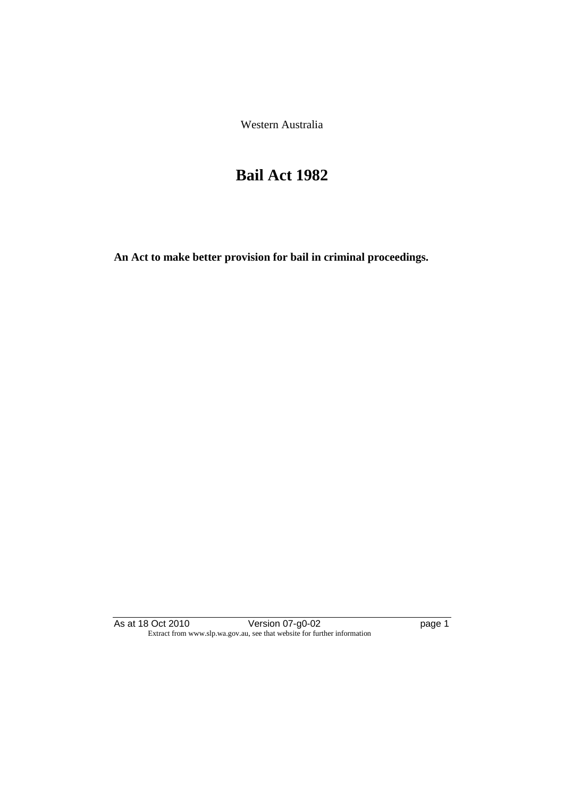Western Australia

## **Bail Act 1982**

**An Act to make better provision for bail in criminal proceedings.** 

As at 18 Oct 2010 **Version 07-g0-02 page 1** Extract from www.slp.wa.gov.au, see that website for further information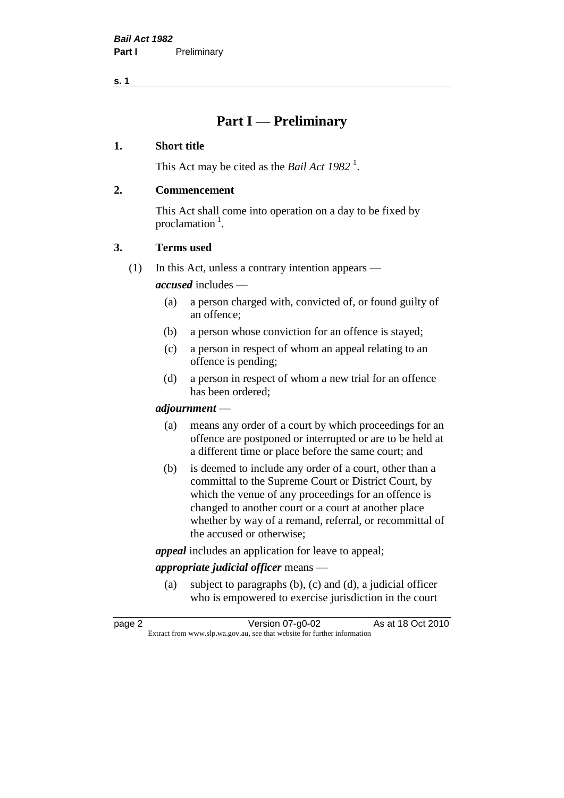**s. 1**

## **Part I — Preliminary**

#### **1. Short title**

This Act may be cited as the *Bail Act* 1982<sup>1</sup>.

#### **2. Commencement**

This Act shall come into operation on a day to be fixed by proclamation  $<sup>1</sup>$ .</sup>

#### **3. Terms used**

(1) In this Act, unless a contrary intention appears —

*accused* includes —

- (a) a person charged with, convicted of, or found guilty of an offence;
- (b) a person whose conviction for an offence is stayed;
- (c) a person in respect of whom an appeal relating to an offence is pending;
- (d) a person in respect of whom a new trial for an offence has been ordered;

#### *adjournment* —

- (a) means any order of a court by which proceedings for an offence are postponed or interrupted or are to be held at a different time or place before the same court; and
- (b) is deemed to include any order of a court, other than a committal to the Supreme Court or District Court, by which the venue of any proceedings for an offence is changed to another court or a court at another place whether by way of a remand, referral, or recommittal of the accused or otherwise;

*appeal* includes an application for leave to appeal;

#### *appropriate judicial officer* means —

(a) subject to paragraphs (b), (c) and (d), a judicial officer who is empowered to exercise jurisdiction in the court

| page 2 | Version 07-g0-02                                                         | As at 18 Oct 2010 |
|--------|--------------------------------------------------------------------------|-------------------|
|        | Extract from www.slp.wa.gov.au, see that website for further information |                   |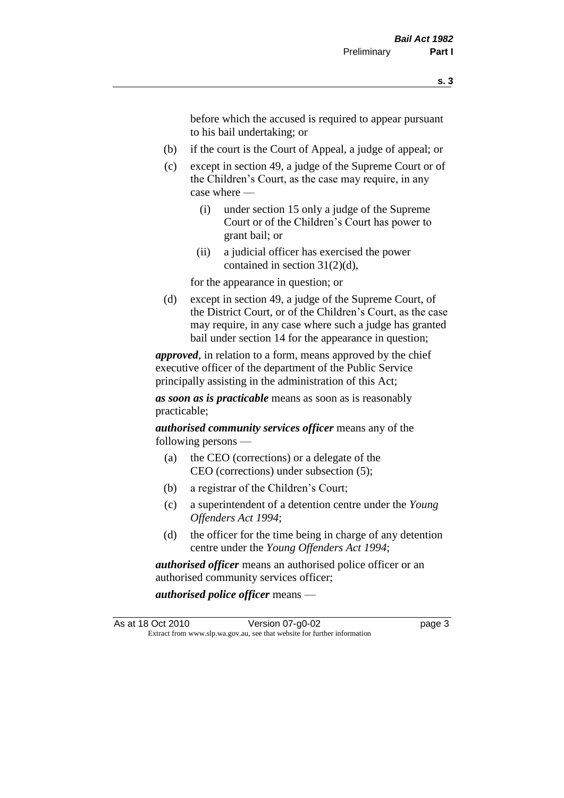before which the accused is required to appear pursuant to his bail undertaking; or

- (b) if the court is the Court of Appeal, a judge of appeal; or
- (c) except in section 49, a judge of the Supreme Court or of the Children's Court, as the case may require, in any case where —
	- (i) under section 15 only a judge of the Supreme Court or of the Children's Court has power to grant bail; or
	- (ii) a judicial officer has exercised the power contained in section 31(2)(d),

for the appearance in question; or

(d) except in section 49, a judge of the Supreme Court, of the District Court, or of the Children's Court, as the case may require, in any case where such a judge has granted bail under section 14 for the appearance in question;

*approved*, in relation to a form, means approved by the chief executive officer of the department of the Public Service principally assisting in the administration of this Act;

*as soon as is practicable* means as soon as is reasonably practicable;

*authorised community services officer* means any of the following persons —

- (a) the CEO (corrections) or a delegate of the CEO (corrections) under subsection (5);
- (b) a registrar of the Children's Court;
- (c) a superintendent of a detention centre under the *Young Offenders Act 1994*;
- (d) the officer for the time being in charge of any detention centre under the *Young Offenders Act 1994*;

*authorised officer* means an authorised police officer or an authorised community services officer;

*authorised police officer* means —

As at 18 Oct 2010 Version 07-g0-02 page 3 Extract from www.slp.wa.gov.au, see that website for further information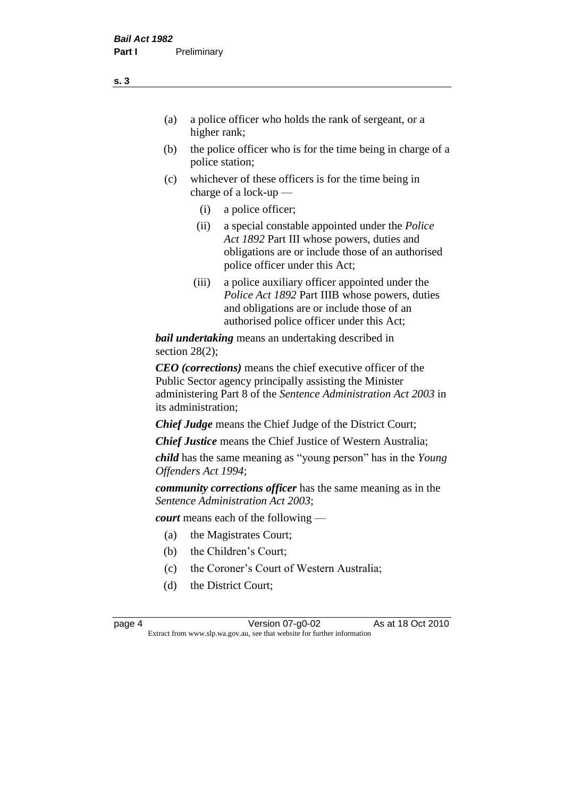- (a) a police officer who holds the rank of sergeant, or a higher rank;
- (b) the police officer who is for the time being in charge of a police station;
- (c) whichever of these officers is for the time being in charge of a lock-up —
	- (i) a police officer;
	- (ii) a special constable appointed under the *Police Act 1892* Part III whose powers, duties and obligations are or include those of an authorised police officer under this Act;
	- (iii) a police auxiliary officer appointed under the *Police Act 1892* Part IIIB whose powers, duties and obligations are or include those of an authorised police officer under this Act;

*bail undertaking* means an undertaking described in section 28(2);

*CEO (corrections)* means the chief executive officer of the Public Sector agency principally assisting the Minister administering Part 8 of the *Sentence Administration Act 2003* in its administration;

*Chief Judge* means the Chief Judge of the District Court;

*Chief Justice* means the Chief Justice of Western Australia;

*child* has the same meaning as "young person" has in the *Young Offenders Act 1994*;

*community corrections officer* has the same meaning as in the *Sentence Administration Act 2003*;

*court* means each of the following —

- (a) the Magistrates Court;
- (b) the Children's Court;
- (c) the Coroner's Court of Western Australia;
- (d) the District Court;

**s. 3**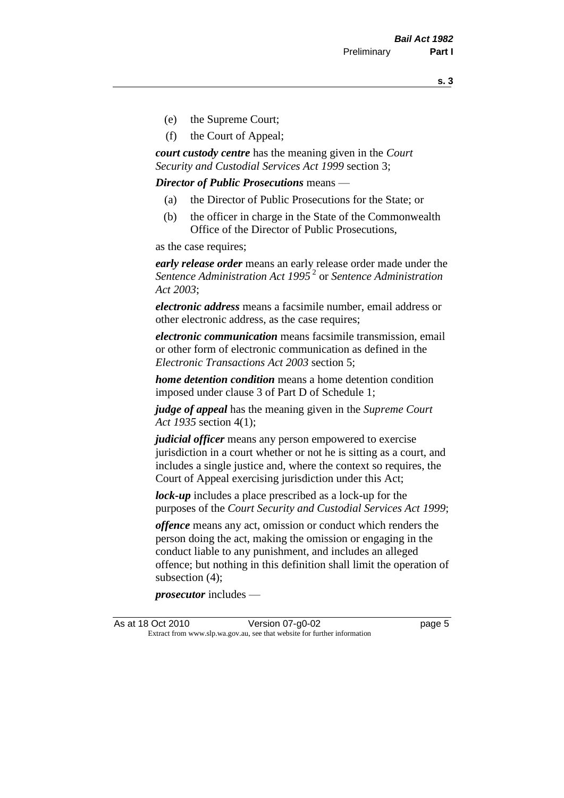**s. 3**

- (e) the Supreme Court;
- (f) the Court of Appeal;

*court custody centre* has the meaning given in the *Court Security and Custodial Services Act 1999* section 3;

*Director of Public Prosecutions* means —

- (a) the Director of Public Prosecutions for the State; or
- (b) the officer in charge in the State of the Commonwealth Office of the Director of Public Prosecutions,

as the case requires;

*early release order* means an early release order made under the *Sentence Administration Act 1995* <sup>2</sup> or *Sentence Administration Act 2003*;

*electronic address* means a facsimile number, email address or other electronic address, as the case requires;

*electronic communication* means facsimile transmission, email or other form of electronic communication as defined in the *Electronic Transactions Act 2003* section 5;

*home detention condition* means a home detention condition imposed under clause 3 of Part D of Schedule 1;

*judge of appeal* has the meaning given in the *Supreme Court Act 1935* section 4(1);

*judicial officer* means any person empowered to exercise jurisdiction in a court whether or not he is sitting as a court, and includes a single justice and, where the context so requires, the Court of Appeal exercising jurisdiction under this Act;

*lock-up* includes a place prescribed as a lock-up for the purposes of the *Court Security and Custodial Services Act 1999*;

*offence* means any act, omission or conduct which renders the person doing the act, making the omission or engaging in the conduct liable to any punishment, and includes an alleged offence; but nothing in this definition shall limit the operation of subsection (4);

*prosecutor* includes —

As at 18 Oct 2010 Version 07-g0-02 page 5 Extract from www.slp.wa.gov.au, see that website for further information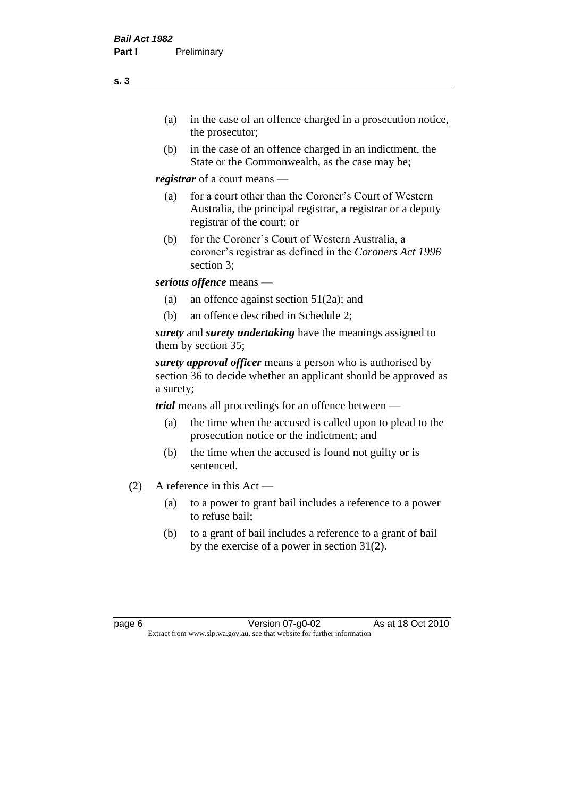- (a) in the case of an offence charged in a prosecution notice, the prosecutor;
- (b) in the case of an offence charged in an indictment, the State or the Commonwealth, as the case may be;

*registrar* of a court means —

- (a) for a court other than the Coroner's Court of Western Australia, the principal registrar, a registrar or a deputy registrar of the court; or
- (b) for the Coroner's Court of Western Australia, a coroner's registrar as defined in the *Coroners Act 1996* section 3;

*serious offence* means —

- (a) an offence against section 51(2a); and
- (b) an offence described in Schedule 2;

*surety* and *surety undertaking* have the meanings assigned to them by section 35;

*surety approval officer* means a person who is authorised by section 36 to decide whether an applicant should be approved as a surety;

*trial* means all proceedings for an offence between —

- (a) the time when the accused is called upon to plead to the prosecution notice or the indictment; and
- (b) the time when the accused is found not guilty or is sentenced.
- (2) A reference in this Act
	- (a) to a power to grant bail includes a reference to a power to refuse bail;
	- (b) to a grant of bail includes a reference to a grant of bail by the exercise of a power in section 31(2).

page 6 Version 07-g0-02 As at 18 Oct 2010 Extract from www.slp.wa.gov.au, see that website for further information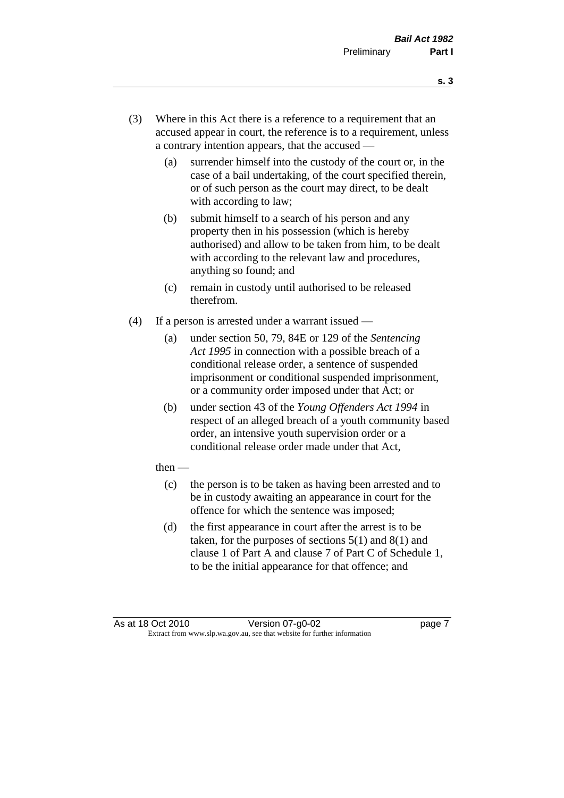- **s. 3**
- (3) Where in this Act there is a reference to a requirement that an accused appear in court, the reference is to a requirement, unless a contrary intention appears, that the accused —
	- (a) surrender himself into the custody of the court or, in the case of a bail undertaking, of the court specified therein, or of such person as the court may direct, to be dealt with according to law;
	- (b) submit himself to a search of his person and any property then in his possession (which is hereby authorised) and allow to be taken from him, to be dealt with according to the relevant law and procedures, anything so found; and
	- (c) remain in custody until authorised to be released therefrom.
- (4) If a person is arrested under a warrant issued
	- (a) under section 50, 79, 84E or 129 of the *Sentencing Act 1995* in connection with a possible breach of a conditional release order, a sentence of suspended imprisonment or conditional suspended imprisonment, or a community order imposed under that Act; or
	- (b) under section 43 of the *Young Offenders Act 1994* in respect of an alleged breach of a youth community based order, an intensive youth supervision order or a conditional release order made under that Act,
	- then
		- (c) the person is to be taken as having been arrested and to be in custody awaiting an appearance in court for the offence for which the sentence was imposed;
		- (d) the first appearance in court after the arrest is to be taken, for the purposes of sections  $5(1)$  and  $8(1)$  and clause 1 of Part A and clause 7 of Part C of Schedule 1, to be the initial appearance for that offence; and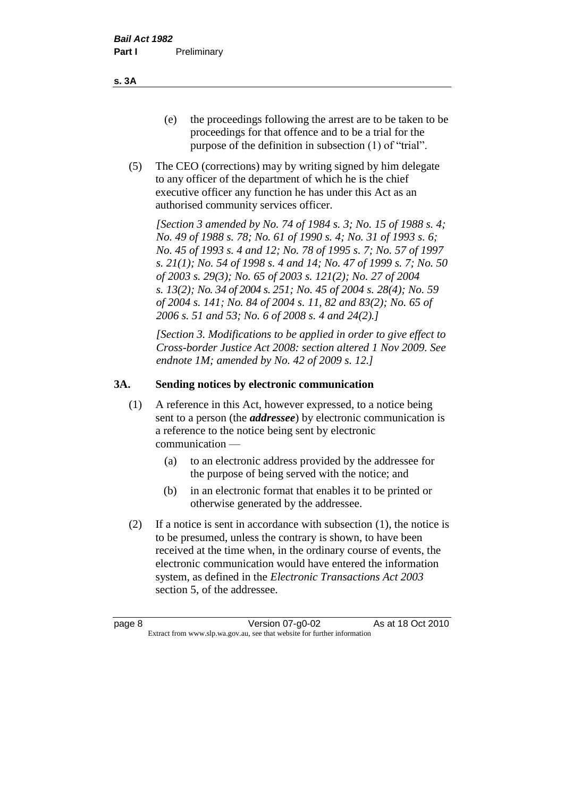- (e) the proceedings following the arrest are to be taken to be proceedings for that offence and to be a trial for the purpose of the definition in subsection (1) of "trial".
- (5) The CEO (corrections) may by writing signed by him delegate to any officer of the department of which he is the chief executive officer any function he has under this Act as an authorised community services officer.

*[Section 3 amended by No. 74 of 1984 s. 3; No. 15 of 1988 s. 4; No. 49 of 1988 s. 78; No. 61 of 1990 s. 4; No. 31 of 1993 s. 6; No. 45 of 1993 s. 4 and 12; No. 78 of 1995 s. 7; No. 57 of 1997 s. 21(1); No. 54 of 1998 s. 4 and 14; No. 47 of 1999 s. 7; No. 50 of 2003 s. 29(3); No. 65 of 2003 s. 121(2); No. 27 of 2004 s. 13(2); No. 34 of 2004 s. 251; No. 45 of 2004 s. 28(4); No. 59 of 2004 s. 141; No. 84 of 2004 s. 11, 82 and 83(2); No. 65 of 2006 s. 51 and 53; No. 6 of 2008 s. 4 and 24(2).]* 

*[Section 3. Modifications to be applied in order to give effect to Cross-border Justice Act 2008: section altered 1 Nov 2009. See endnote 1M; amended by No. 42 of 2009 s. 12.]*

#### **3A. Sending notices by electronic communication**

- (1) A reference in this Act, however expressed, to a notice being sent to a person (the *addressee*) by electronic communication is a reference to the notice being sent by electronic communication —
	- (a) to an electronic address provided by the addressee for the purpose of being served with the notice; and
	- (b) in an electronic format that enables it to be printed or otherwise generated by the addressee.
- (2) If a notice is sent in accordance with subsection (1), the notice is to be presumed, unless the contrary is shown, to have been received at the time when, in the ordinary course of events, the electronic communication would have entered the information system, as defined in the *Electronic Transactions Act 2003* section 5, of the addressee.

**s. 3A**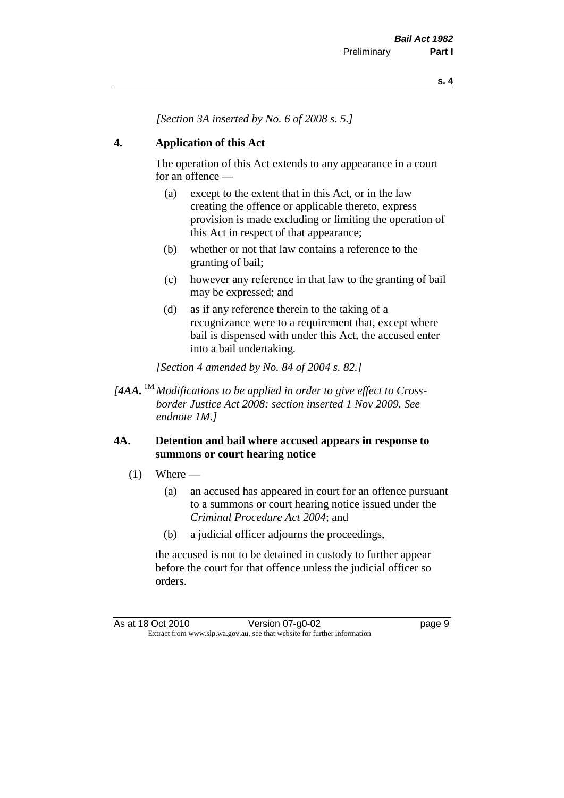*[Section 3A inserted by No. 6 of 2008 s. 5.]*

#### **4. Application of this Act**

The operation of this Act extends to any appearance in a court for an offence —

- (a) except to the extent that in this Act, or in the law creating the offence or applicable thereto, express provision is made excluding or limiting the operation of this Act in respect of that appearance;
- (b) whether or not that law contains a reference to the granting of bail;
- (c) however any reference in that law to the granting of bail may be expressed; and
- (d) as if any reference therein to the taking of a recognizance were to a requirement that, except where bail is dispensed with under this Act, the accused enter into a bail undertaking.

*[Section 4 amended by No. 84 of 2004 s. 82.]*

*[4AA.* 1M *Modifications to be applied in order to give effect to Crossborder Justice Act 2008: section inserted 1 Nov 2009. See endnote 1M.]*

#### **4A. Detention and bail where accused appears in response to summons or court hearing notice**

- $(1)$  Where
	- (a) an accused has appeared in court for an offence pursuant to a summons or court hearing notice issued under the *Criminal Procedure Act 2004*; and
	- (b) a judicial officer adjourns the proceedings,

the accused is not to be detained in custody to further appear before the court for that offence unless the judicial officer so orders.

As at 18 Oct 2010 Version 07-g0-02 Page 9 Extract from www.slp.wa.gov.au, see that website for further information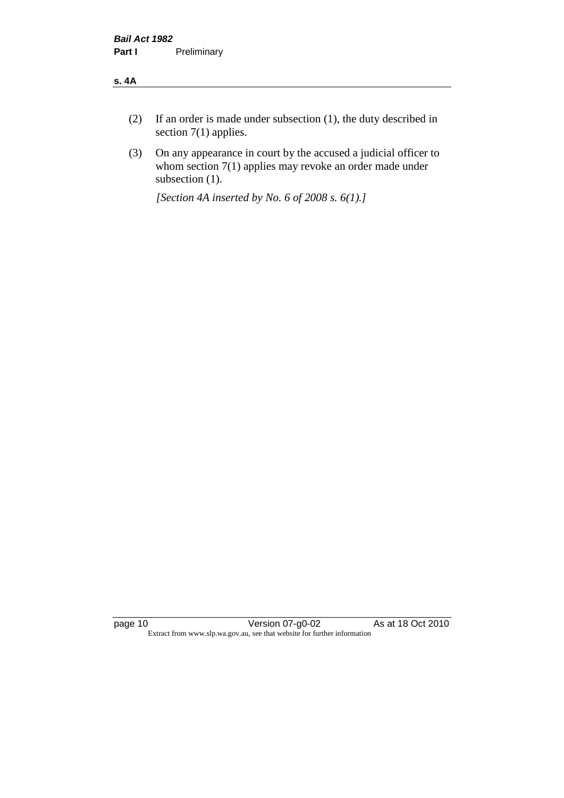#### **s. 4A**

- (2) If an order is made under subsection (1), the duty described in section 7(1) applies.
- (3) On any appearance in court by the accused a judicial officer to whom section 7(1) applies may revoke an order made under subsection (1).

*[Section 4A inserted by No. 6 of 2008 s. 6(1).]*

page 10 Version 07-g0-02 As at 18 Oct 2010 Extract from www.slp.wa.gov.au, see that website for further information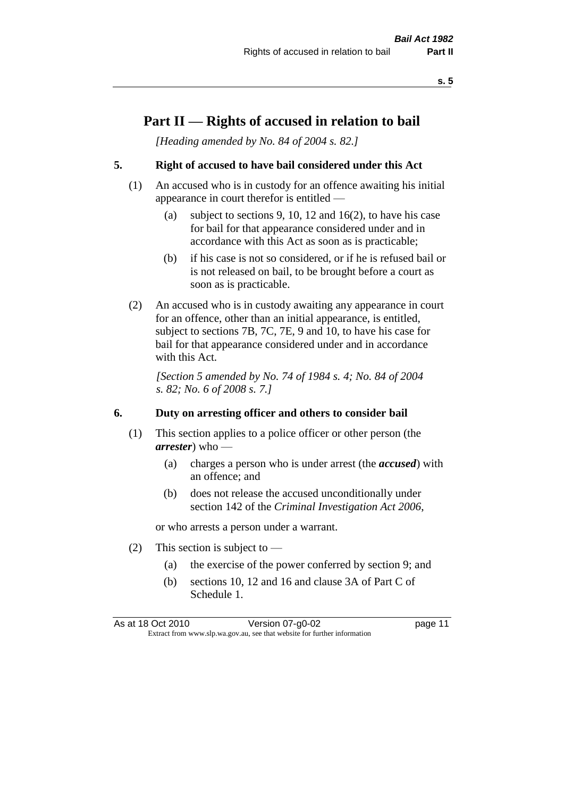## **Part II — Rights of accused in relation to bail**

*[Heading amended by No. 84 of 2004 s. 82.]* 

#### **5. Right of accused to have bail considered under this Act**

- (1) An accused who is in custody for an offence awaiting his initial appearance in court therefor is entitled —
	- (a) subject to sections 9, 10, 12 and 16(2), to have his case for bail for that appearance considered under and in accordance with this Act as soon as is practicable;
	- (b) if his case is not so considered, or if he is refused bail or is not released on bail, to be brought before a court as soon as is practicable.
- (2) An accused who is in custody awaiting any appearance in court for an offence, other than an initial appearance, is entitled, subject to sections 7B, 7C, 7E, 9 and 10, to have his case for bail for that appearance considered under and in accordance with this Act.

*[Section 5 amended by No. 74 of 1984 s. 4; No. 84 of 2004 s. 82; No. 6 of 2008 s. 7.]* 

#### **6. Duty on arresting officer and others to consider bail**

- (1) This section applies to a police officer or other person (the *arrester*) who —
	- (a) charges a person who is under arrest (the *accused*) with an offence; and
	- (b) does not release the accused unconditionally under section 142 of the *Criminal Investigation Act 2006*,

or who arrests a person under a warrant.

- (2) This section is subject to  $-$ 
	- (a) the exercise of the power conferred by section 9; and
	- (b) sections 10, 12 and 16 and clause 3A of Part C of Schedule 1.

As at 18 Oct 2010 Version 07-g0-02 Page 11 Extract from www.slp.wa.gov.au, see that website for further information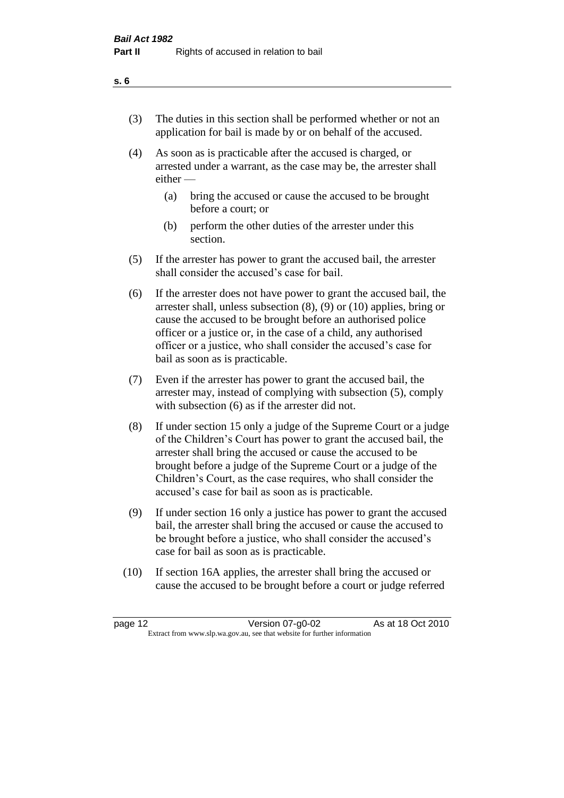- (3) The duties in this section shall be performed whether or not an application for bail is made by or on behalf of the accused.
- (4) As soon as is practicable after the accused is charged, or arrested under a warrant, as the case may be, the arrester shall either —
	- (a) bring the accused or cause the accused to be brought before a court; or
	- (b) perform the other duties of the arrester under this section.
- (5) If the arrester has power to grant the accused bail, the arrester shall consider the accused's case for bail.
- (6) If the arrester does not have power to grant the accused bail, the arrester shall, unless subsection (8), (9) or (10) applies, bring or cause the accused to be brought before an authorised police officer or a justice or, in the case of a child, any authorised officer or a justice, who shall consider the accused's case for bail as soon as is practicable.
- (7) Even if the arrester has power to grant the accused bail, the arrester may, instead of complying with subsection (5), comply with subsection (6) as if the arrester did not.
- (8) If under section 15 only a judge of the Supreme Court or a judge of the Children's Court has power to grant the accused bail, the arrester shall bring the accused or cause the accused to be brought before a judge of the Supreme Court or a judge of the Children's Court, as the case requires, who shall consider the accused's case for bail as soon as is practicable.
- (9) If under section 16 only a justice has power to grant the accused bail, the arrester shall bring the accused or cause the accused to be brought before a justice, who shall consider the accused's case for bail as soon as is practicable.
- (10) If section 16A applies, the arrester shall bring the accused or cause the accused to be brought before a court or judge referred

#### **s. 6**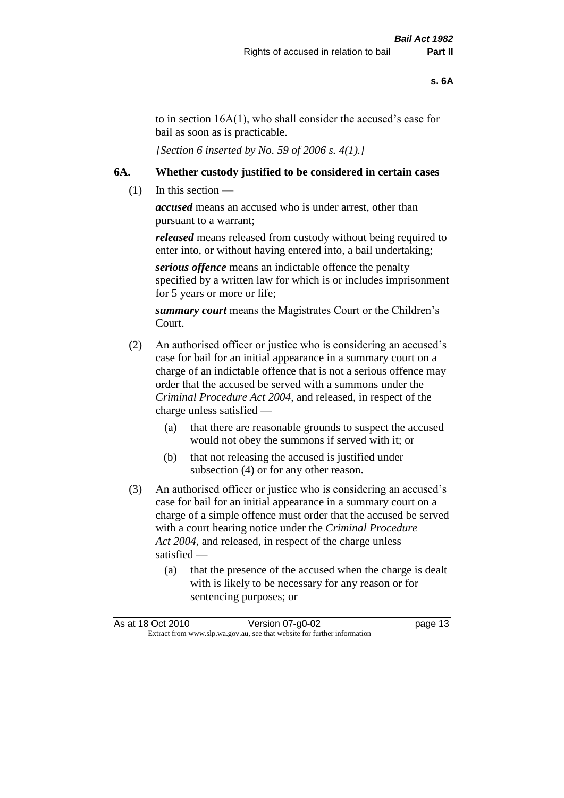to in section 16A(1), who shall consider the accused's case for bail as soon as is practicable.

*[Section 6 inserted by No. 59 of 2006 s. 4(1).]* 

#### **6A. Whether custody justified to be considered in certain cases**

 $(1)$  In this section —

*accused* means an accused who is under arrest, other than pursuant to a warrant;

*released* means released from custody without being required to enter into, or without having entered into, a bail undertaking;

*serious offence* means an indictable offence the penalty specified by a written law for which is or includes imprisonment for 5 years or more or life;

*summary court* means the Magistrates Court or the Children's Court.

- (2) An authorised officer or justice who is considering an accused's case for bail for an initial appearance in a summary court on a charge of an indictable offence that is not a serious offence may order that the accused be served with a summons under the *Criminal Procedure Act 2004*, and released, in respect of the charge unless satisfied —
	- (a) that there are reasonable grounds to suspect the accused would not obey the summons if served with it; or
	- (b) that not releasing the accused is justified under subsection (4) or for any other reason.
- (3) An authorised officer or justice who is considering an accused's case for bail for an initial appearance in a summary court on a charge of a simple offence must order that the accused be served with a court hearing notice under the *Criminal Procedure Act 2004*, and released, in respect of the charge unless satisfied —
	- (a) that the presence of the accused when the charge is dealt with is likely to be necessary for any reason or for sentencing purposes; or

|                                                                          | As at 18 Oct 2010 | Version 07-g0-02 | page 13 |
|--------------------------------------------------------------------------|-------------------|------------------|---------|
| Extract from www.slp.wa.gov.au, see that website for further information |                   |                  |         |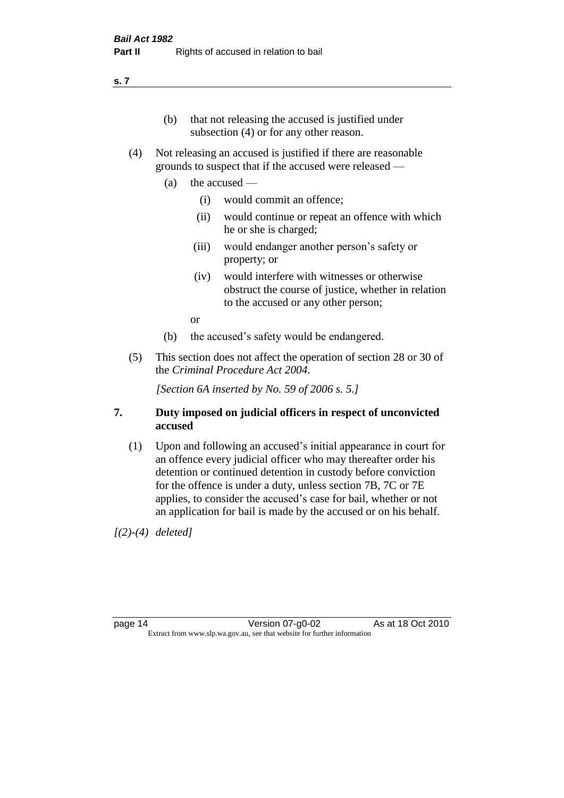#### **s. 7**

- (b) that not releasing the accused is justified under subsection (4) or for any other reason.
- (4) Not releasing an accused is justified if there are reasonable grounds to suspect that if the accused were released —
	- (a) the accused
		- (i) would commit an offence;
		- (ii) would continue or repeat an offence with which he or she is charged;
		- (iii) would endanger another person's safety or property; or
		- (iv) would interfere with witnesses or otherwise obstruct the course of justice, whether in relation to the accused or any other person;

or

- (b) the accused's safety would be endangered.
- (5) This section does not affect the operation of section 28 or 30 of the *Criminal Procedure Act 2004*.

*[Section 6A inserted by No. 59 of 2006 s. 5.]* 

#### **7. Duty imposed on judicial officers in respect of unconvicted accused**

(1) Upon and following an accused's initial appearance in court for an offence every judicial officer who may thereafter order his detention or continued detention in custody before conviction for the offence is under a duty, unless section 7B, 7C or 7E applies, to consider the accused's case for bail, whether or not an application for bail is made by the accused or on his behalf.

*[(2)-(4) deleted]*

page 14 Version 07-g0-02 As at 18 Oct 2010 Extract from www.slp.wa.gov.au, see that website for further information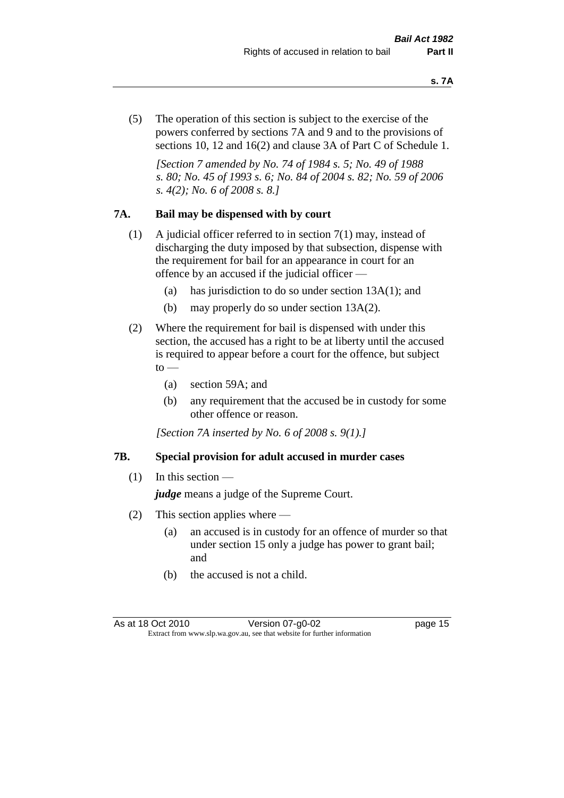(5) The operation of this section is subject to the exercise of the powers conferred by sections 7A and 9 and to the provisions of sections 10, 12 and 16(2) and clause 3A of Part C of Schedule 1.

*[Section 7 amended by No. 74 of 1984 s. 5; No. 49 of 1988 s. 80; No. 45 of 1993 s. 6; No. 84 of 2004 s. 82; No. 59 of 2006 s. 4(2); No. 6 of 2008 s. 8.]* 

#### **7A. Bail may be dispensed with by court**

- (1) A judicial officer referred to in section 7(1) may, instead of discharging the duty imposed by that subsection, dispense with the requirement for bail for an appearance in court for an offence by an accused if the judicial officer —
	- (a) has jurisdiction to do so under section 13A(1); and
	- (b) may properly do so under section 13A(2).
- (2) Where the requirement for bail is dispensed with under this section, the accused has a right to be at liberty until the accused is required to appear before a court for the offence, but subject  $\mathrm{to}$  —
	- (a) section 59A; and
	- (b) any requirement that the accused be in custody for some other offence or reason.

*[Section 7A inserted by No. 6 of 2008 s. 9(1).]*

#### **7B. Special provision for adult accused in murder cases**

 $(1)$  In this section —

*judge* means a judge of the Supreme Court.

- (2) This section applies where
	- (a) an accused is in custody for an offence of murder so that under section 15 only a judge has power to grant bail; and
	- (b) the accused is not a child.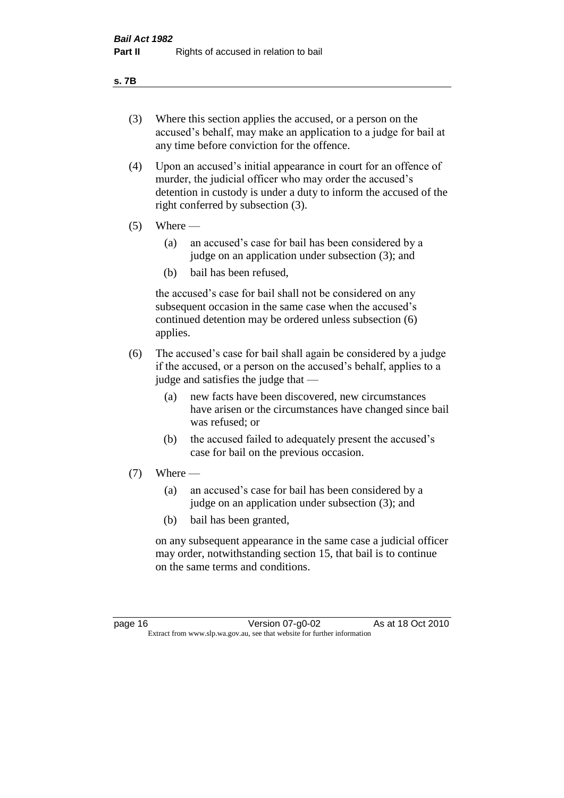#### **s. 7B**

- (3) Where this section applies the accused, or a person on the accused's behalf, may make an application to a judge for bail at any time before conviction for the offence.
- (4) Upon an accused's initial appearance in court for an offence of murder, the judicial officer who may order the accused's detention in custody is under a duty to inform the accused of the right conferred by subsection (3).
- $(5)$  Where
	- (a) an accused's case for bail has been considered by a judge on an application under subsection (3); and
	- (b) bail has been refused,

the accused's case for bail shall not be considered on any subsequent occasion in the same case when the accused's continued detention may be ordered unless subsection (6) applies.

- (6) The accused's case for bail shall again be considered by a judge if the accused, or a person on the accused's behalf, applies to a judge and satisfies the judge that —
	- (a) new facts have been discovered, new circumstances have arisen or the circumstances have changed since bail was refused; or
	- (b) the accused failed to adequately present the accused's case for bail on the previous occasion.
- $(7)$  Where
	- (a) an accused's case for bail has been considered by a judge on an application under subsection (3); and
	- (b) bail has been granted,

on any subsequent appearance in the same case a judicial officer may order, notwithstanding section 15, that bail is to continue on the same terms and conditions.

page 16 Version 07-g0-02 As at 18 Oct 2010 Extract from www.slp.wa.gov.au, see that website for further information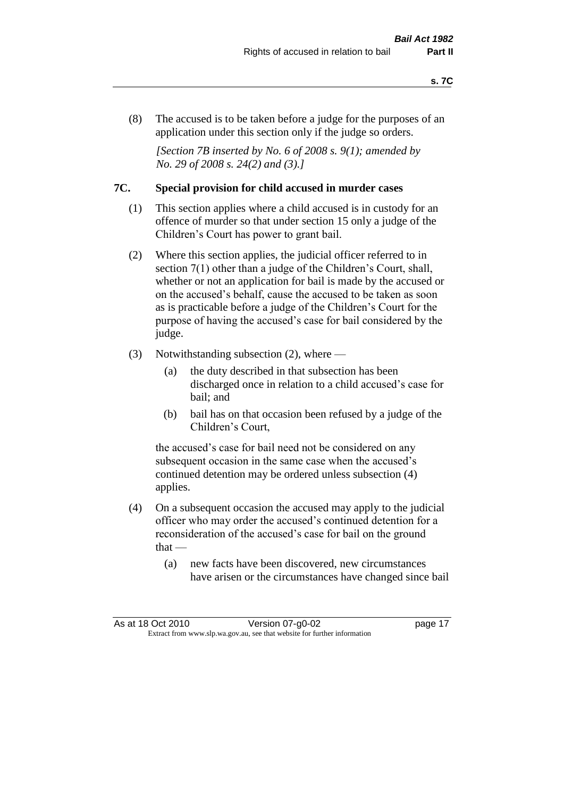(8) The accused is to be taken before a judge for the purposes of an application under this section only if the judge so orders.

*[Section 7B inserted by No. 6 of 2008 s. 9(1); amended by No. 29 of 2008 s. 24(2) and (3).]*

#### **7C. Special provision for child accused in murder cases**

- (1) This section applies where a child accused is in custody for an offence of murder so that under section 15 only a judge of the Children's Court has power to grant bail.
- (2) Where this section applies, the judicial officer referred to in section 7(1) other than a judge of the Children's Court, shall, whether or not an application for bail is made by the accused or on the accused's behalf, cause the accused to be taken as soon as is practicable before a judge of the Children's Court for the purpose of having the accused's case for bail considered by the judge.
- (3) Notwithstanding subsection (2), where
	- (a) the duty described in that subsection has been discharged once in relation to a child accused's case for bail; and
	- (b) bail has on that occasion been refused by a judge of the Children's Court,

the accused's case for bail need not be considered on any subsequent occasion in the same case when the accused's continued detention may be ordered unless subsection (4) applies.

- (4) On a subsequent occasion the accused may apply to the judicial officer who may order the accused's continued detention for a reconsideration of the accused's case for bail on the ground  $that -$ 
	- (a) new facts have been discovered, new circumstances have arisen or the circumstances have changed since bail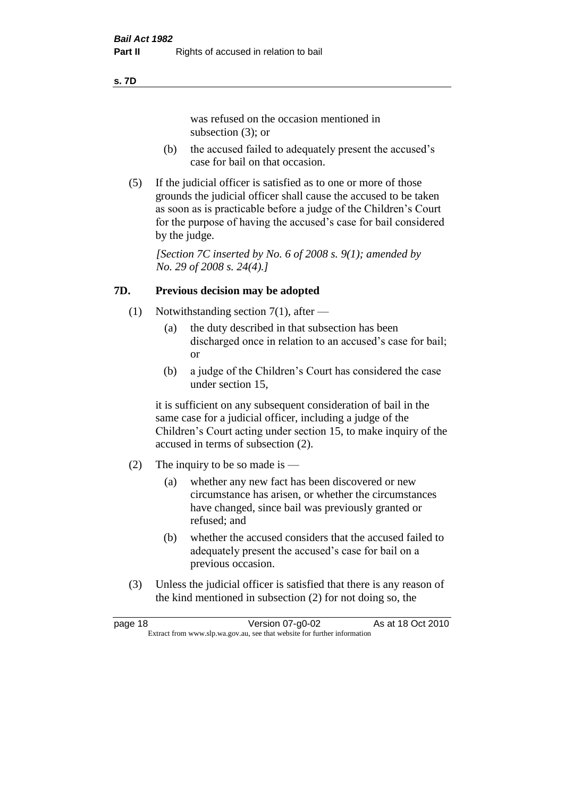#### **s. 7D**

was refused on the occasion mentioned in subsection (3); or

- (b) the accused failed to adequately present the accused's case for bail on that occasion.
- (5) If the judicial officer is satisfied as to one or more of those grounds the judicial officer shall cause the accused to be taken as soon as is practicable before a judge of the Children's Court for the purpose of having the accused's case for bail considered by the judge.

*[Section 7C inserted by No. 6 of 2008 s. 9(1); amended by No. 29 of 2008 s. 24(4).]*

#### **7D. Previous decision may be adopted**

- (1) Notwithstanding section 7(1), after
	- (a) the duty described in that subsection has been discharged once in relation to an accused's case for bail; or
	- (b) a judge of the Children's Court has considered the case under section 15,

it is sufficient on any subsequent consideration of bail in the same case for a judicial officer, including a judge of the Children's Court acting under section 15, to make inquiry of the accused in terms of subsection (2).

- (2) The inquiry to be so made is  $-$ 
	- (a) whether any new fact has been discovered or new circumstance has arisen, or whether the circumstances have changed, since bail was previously granted or refused; and
	- (b) whether the accused considers that the accused failed to adequately present the accused's case for bail on a previous occasion.
- (3) Unless the judicial officer is satisfied that there is any reason of the kind mentioned in subsection (2) for not doing so, the

| page 18 | Version 07-g0-02                                                         | As at 18 Oct 2010 |
|---------|--------------------------------------------------------------------------|-------------------|
|         | Extract from www.slp.wa.gov.au, see that website for further information |                   |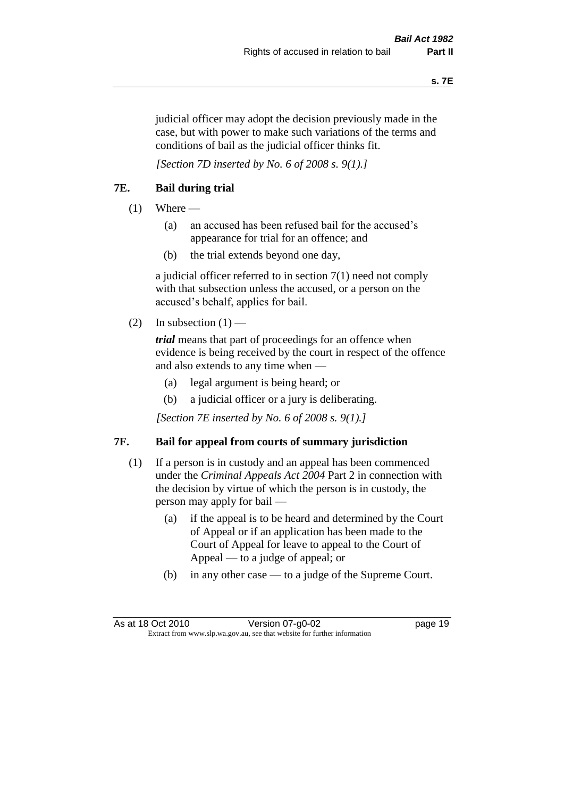judicial officer may adopt the decision previously made in the case, but with power to make such variations of the terms and conditions of bail as the judicial officer thinks fit.

*[Section 7D inserted by No. 6 of 2008 s. 9(1).]*

#### **7E. Bail during trial**

- $(1)$  Where
	- (a) an accused has been refused bail for the accused's appearance for trial for an offence; and
	- (b) the trial extends beyond one day,

a judicial officer referred to in section 7(1) need not comply with that subsection unless the accused, or a person on the accused's behalf, applies for bail.

(2) In subsection  $(1)$  —

*trial* means that part of proceedings for an offence when evidence is being received by the court in respect of the offence and also extends to any time when —

- (a) legal argument is being heard; or
- (b) a judicial officer or a jury is deliberating.

*[Section 7E inserted by No. 6 of 2008 s. 9(1).]*

#### **7F. Bail for appeal from courts of summary jurisdiction**

- (1) If a person is in custody and an appeal has been commenced under the *Criminal Appeals Act 2004* Part 2 in connection with the decision by virtue of which the person is in custody, the person may apply for bail —
	- (a) if the appeal is to be heard and determined by the Court of Appeal or if an application has been made to the Court of Appeal for leave to appeal to the Court of Appeal — to a judge of appeal; or
	- (b) in any other case to a judge of the Supreme Court.

As at 18 Oct 2010 Version 07-g0-02 Page 19 Extract from www.slp.wa.gov.au, see that website for further information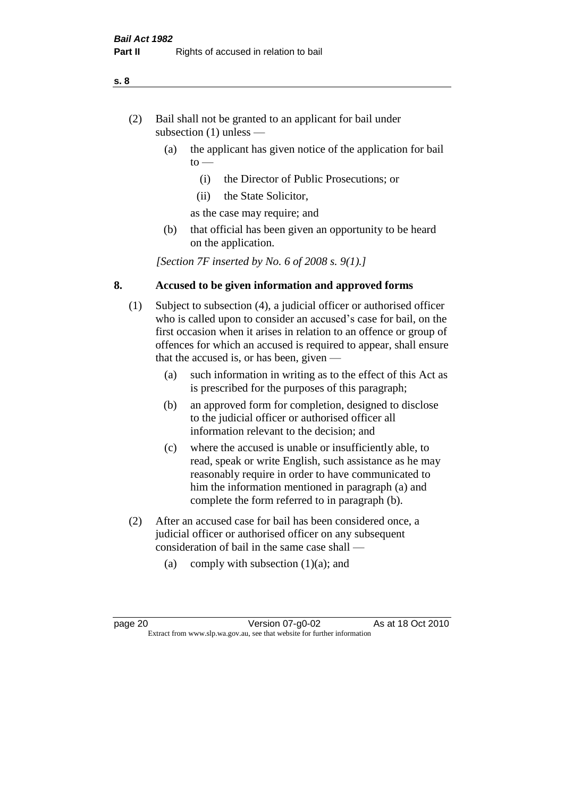- (2) Bail shall not be granted to an applicant for bail under subsection (1) unless —
	- (a) the applicant has given notice of the application for bail  $to -$ 
		- (i) the Director of Public Prosecutions; or
		- (ii) the State Solicitor,
		- as the case may require; and
	- (b) that official has been given an opportunity to be heard on the application.

*[Section 7F inserted by No. 6 of 2008 s. 9(1).]*

#### **8. Accused to be given information and approved forms**

- (1) Subject to subsection (4), a judicial officer or authorised officer who is called upon to consider an accused's case for bail, on the first occasion when it arises in relation to an offence or group of offences for which an accused is required to appear, shall ensure that the accused is, or has been, given —
	- (a) such information in writing as to the effect of this Act as is prescribed for the purposes of this paragraph;
	- (b) an approved form for completion, designed to disclose to the judicial officer or authorised officer all information relevant to the decision; and
	- (c) where the accused is unable or insufficiently able, to read, speak or write English, such assistance as he may reasonably require in order to have communicated to him the information mentioned in paragraph (a) and complete the form referred to in paragraph (b).
- (2) After an accused case for bail has been considered once, a judicial officer or authorised officer on any subsequent consideration of bail in the same case shall —
	- (a) comply with subsection  $(1)(a)$ ; and

**s. 8**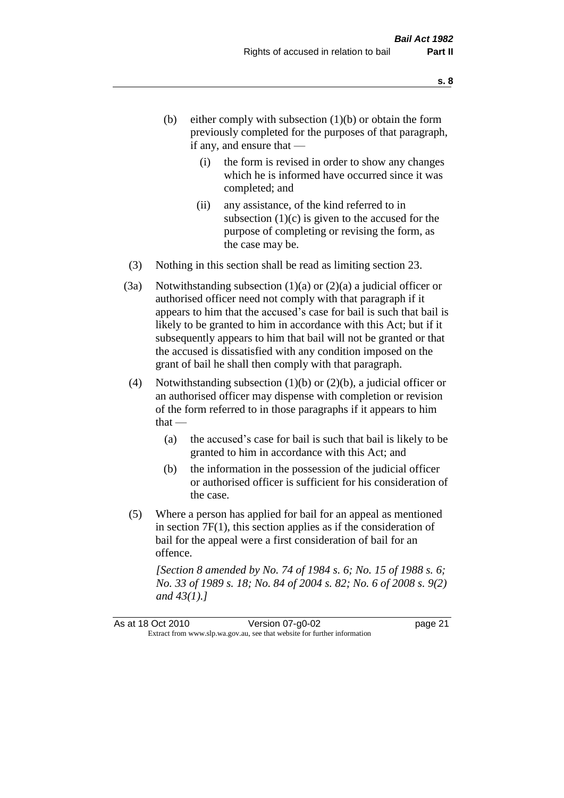- (b) either comply with subsection  $(1)(b)$  or obtain the form previously completed for the purposes of that paragraph, if any, and ensure that —
	- (i) the form is revised in order to show any changes which he is informed have occurred since it was completed; and
	- (ii) any assistance, of the kind referred to in subsection  $(1)(c)$  is given to the accused for the purpose of completing or revising the form, as the case may be.
- (3) Nothing in this section shall be read as limiting section 23.
- (3a) Notwithstanding subsection  $(1)(a)$  or  $(2)(a)$  a judicial officer or authorised officer need not comply with that paragraph if it appears to him that the accused's case for bail is such that bail is likely to be granted to him in accordance with this Act; but if it subsequently appears to him that bail will not be granted or that the accused is dissatisfied with any condition imposed on the grant of bail he shall then comply with that paragraph.
- (4) Notwithstanding subsection (1)(b) or (2)(b), a judicial officer or an authorised officer may dispense with completion or revision of the form referred to in those paragraphs if it appears to him  $that -$ 
	- (a) the accused's case for bail is such that bail is likely to be granted to him in accordance with this Act; and
	- (b) the information in the possession of the judicial officer or authorised officer is sufficient for his consideration of the case.
- (5) Where a person has applied for bail for an appeal as mentioned in section 7F(1), this section applies as if the consideration of bail for the appeal were a first consideration of bail for an offence.

*[Section 8 amended by No. 74 of 1984 s. 6; No. 15 of 1988 s. 6; No. 33 of 1989 s. 18; No. 84 of 2004 s. 82; No. 6 of 2008 s. 9(2) and 43(1).]*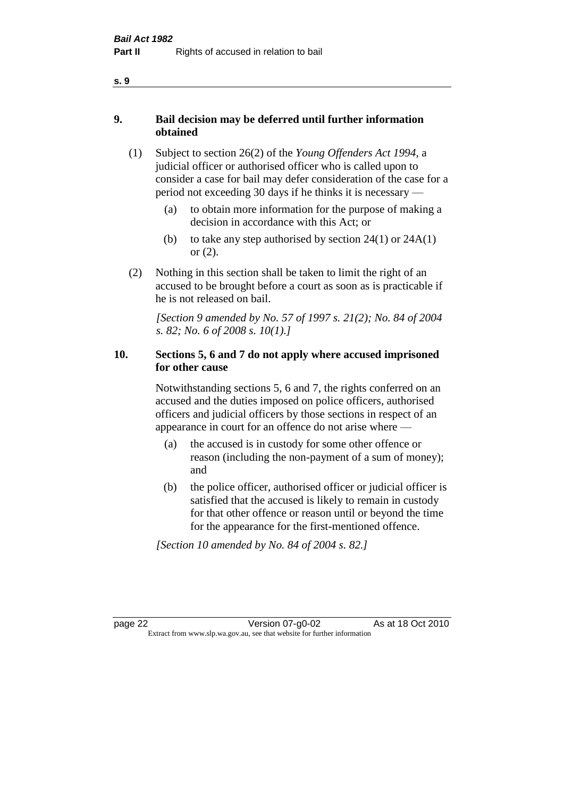#### **9. Bail decision may be deferred until further information obtained**

- (1) Subject to section 26(2) of the *Young Offenders Act 1994*, a judicial officer or authorised officer who is called upon to consider a case for bail may defer consideration of the case for a period not exceeding 30 days if he thinks it is necessary —
	- (a) to obtain more information for the purpose of making a decision in accordance with this Act; or
	- (b) to take any step authorised by section  $24(1)$  or  $24A(1)$ or (2).
- (2) Nothing in this section shall be taken to limit the right of an accused to be brought before a court as soon as is practicable if he is not released on bail.

*[Section 9 amended by No. 57 of 1997 s. 21(2); No. 84 of 2004 s. 82; No. 6 of 2008 s. 10(1).]*

#### **10. Sections 5, 6 and 7 do not apply where accused imprisoned for other cause**

Notwithstanding sections 5, 6 and 7, the rights conferred on an accused and the duties imposed on police officers, authorised officers and judicial officers by those sections in respect of an appearance in court for an offence do not arise where —

- (a) the accused is in custody for some other offence or reason (including the non-payment of a sum of money); and
- (b) the police officer, authorised officer or judicial officer is satisfied that the accused is likely to remain in custody for that other offence or reason until or beyond the time for the appearance for the first-mentioned offence.

*[Section 10 amended by No. 84 of 2004 s. 82.]*

page 22 Version 07-g0-02 As at 18 Oct 2010 Extract from www.slp.wa.gov.au, see that website for further information

#### **s. 9**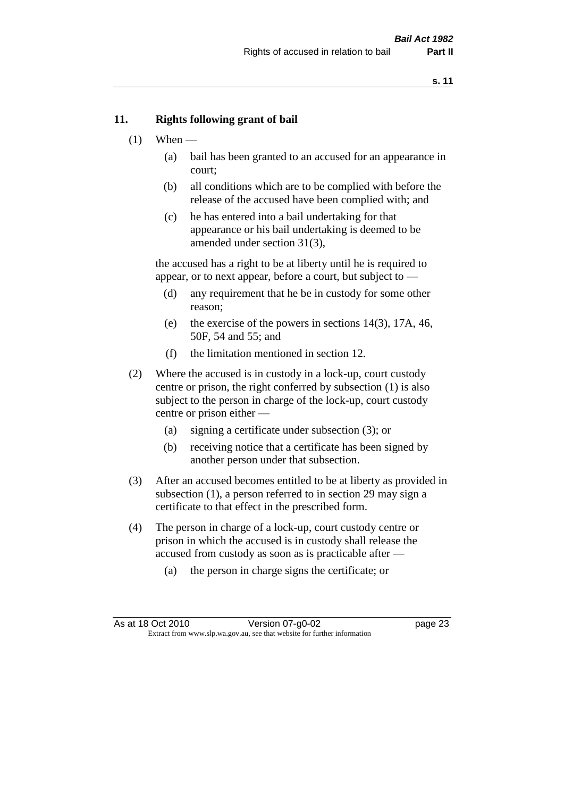#### **11. Rights following grant of bail**

- $(1)$  When
	- (a) bail has been granted to an accused for an appearance in court;
	- (b) all conditions which are to be complied with before the release of the accused have been complied with; and
	- (c) he has entered into a bail undertaking for that appearance or his bail undertaking is deemed to be amended under section 31(3),

the accused has a right to be at liberty until he is required to appear, or to next appear, before a court, but subject to —

- (d) any requirement that he be in custody for some other reason;
- (e) the exercise of the powers in sections 14(3), 17A, 46, 50F, 54 and 55; and
- (f) the limitation mentioned in section 12.
- (2) Where the accused is in custody in a lock-up, court custody centre or prison, the right conferred by subsection (1) is also subject to the person in charge of the lock-up, court custody centre or prison either —
	- (a) signing a certificate under subsection (3); or
	- (b) receiving notice that a certificate has been signed by another person under that subsection.
- (3) After an accused becomes entitled to be at liberty as provided in subsection (1), a person referred to in section 29 may sign a certificate to that effect in the prescribed form.
- (4) The person in charge of a lock-up, court custody centre or prison in which the accused is in custody shall release the accused from custody as soon as is practicable after —
	- (a) the person in charge signs the certificate; or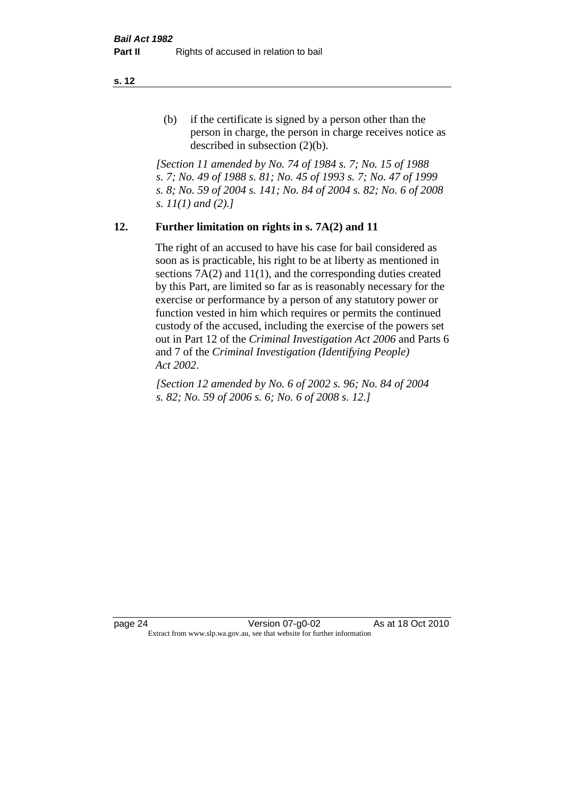(b) if the certificate is signed by a person other than the person in charge, the person in charge receives notice as described in subsection (2)(b).

*[Section 11 amended by No. 74 of 1984 s. 7; No. 15 of 1988 s. 7; No. 49 of 1988 s. 81; No. 45 of 1993 s. 7; No. 47 of 1999 s. 8; No. 59 of 2004 s. 141; No. 84 of 2004 s. 82; No. 6 of 2008 s. 11(1) and (2).]* 

#### **12. Further limitation on rights in s. 7A(2) and 11**

The right of an accused to have his case for bail considered as soon as is practicable, his right to be at liberty as mentioned in sections 7A(2) and 11(1), and the corresponding duties created by this Part, are limited so far as is reasonably necessary for the exercise or performance by a person of any statutory power or function vested in him which requires or permits the continued custody of the accused, including the exercise of the powers set out in Part 12 of the *Criminal Investigation Act 2006* and Parts 6 and 7 of the *Criminal Investigation (Identifying People) Act 2002*.

*[Section 12 amended by No. 6 of 2002 s. 96; No. 84 of 2004 s. 82; No. 59 of 2006 s. 6; No. 6 of 2008 s. 12.]*

page 24 Version 07-g0-02 As at 18 Oct 2010 Extract from www.slp.wa.gov.au, see that website for further information

**s. 12**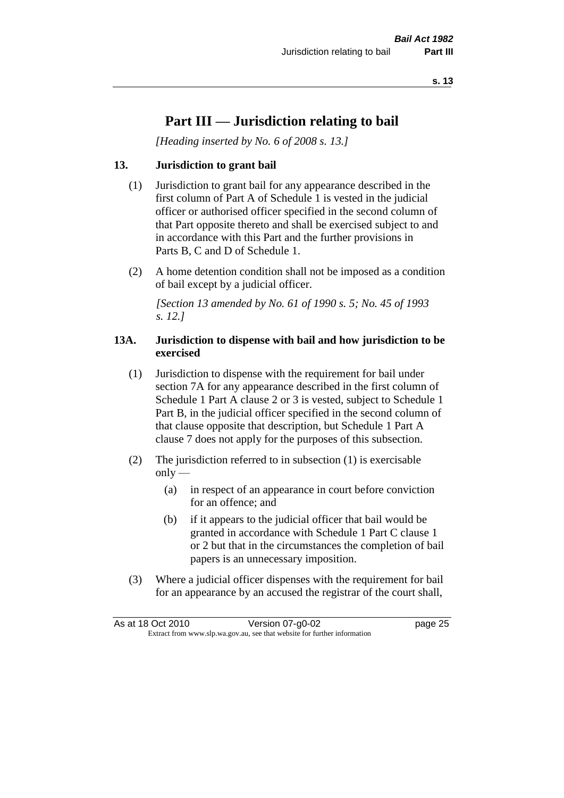## **Part III — Jurisdiction relating to bail**

*[Heading inserted by No. 6 of 2008 s. 13.]*

#### **13. Jurisdiction to grant bail**

- (1) Jurisdiction to grant bail for any appearance described in the first column of Part A of Schedule 1 is vested in the judicial officer or authorised officer specified in the second column of that Part opposite thereto and shall be exercised subject to and in accordance with this Part and the further provisions in Parts B, C and D of Schedule 1.
- (2) A home detention condition shall not be imposed as a condition of bail except by a judicial officer.

*[Section 13 amended by No. 61 of 1990 s. 5; No. 45 of 1993 s. 12.]* 

#### **13A. Jurisdiction to dispense with bail and how jurisdiction to be exercised**

- (1) Jurisdiction to dispense with the requirement for bail under section 7A for any appearance described in the first column of Schedule 1 Part A clause 2 or 3 is vested, subject to Schedule 1 Part B, in the judicial officer specified in the second column of that clause opposite that description, but Schedule 1 Part A clause 7 does not apply for the purposes of this subsection.
- (2) The jurisdiction referred to in subsection (1) is exercisable  $only$ —
	- (a) in respect of an appearance in court before conviction for an offence; and
	- (b) if it appears to the judicial officer that bail would be granted in accordance with Schedule 1 Part C clause 1 or 2 but that in the circumstances the completion of bail papers is an unnecessary imposition.
- (3) Where a judicial officer dispenses with the requirement for bail for an appearance by an accused the registrar of the court shall,

| As at 18 Oct 2010                                                        | Version 07-g0-02 | page 25 |
|--------------------------------------------------------------------------|------------------|---------|
| Extract from www.slp.wa.gov.au, see that website for further information |                  |         |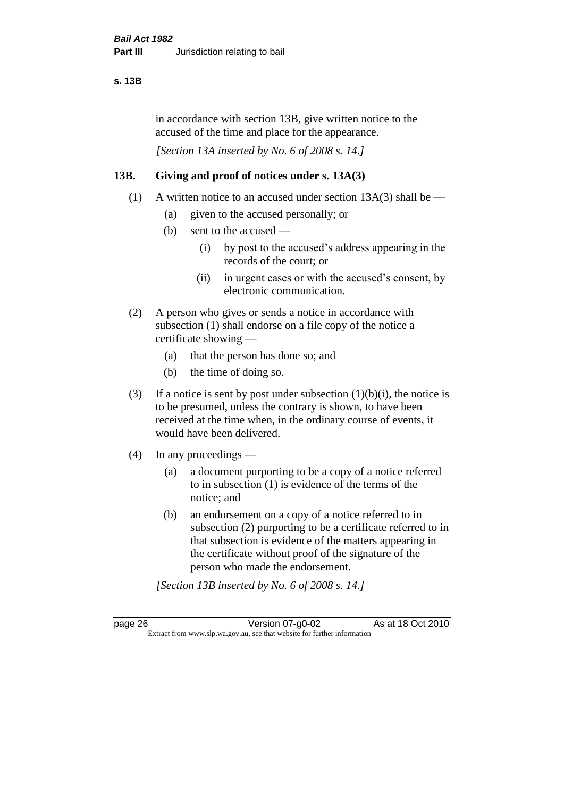#### **s. 13B**

in accordance with section 13B, give written notice to the accused of the time and place for the appearance.

*[Section 13A inserted by No. 6 of 2008 s. 14.]*

#### **13B. Giving and proof of notices under s. 13A(3)**

- (1) A written notice to an accused under section 13A(3) shall be
	- (a) given to the accused personally; or
	- (b) sent to the accused
		- (i) by post to the accused's address appearing in the records of the court; or
		- (ii) in urgent cases or with the accused's consent, by electronic communication.
- (2) A person who gives or sends a notice in accordance with subsection (1) shall endorse on a file copy of the notice a certificate showing —
	- (a) that the person has done so; and
	- (b) the time of doing so.
- (3) If a notice is sent by post under subsection  $(1)(b)(i)$ , the notice is to be presumed, unless the contrary is shown, to have been received at the time when, in the ordinary course of events, it would have been delivered.
- (4) In any proceedings
	- (a) a document purporting to be a copy of a notice referred to in subsection (1) is evidence of the terms of the notice; and
	- (b) an endorsement on a copy of a notice referred to in subsection (2) purporting to be a certificate referred to in that subsection is evidence of the matters appearing in the certificate without proof of the signature of the person who made the endorsement.

*[Section 13B inserted by No. 6 of 2008 s. 14.]*

page 26 Version 07-g0-02 As at 18 Oct 2010 Extract from www.slp.wa.gov.au, see that website for further information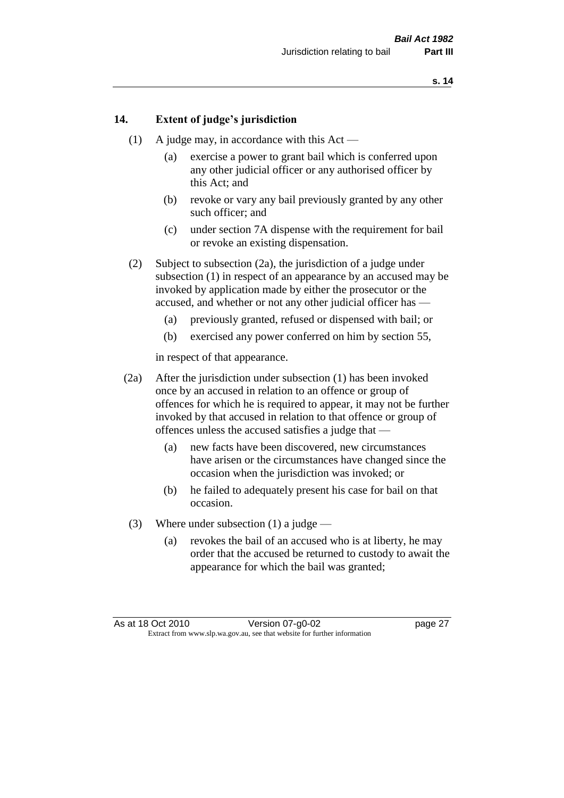#### **14. Extent of judge's jurisdiction**

- (1) A judge may, in accordance with this  $Act -$ 
	- (a) exercise a power to grant bail which is conferred upon any other judicial officer or any authorised officer by this Act; and
	- (b) revoke or vary any bail previously granted by any other such officer; and
	- (c) under section 7A dispense with the requirement for bail or revoke an existing dispensation.
- (2) Subject to subsection (2a), the jurisdiction of a judge under subsection (1) in respect of an appearance by an accused may be invoked by application made by either the prosecutor or the accused, and whether or not any other judicial officer has —
	- (a) previously granted, refused or dispensed with bail; or
	- (b) exercised any power conferred on him by section 55,

in respect of that appearance.

- (2a) After the jurisdiction under subsection (1) has been invoked once by an accused in relation to an offence or group of offences for which he is required to appear, it may not be further invoked by that accused in relation to that offence or group of offences unless the accused satisfies a judge that —
	- (a) new facts have been discovered, new circumstances have arisen or the circumstances have changed since the occasion when the jurisdiction was invoked; or
	- (b) he failed to adequately present his case for bail on that occasion.
- (3) Where under subsection (1) a judge
	- (a) revokes the bail of an accused who is at liberty, he may order that the accused be returned to custody to await the appearance for which the bail was granted;

As at 18 Oct 2010 Version 07-g0-02 page 27 Extract from www.slp.wa.gov.au, see that website for further information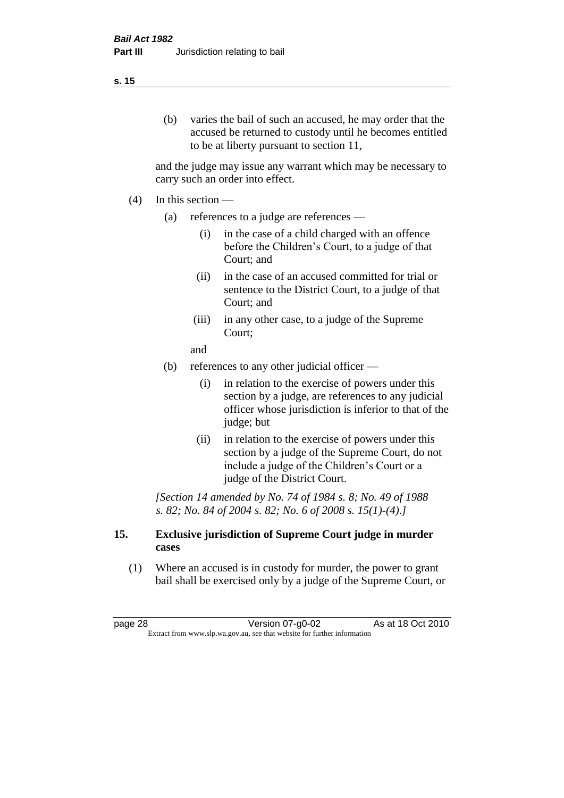#### **s. 15**

(b) varies the bail of such an accused, he may order that the accused be returned to custody until he becomes entitled to be at liberty pursuant to section 11,

and the judge may issue any warrant which may be necessary to carry such an order into effect.

- $(4)$  In this section
	- (a) references to a judge are references
		- (i) in the case of a child charged with an offence before the Children's Court, to a judge of that Court; and
		- (ii) in the case of an accused committed for trial or sentence to the District Court, to a judge of that Court; and
		- (iii) in any other case, to a judge of the Supreme Court;
		- and
	- (b) references to any other judicial officer
		- (i) in relation to the exercise of powers under this section by a judge, are references to any judicial officer whose jurisdiction is inferior to that of the judge; but
		- (ii) in relation to the exercise of powers under this section by a judge of the Supreme Court, do not include a judge of the Children's Court or a judge of the District Court.

*[Section 14 amended by No. 74 of 1984 s. 8; No. 49 of 1988 s. 82; No. 84 of 2004 s. 82; No. 6 of 2008 s. 15(1)-(4).]* 

#### **15. Exclusive jurisdiction of Supreme Court judge in murder cases**

(1) Where an accused is in custody for murder, the power to grant bail shall be exercised only by a judge of the Supreme Court, or

page 28 Version 07-g0-02 As at 18 Oct 2010 Extract from www.slp.wa.gov.au, see that website for further information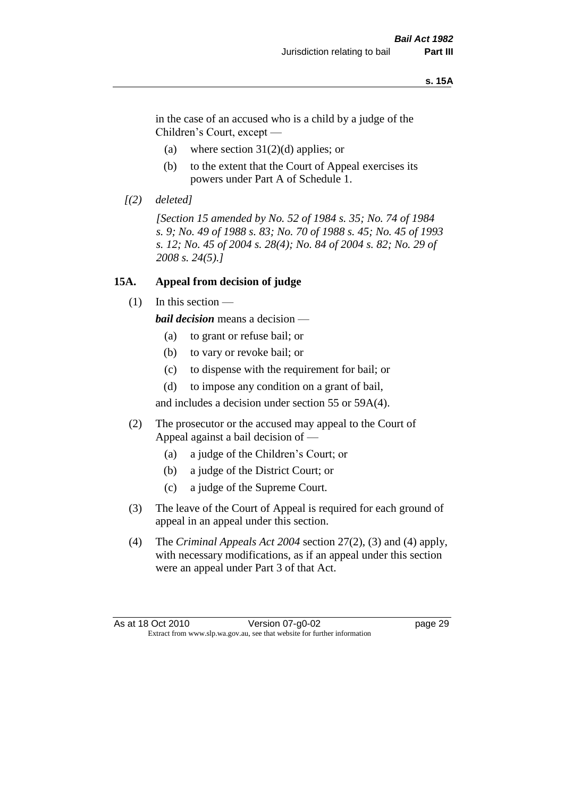#### **s. 15A**

in the case of an accused who is a child by a judge of the Children's Court, except —

- (a) where section  $31(2)(d)$  applies; or
- (b) to the extent that the Court of Appeal exercises its powers under Part A of Schedule 1.
- *[(2) deleted]*

*[Section 15 amended by No. 52 of 1984 s. 35; No. 74 of 1984 s. 9; No. 49 of 1988 s. 83; No. 70 of 1988 s. 45; No. 45 of 1993 s. 12; No. 45 of 2004 s. 28(4); No. 84 of 2004 s. 82; No. 29 of 2008 s. 24(5).]* 

#### **15A. Appeal from decision of judge**

(1) In this section —

*bail decision* means a decision —

- (a) to grant or refuse bail; or
- (b) to vary or revoke bail; or
- (c) to dispense with the requirement for bail; or
- (d) to impose any condition on a grant of bail,

and includes a decision under section 55 or 59A(4).

- (2) The prosecutor or the accused may appeal to the Court of Appeal against a bail decision of —
	- (a) a judge of the Children's Court; or
	- (b) a judge of the District Court; or
	- (c) a judge of the Supreme Court.
- (3) The leave of the Court of Appeal is required for each ground of appeal in an appeal under this section.
- (4) The *Criminal Appeals Act 2004* section 27(2), (3) and (4) apply, with necessary modifications, as if an appeal under this section were an appeal under Part 3 of that Act.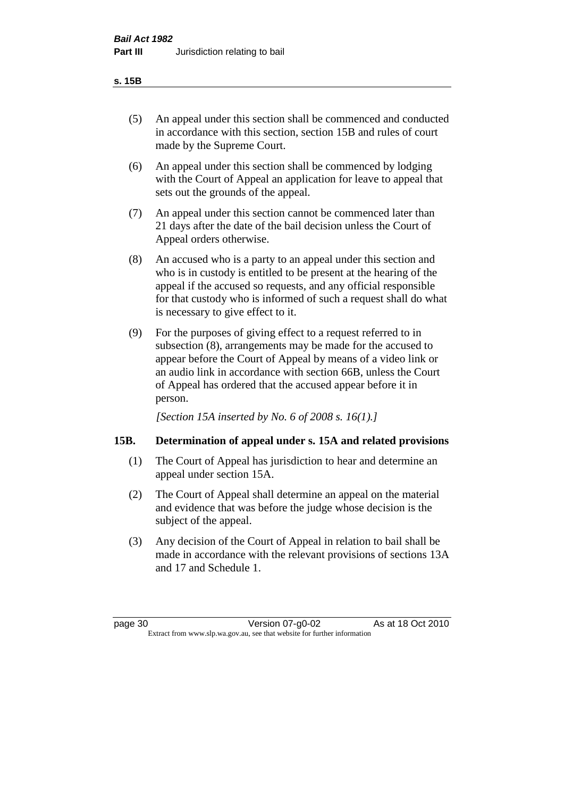#### **s. 15B**

- (5) An appeal under this section shall be commenced and conducted in accordance with this section, section 15B and rules of court made by the Supreme Court.
- (6) An appeal under this section shall be commenced by lodging with the Court of Appeal an application for leave to appeal that sets out the grounds of the appeal.
- (7) An appeal under this section cannot be commenced later than 21 days after the date of the bail decision unless the Court of Appeal orders otherwise.
- (8) An accused who is a party to an appeal under this section and who is in custody is entitled to be present at the hearing of the appeal if the accused so requests, and any official responsible for that custody who is informed of such a request shall do what is necessary to give effect to it.
- (9) For the purposes of giving effect to a request referred to in subsection (8), arrangements may be made for the accused to appear before the Court of Appeal by means of a video link or an audio link in accordance with section 66B, unless the Court of Appeal has ordered that the accused appear before it in person.

*[Section 15A inserted by No. 6 of 2008 s. 16(1).]*

# **15B. Determination of appeal under s. 15A and related provisions**

- (1) The Court of Appeal has jurisdiction to hear and determine an appeal under section 15A.
- (2) The Court of Appeal shall determine an appeal on the material and evidence that was before the judge whose decision is the subject of the appeal.
- (3) Any decision of the Court of Appeal in relation to bail shall be made in accordance with the relevant provisions of sections 13A and 17 and Schedule 1.

page 30 Version 07-g0-02 As at 18 Oct 2010 Extract from www.slp.wa.gov.au, see that website for further information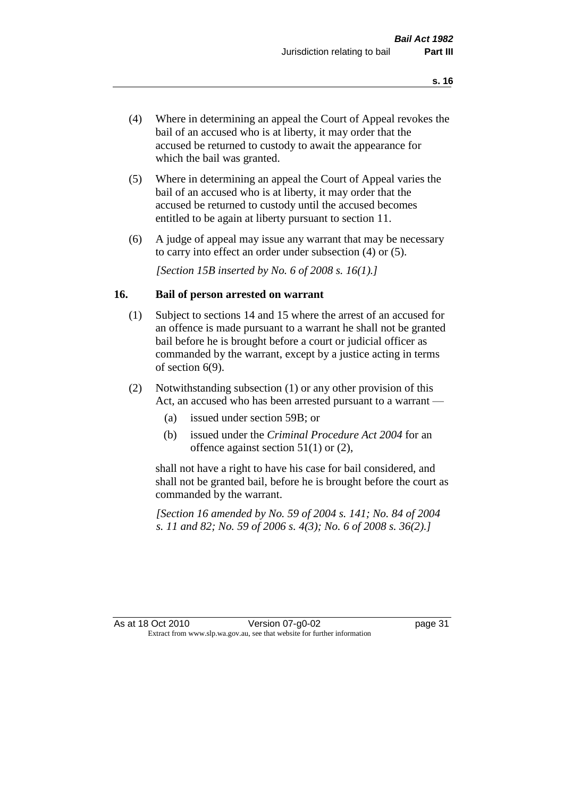- (4) Where in determining an appeal the Court of Appeal revokes the bail of an accused who is at liberty, it may order that the accused be returned to custody to await the appearance for which the bail was granted.
- (5) Where in determining an appeal the Court of Appeal varies the bail of an accused who is at liberty, it may order that the accused be returned to custody until the accused becomes entitled to be again at liberty pursuant to section 11.
- (6) A judge of appeal may issue any warrant that may be necessary to carry into effect an order under subsection (4) or (5).

*[Section 15B inserted by No. 6 of 2008 s. 16(1).]*

#### **16. Bail of person arrested on warrant**

- (1) Subject to sections 14 and 15 where the arrest of an accused for an offence is made pursuant to a warrant he shall not be granted bail before he is brought before a court or judicial officer as commanded by the warrant, except by a justice acting in terms of section 6(9).
- (2) Notwithstanding subsection (1) or any other provision of this Act, an accused who has been arrested pursuant to a warrant —
	- (a) issued under section 59B; or
	- (b) issued under the *Criminal Procedure Act 2004* for an offence against section 51(1) or (2),

shall not have a right to have his case for bail considered, and shall not be granted bail, before he is brought before the court as commanded by the warrant.

*[Section 16 amended by No. 59 of 2004 s. 141; No. 84 of 2004 s. 11 and 82; No. 59 of 2006 s. 4(3); No. 6 of 2008 s. 36(2).]*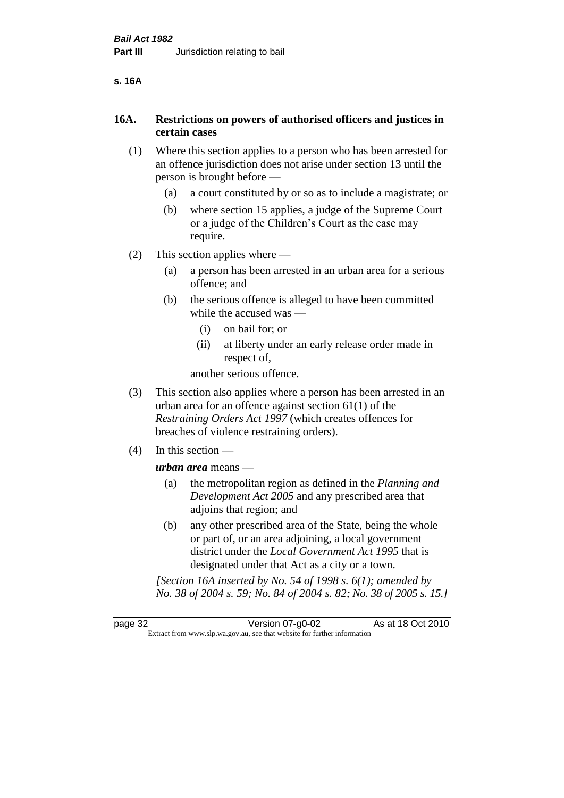# **16A. Restrictions on powers of authorised officers and justices in certain cases**

- (1) Where this section applies to a person who has been arrested for an offence jurisdiction does not arise under section 13 until the person is brought before —
	- (a) a court constituted by or so as to include a magistrate; or
	- (b) where section 15 applies, a judge of the Supreme Court or a judge of the Children's Court as the case may require.
- (2) This section applies where
	- (a) a person has been arrested in an urban area for a serious offence; and
	- (b) the serious offence is alleged to have been committed while the accused was —
		- (i) on bail for; or
		- (ii) at liberty under an early release order made in respect of,

another serious offence.

- (3) This section also applies where a person has been arrested in an urban area for an offence against section 61(1) of the *Restraining Orders Act 1997* (which creates offences for breaches of violence restraining orders).
- (4) In this section —

*urban area* means —

- (a) the metropolitan region as defined in the *Planning and Development Act 2005* and any prescribed area that adjoins that region; and
- (b) any other prescribed area of the State, being the whole or part of, or an area adjoining, a local government district under the *Local Government Act 1995* that is designated under that Act as a city or a town.

*[Section 16A inserted by No. 54 of 1998 s. 6(1); amended by No. 38 of 2004 s. 59; No. 84 of 2004 s. 82; No. 38 of 2005 s. 15.]*

page 32 Version 07-g0-02 As at 18 Oct 2010 Extract from www.slp.wa.gov.au, see that website for further information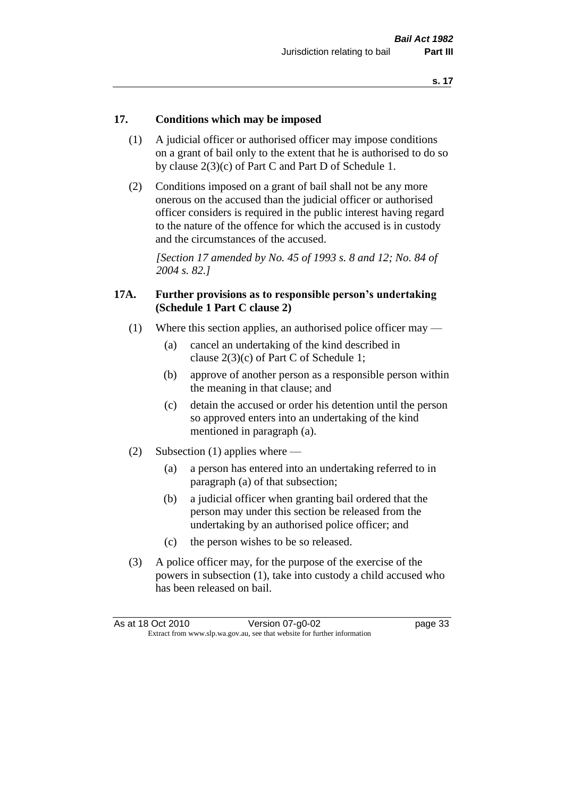#### **17. Conditions which may be imposed**

- (1) A judicial officer or authorised officer may impose conditions on a grant of bail only to the extent that he is authorised to do so by clause 2(3)(c) of Part C and Part D of Schedule 1.
- (2) Conditions imposed on a grant of bail shall not be any more onerous on the accused than the judicial officer or authorised officer considers is required in the public interest having regard to the nature of the offence for which the accused is in custody and the circumstances of the accused.

*[Section 17 amended by No. 45 of 1993 s. 8 and 12; No. 84 of 2004 s. 82.]* 

#### **17A. Further provisions as to responsible person's undertaking (Schedule 1 Part C clause 2)**

- (1) Where this section applies, an authorised police officer may
	- (a) cancel an undertaking of the kind described in clause 2(3)(c) of Part C of Schedule 1;
	- (b) approve of another person as a responsible person within the meaning in that clause; and
	- (c) detain the accused or order his detention until the person so approved enters into an undertaking of the kind mentioned in paragraph (a).
- (2) Subsection (1) applies where
	- (a) a person has entered into an undertaking referred to in paragraph (a) of that subsection;
	- (b) a judicial officer when granting bail ordered that the person may under this section be released from the undertaking by an authorised police officer; and
	- (c) the person wishes to be so released.
- (3) A police officer may, for the purpose of the exercise of the powers in subsection (1), take into custody a child accused who has been released on bail.

| As at 18 Oct 2010 | Version 07-g0-02                                                         | page 33 |
|-------------------|--------------------------------------------------------------------------|---------|
|                   | Extract from www.slp.wa.gov.au, see that website for further information |         |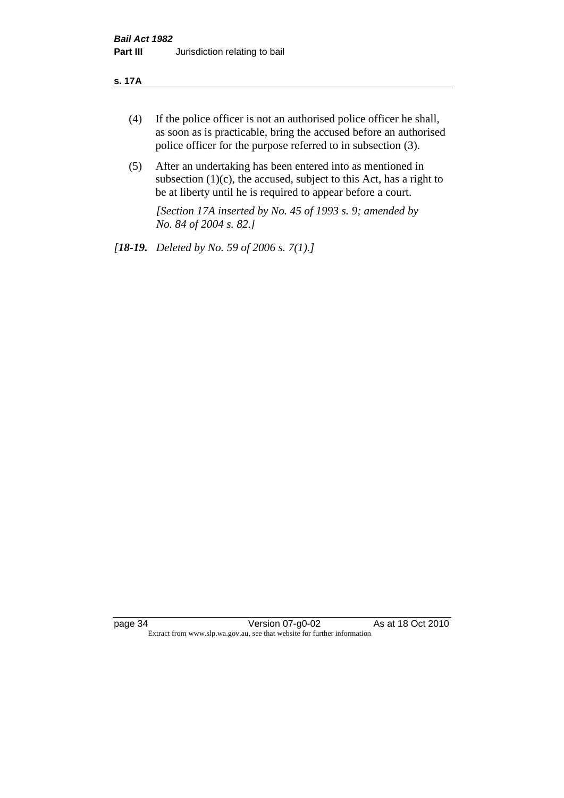#### **s. 17A**

- (4) If the police officer is not an authorised police officer he shall, as soon as is practicable, bring the accused before an authorised police officer for the purpose referred to in subsection (3).
- (5) After an undertaking has been entered into as mentioned in subsection  $(1)(c)$ , the accused, subject to this Act, has a right to be at liberty until he is required to appear before a court.

*[Section 17A inserted by No. 45 of 1993 s. 9; amended by No. 84 of 2004 s. 82.]* 

*[18-19. Deleted by No. 59 of 2006 s. 7(1).]*

page 34 Version 07-g0-02 As at 18 Oct 2010 Extract from www.slp.wa.gov.au, see that website for further information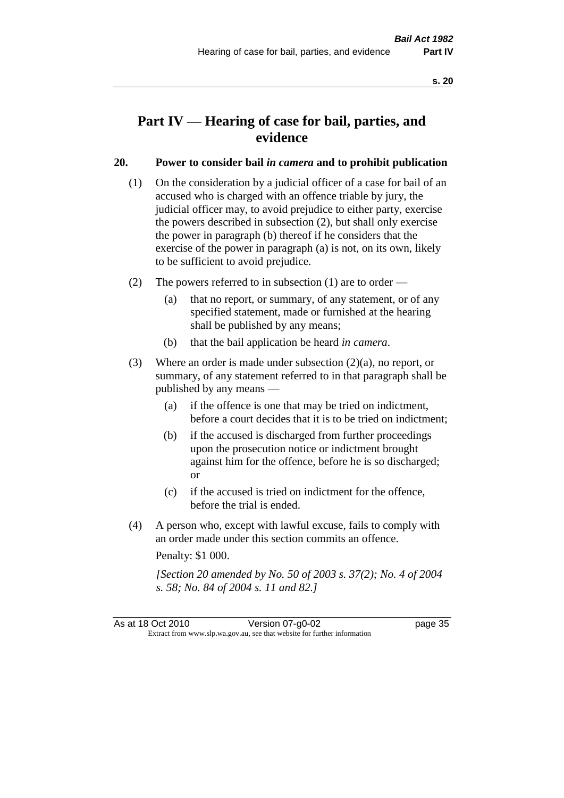# **Part IV — Hearing of case for bail, parties, and evidence**

# **20. Power to consider bail** *in camera* **and to prohibit publication**

- (1) On the consideration by a judicial officer of a case for bail of an accused who is charged with an offence triable by jury, the judicial officer may, to avoid prejudice to either party, exercise the powers described in subsection (2), but shall only exercise the power in paragraph (b) thereof if he considers that the exercise of the power in paragraph (a) is not, on its own, likely to be sufficient to avoid prejudice.
- (2) The powers referred to in subsection (1) are to order
	- (a) that no report, or summary, of any statement, or of any specified statement, made or furnished at the hearing shall be published by any means;
	- (b) that the bail application be heard *in camera*.
- (3) Where an order is made under subsection (2)(a), no report, or summary, of any statement referred to in that paragraph shall be published by any means —
	- (a) if the offence is one that may be tried on indictment, before a court decides that it is to be tried on indictment;
	- (b) if the accused is discharged from further proceedings upon the prosecution notice or indictment brought against him for the offence, before he is so discharged; or
	- (c) if the accused is tried on indictment for the offence, before the trial is ended.
- (4) A person who, except with lawful excuse, fails to comply with an order made under this section commits an offence.

Penalty: \$1 000.

*[Section 20 amended by No. 50 of 2003 s. 37(2); No. 4 of 2004 s. 58; No. 84 of 2004 s. 11 and 82.]*

As at 18 Oct 2010 Version 07-g0-02 Page 35 Extract from www.slp.wa.gov.au, see that website for further information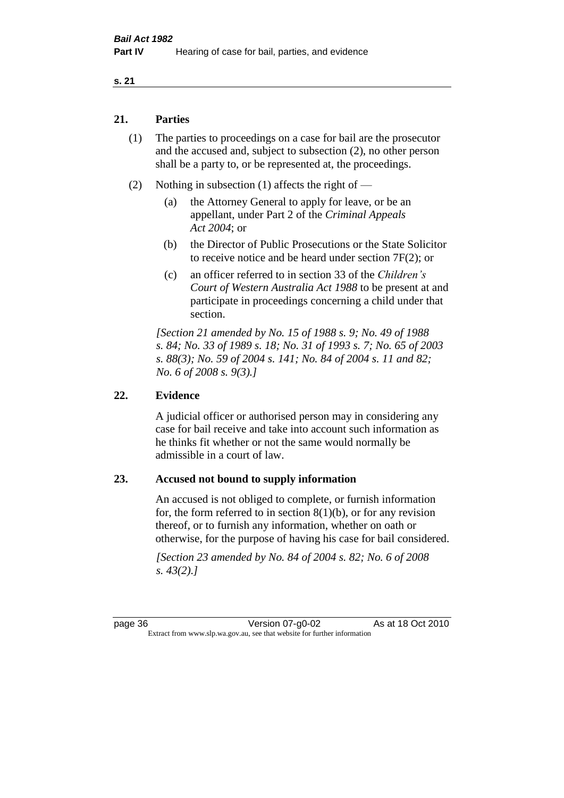#### **s. 21**

#### **21. Parties**

- (1) The parties to proceedings on a case for bail are the prosecutor and the accused and, subject to subsection (2), no other person shall be a party to, or be represented at, the proceedings.
- (2) Nothing in subsection (1) affects the right of
	- (a) the Attorney General to apply for leave, or be an appellant, under Part 2 of the *Criminal Appeals Act 2004*; or
	- (b) the Director of Public Prosecutions or the State Solicitor to receive notice and be heard under section 7F(2); or
	- (c) an officer referred to in section 33 of the *Children's Court of Western Australia Act 1988* to be present at and participate in proceedings concerning a child under that section.

*[Section 21 amended by No. 15 of 1988 s. 9; No. 49 of 1988 s. 84; No. 33 of 1989 s. 18; No. 31 of 1993 s. 7; No. 65 of 2003 s. 88(3); No. 59 of 2004 s. 141; No. 84 of 2004 s. 11 and 82; No. 6 of 2008 s. 9(3).]* 

#### **22. Evidence**

A judicial officer or authorised person may in considering any case for bail receive and take into account such information as he thinks fit whether or not the same would normally be admissible in a court of law.

#### **23. Accused not bound to supply information**

An accused is not obliged to complete, or furnish information for, the form referred to in section  $8(1)(b)$ , or for any revision thereof, or to furnish any information, whether on oath or otherwise, for the purpose of having his case for bail considered.

*[Section 23 amended by No. 84 of 2004 s. 82; No. 6 of 2008 s. 43(2).]*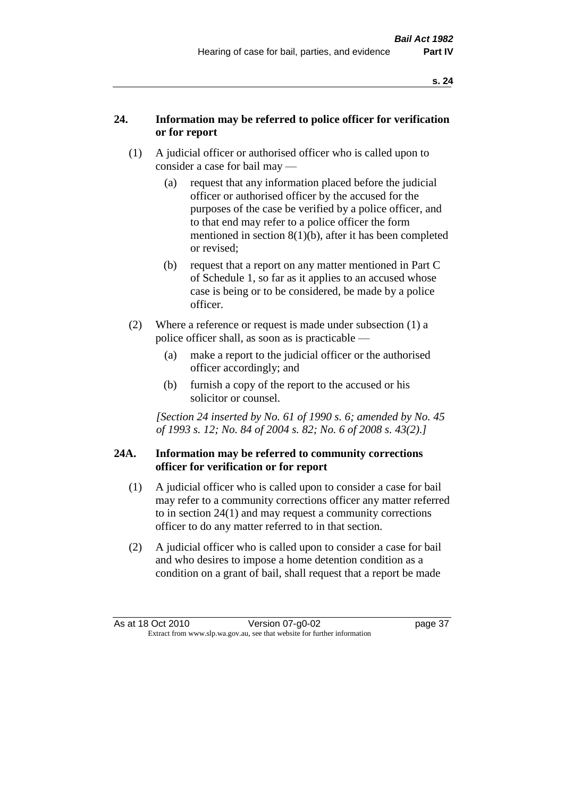# **24. Information may be referred to police officer for verification or for report**

- (1) A judicial officer or authorised officer who is called upon to consider a case for bail may —
	- (a) request that any information placed before the judicial officer or authorised officer by the accused for the purposes of the case be verified by a police officer, and to that end may refer to a police officer the form mentioned in section 8(1)(b), after it has been completed or revised;
	- (b) request that a report on any matter mentioned in Part C of Schedule 1, so far as it applies to an accused whose case is being or to be considered, be made by a police officer.
- (2) Where a reference or request is made under subsection (1) a police officer shall, as soon as is practicable —
	- (a) make a report to the judicial officer or the authorised officer accordingly; and
	- (b) furnish a copy of the report to the accused or his solicitor or counsel.

*[Section 24 inserted by No. 61 of 1990 s. 6; amended by No. 45 of 1993 s. 12; No. 84 of 2004 s. 82; No. 6 of 2008 s. 43(2).]* 

# **24A. Information may be referred to community corrections officer for verification or for report**

- (1) A judicial officer who is called upon to consider a case for bail may refer to a community corrections officer any matter referred to in section 24(1) and may request a community corrections officer to do any matter referred to in that section.
- (2) A judicial officer who is called upon to consider a case for bail and who desires to impose a home detention condition as a condition on a grant of bail, shall request that a report be made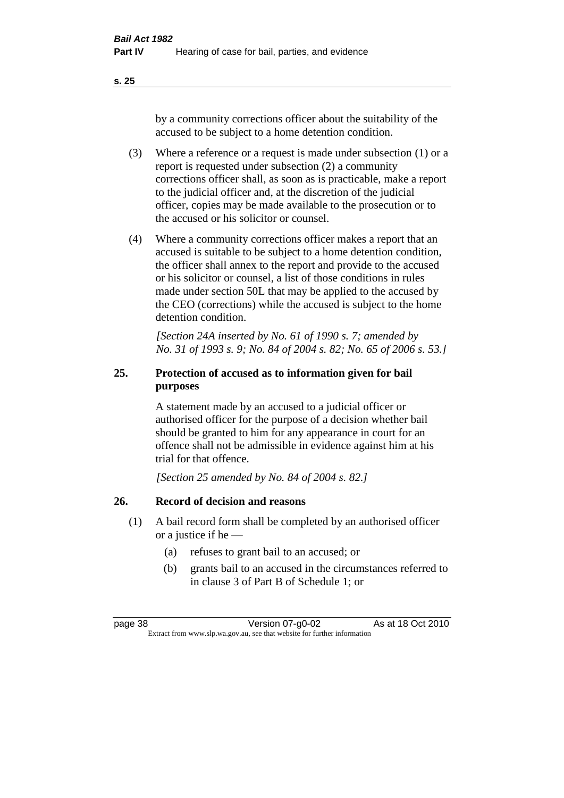**s. 25**

by a community corrections officer about the suitability of the accused to be subject to a home detention condition.

- (3) Where a reference or a request is made under subsection (1) or a report is requested under subsection (2) a community corrections officer shall, as soon as is practicable, make a report to the judicial officer and, at the discretion of the judicial officer, copies may be made available to the prosecution or to the accused or his solicitor or counsel.
- (4) Where a community corrections officer makes a report that an accused is suitable to be subject to a home detention condition, the officer shall annex to the report and provide to the accused or his solicitor or counsel, a list of those conditions in rules made under section 50L that may be applied to the accused by the CEO (corrections) while the accused is subject to the home detention condition.

*[Section 24A inserted by No. 61 of 1990 s. 7; amended by No. 31 of 1993 s. 9; No. 84 of 2004 s. 82; No. 65 of 2006 s. 53.]* 

# **25. Protection of accused as to information given for bail purposes**

A statement made by an accused to a judicial officer or authorised officer for the purpose of a decision whether bail should be granted to him for any appearance in court for an offence shall not be admissible in evidence against him at his trial for that offence.

*[Section 25 amended by No. 84 of 2004 s. 82.]* 

# **26. Record of decision and reasons**

- (1) A bail record form shall be completed by an authorised officer or a justice if he —
	- (a) refuses to grant bail to an accused; or
	- (b) grants bail to an accused in the circumstances referred to in clause 3 of Part B of Schedule 1; or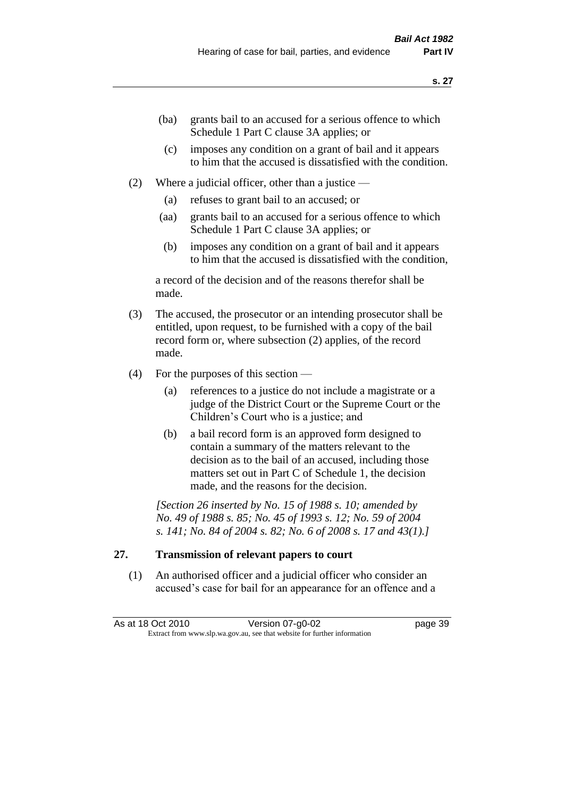- (ba) grants bail to an accused for a serious offence to which Schedule 1 Part C clause 3A applies; or
- (c) imposes any condition on a grant of bail and it appears to him that the accused is dissatisfied with the condition.
- (2) Where a judicial officer, other than a justice
	- (a) refuses to grant bail to an accused; or
	- (aa) grants bail to an accused for a serious offence to which Schedule 1 Part C clause 3A applies; or
	- (b) imposes any condition on a grant of bail and it appears to him that the accused is dissatisfied with the condition,

a record of the decision and of the reasons therefor shall be made.

- (3) The accused, the prosecutor or an intending prosecutor shall be entitled, upon request, to be furnished with a copy of the bail record form or, where subsection (2) applies, of the record made.
- (4) For the purposes of this section
	- (a) references to a justice do not include a magistrate or a judge of the District Court or the Supreme Court or the Children's Court who is a justice; and
	- (b) a bail record form is an approved form designed to contain a summary of the matters relevant to the decision as to the bail of an accused, including those matters set out in Part C of Schedule 1, the decision made, and the reasons for the decision.

*[Section 26 inserted by No. 15 of 1988 s. 10; amended by No. 49 of 1988 s. 85; No. 45 of 1993 s. 12; No. 59 of 2004 s. 141; No. 84 of 2004 s. 82; No. 6 of 2008 s. 17 and 43(1).]* 

# **27. Transmission of relevant papers to court**

(1) An authorised officer and a judicial officer who consider an accused's case for bail for an appearance for an offence and a

| As at 18 Oct 2010 | Version 07-g0-02                                                         | page 39 |
|-------------------|--------------------------------------------------------------------------|---------|
|                   | Extract from www.slp.wa.gov.au, see that website for further information |         |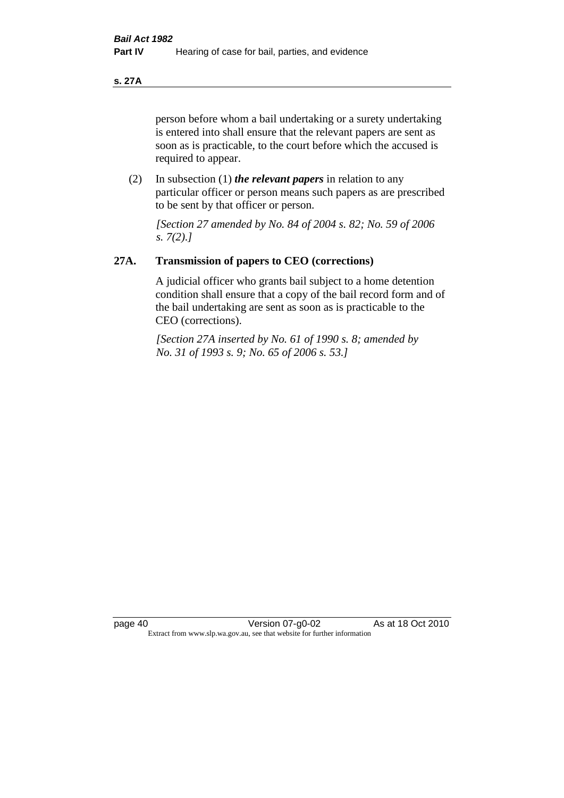**s. 27A**

person before whom a bail undertaking or a surety undertaking is entered into shall ensure that the relevant papers are sent as soon as is practicable, to the court before which the accused is required to appear.

(2) In subsection (1) *the relevant papers* in relation to any particular officer or person means such papers as are prescribed to be sent by that officer or person.

*[Section 27 amended by No. 84 of 2004 s. 82; No. 59 of 2006 s. 7(2).]* 

# **27A. Transmission of papers to CEO (corrections)**

A judicial officer who grants bail subject to a home detention condition shall ensure that a copy of the bail record form and of the bail undertaking are sent as soon as is practicable to the CEO (corrections).

*[Section 27A inserted by No. 61 of 1990 s. 8; amended by No. 31 of 1993 s. 9; No. 65 of 2006 s. 53.]*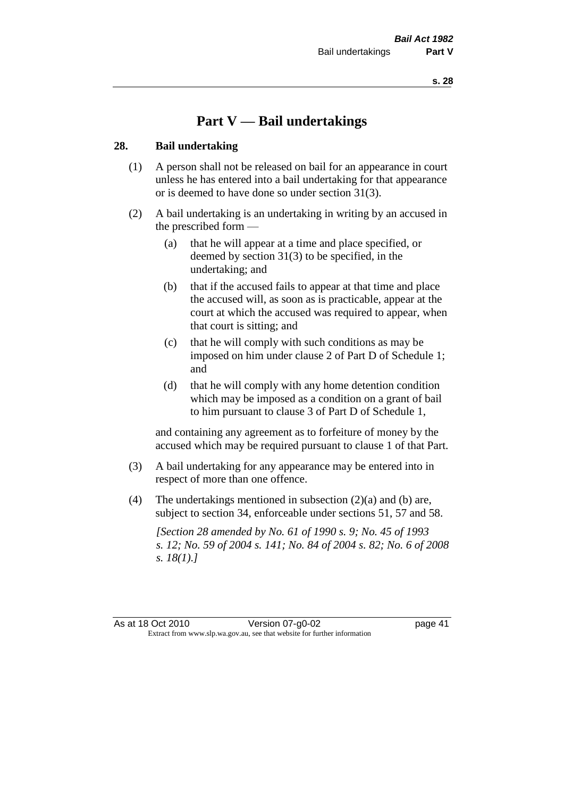# **Part V — Bail undertakings**

#### **28. Bail undertaking**

- (1) A person shall not be released on bail for an appearance in court unless he has entered into a bail undertaking for that appearance or is deemed to have done so under section 31(3).
- (2) A bail undertaking is an undertaking in writing by an accused in the prescribed form —
	- (a) that he will appear at a time and place specified, or deemed by section 31(3) to be specified, in the undertaking; and
	- (b) that if the accused fails to appear at that time and place the accused will, as soon as is practicable, appear at the court at which the accused was required to appear, when that court is sitting; and
	- (c) that he will comply with such conditions as may be imposed on him under clause 2 of Part D of Schedule 1; and
	- (d) that he will comply with any home detention condition which may be imposed as a condition on a grant of bail to him pursuant to clause 3 of Part D of Schedule 1,

and containing any agreement as to forfeiture of money by the accused which may be required pursuant to clause 1 of that Part.

- (3) A bail undertaking for any appearance may be entered into in respect of more than one offence.
- (4) The undertakings mentioned in subsection (2)(a) and (b) are, subject to section 34, enforceable under sections 51, 57 and 58.

*[Section 28 amended by No. 61 of 1990 s. 9; No. 45 of 1993 s. 12; No. 59 of 2004 s. 141; No. 84 of 2004 s. 82; No. 6 of 2008 s. 18(1).]* 

As at 18 Oct 2010 Version 07-g0-02 page 41 Extract from www.slp.wa.gov.au, see that website for further information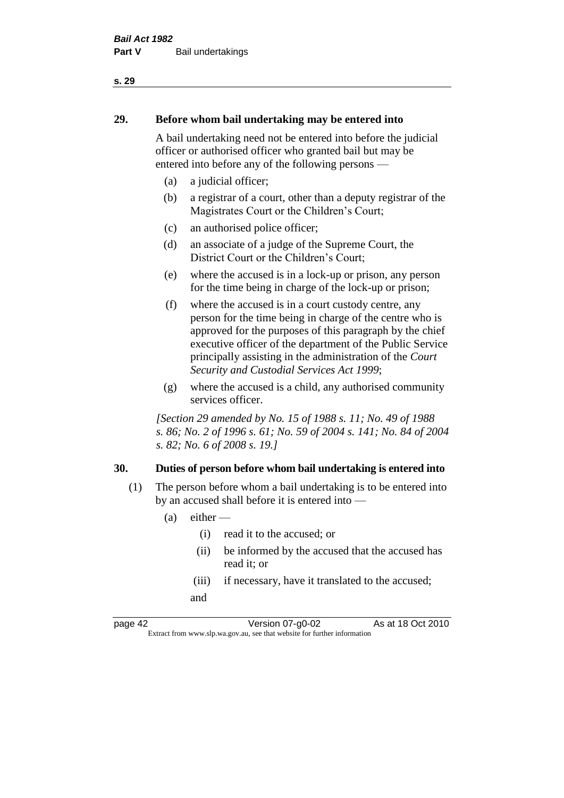# **29. Before whom bail undertaking may be entered into**

A bail undertaking need not be entered into before the judicial officer or authorised officer who granted bail but may be entered into before any of the following persons —

- (a) a judicial officer;
- (b) a registrar of a court, other than a deputy registrar of the Magistrates Court or the Children's Court;
- (c) an authorised police officer;
- (d) an associate of a judge of the Supreme Court, the District Court or the Children's Court;
- (e) where the accused is in a lock-up or prison, any person for the time being in charge of the lock-up or prison;
- (f) where the accused is in a court custody centre, any person for the time being in charge of the centre who is approved for the purposes of this paragraph by the chief executive officer of the department of the Public Service principally assisting in the administration of the *Court Security and Custodial Services Act 1999*;
- (g) where the accused is a child, any authorised community services officer.

*[Section 29 amended by No. 15 of 1988 s. 11; No. 49 of 1988 s. 86; No. 2 of 1996 s. 61; No. 59 of 2004 s. 141; No. 84 of 2004 s. 82; No. 6 of 2008 s. 19.]* 

#### **30. Duties of person before whom bail undertaking is entered into**

- (1) The person before whom a bail undertaking is to be entered into by an accused shall before it is entered into —
	- $(a)$  either
		- (i) read it to the accused; or
		- (ii) be informed by the accused that the accused has read it; or
		- (iii) if necessary, have it translated to the accused; and

page 42 Version 07-g0-02 As at 18 Oct 2010 Extract from www.slp.wa.gov.au, see that website for further information

**s. 29**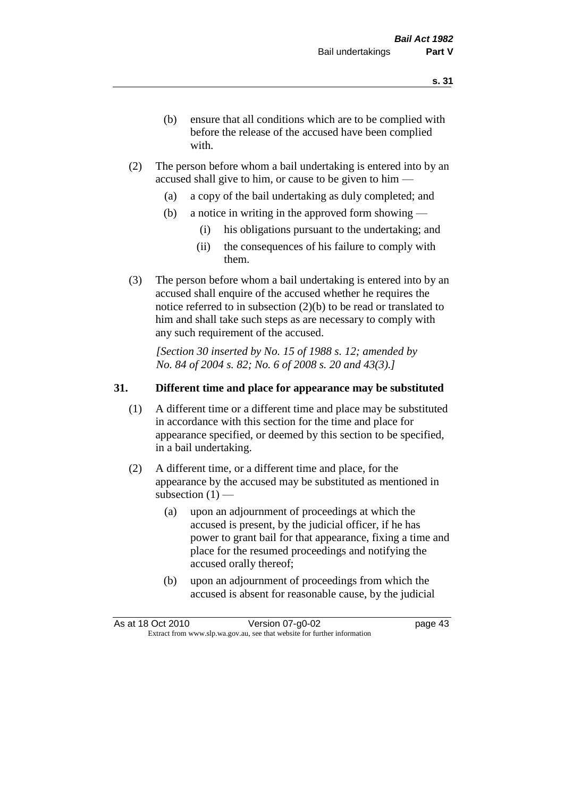- (b) ensure that all conditions which are to be complied with before the release of the accused have been complied with.
- (2) The person before whom a bail undertaking is entered into by an accused shall give to him, or cause to be given to him —
	- (a) a copy of the bail undertaking as duly completed; and
	- (b) a notice in writing in the approved form showing
		- (i) his obligations pursuant to the undertaking; and
		- (ii) the consequences of his failure to comply with them.
- (3) The person before whom a bail undertaking is entered into by an accused shall enquire of the accused whether he requires the notice referred to in subsection (2)(b) to be read or translated to him and shall take such steps as are necessary to comply with any such requirement of the accused.

*[Section 30 inserted by No. 15 of 1988 s. 12; amended by No. 84 of 2004 s. 82; No. 6 of 2008 s. 20 and 43(3).]* 

#### **31. Different time and place for appearance may be substituted**

- (1) A different time or a different time and place may be substituted in accordance with this section for the time and place for appearance specified, or deemed by this section to be specified, in a bail undertaking.
- (2) A different time, or a different time and place, for the appearance by the accused may be substituted as mentioned in subsection  $(1)$  —
	- (a) upon an adjournment of proceedings at which the accused is present, by the judicial officer, if he has power to grant bail for that appearance, fixing a time and place for the resumed proceedings and notifying the accused orally thereof;
	- (b) upon an adjournment of proceedings from which the accused is absent for reasonable cause, by the judicial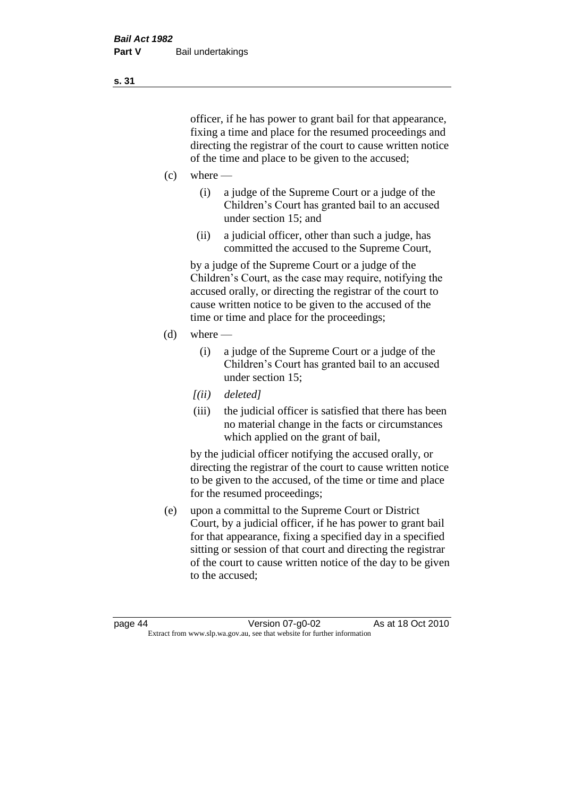officer, if he has power to grant bail for that appearance, fixing a time and place for the resumed proceedings and directing the registrar of the court to cause written notice of the time and place to be given to the accused;

- $(c)$  where
	- (i) a judge of the Supreme Court or a judge of the Children's Court has granted bail to an accused under section 15; and
	- (ii) a judicial officer, other than such a judge, has committed the accused to the Supreme Court,

by a judge of the Supreme Court or a judge of the Children's Court, as the case may require, notifying the accused orally, or directing the registrar of the court to cause written notice to be given to the accused of the time or time and place for the proceedings;

- $(d)$  where
	- (i) a judge of the Supreme Court or a judge of the Children's Court has granted bail to an accused under section 15;
	- *[(ii) deleted]*
	- (iii) the judicial officer is satisfied that there has been no material change in the facts or circumstances which applied on the grant of bail,

by the judicial officer notifying the accused orally, or directing the registrar of the court to cause written notice to be given to the accused, of the time or time and place for the resumed proceedings;

(e) upon a committal to the Supreme Court or District Court, by a judicial officer, if he has power to grant bail for that appearance, fixing a specified day in a specified sitting or session of that court and directing the registrar of the court to cause written notice of the day to be given to the accused;

**s. 31**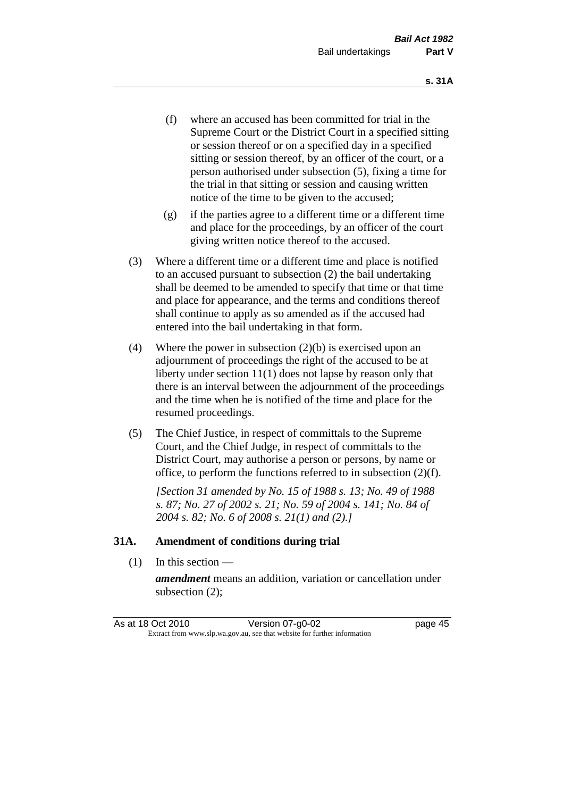- (f) where an accused has been committed for trial in the Supreme Court or the District Court in a specified sitting or session thereof or on a specified day in a specified sitting or session thereof, by an officer of the court, or a person authorised under subsection (5), fixing a time for the trial in that sitting or session and causing written notice of the time to be given to the accused;
- (g) if the parties agree to a different time or a different time and place for the proceedings, by an officer of the court giving written notice thereof to the accused.
- (3) Where a different time or a different time and place is notified to an accused pursuant to subsection (2) the bail undertaking shall be deemed to be amended to specify that time or that time and place for appearance, and the terms and conditions thereof shall continue to apply as so amended as if the accused had entered into the bail undertaking in that form.
- (4) Where the power in subsection (2)(b) is exercised upon an adjournment of proceedings the right of the accused to be at liberty under section 11(1) does not lapse by reason only that there is an interval between the adjournment of the proceedings and the time when he is notified of the time and place for the resumed proceedings.
- (5) The Chief Justice, in respect of committals to the Supreme Court, and the Chief Judge, in respect of committals to the District Court, may authorise a person or persons, by name or office, to perform the functions referred to in subsection (2)(f).

*[Section 31 amended by No. 15 of 1988 s. 13; No. 49 of 1988 s. 87; No. 27 of 2002 s. 21; No. 59 of 2004 s. 141; No. 84 of 2004 s. 82; No. 6 of 2008 s. 21(1) and (2).]* 

#### **31A. Amendment of conditions during trial**

(1) In this section —

*amendment* means an addition, variation or cancellation under subsection (2);

| As at 18 Oct 2010 | Version 07-g0-02                                                         | page 45 |
|-------------------|--------------------------------------------------------------------------|---------|
|                   | Extract from www.slp.wa.gov.au, see that website for further information |         |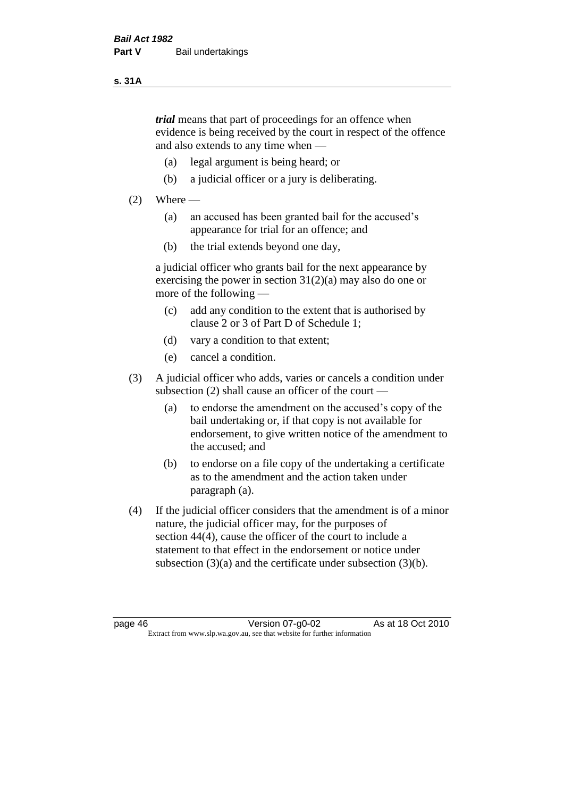#### **s. 31A**

*trial* means that part of proceedings for an offence when evidence is being received by the court in respect of the offence and also extends to any time when —

- (a) legal argument is being heard; or
- (b) a judicial officer or a jury is deliberating.

#### $(2)$  Where —

- (a) an accused has been granted bail for the accused's appearance for trial for an offence; and
- (b) the trial extends beyond one day,

a judicial officer who grants bail for the next appearance by exercising the power in section  $31(2)(a)$  may also do one or more of the following —

- (c) add any condition to the extent that is authorised by clause 2 or 3 of Part D of Schedule 1;
- (d) vary a condition to that extent;
- (e) cancel a condition.
- (3) A judicial officer who adds, varies or cancels a condition under subsection (2) shall cause an officer of the court —
	- (a) to endorse the amendment on the accused's copy of the bail undertaking or, if that copy is not available for endorsement, to give written notice of the amendment to the accused; and
	- (b) to endorse on a file copy of the undertaking a certificate as to the amendment and the action taken under paragraph (a).
- (4) If the judicial officer considers that the amendment is of a minor nature, the judicial officer may, for the purposes of section 44(4), cause the officer of the court to include a statement to that effect in the endorsement or notice under subsection (3)(a) and the certificate under subsection (3)(b).

page 46 Version 07-g0-02 As at 18 Oct 2010 Extract from www.slp.wa.gov.au, see that website for further information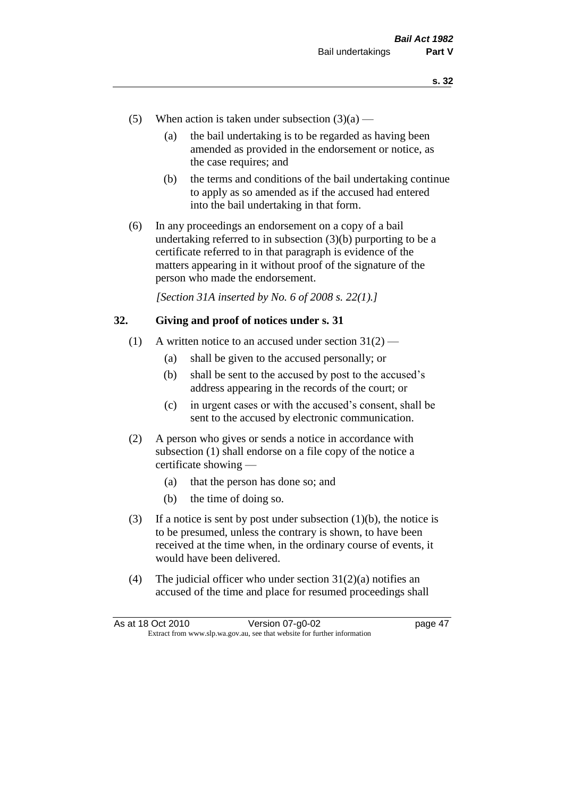- (5) When action is taken under subsection  $(3)(a)$ 
	- (a) the bail undertaking is to be regarded as having been amended as provided in the endorsement or notice, as the case requires; and
	- (b) the terms and conditions of the bail undertaking continue to apply as so amended as if the accused had entered into the bail undertaking in that form.
- (6) In any proceedings an endorsement on a copy of a bail undertaking referred to in subsection (3)(b) purporting to be a certificate referred to in that paragraph is evidence of the matters appearing in it without proof of the signature of the person who made the endorsement.

*[Section 31A inserted by No. 6 of 2008 s. 22(1).]*

#### **32. Giving and proof of notices under s. 31**

- (1) A written notice to an accused under section  $31(2)$ 
	- (a) shall be given to the accused personally; or
	- (b) shall be sent to the accused by post to the accused's address appearing in the records of the court; or
	- (c) in urgent cases or with the accused's consent, shall be sent to the accused by electronic communication.
- (2) A person who gives or sends a notice in accordance with subsection (1) shall endorse on a file copy of the notice a certificate showing —
	- (a) that the person has done so; and
	- (b) the time of doing so.
- (3) If a notice is sent by post under subsection  $(1)(b)$ , the notice is to be presumed, unless the contrary is shown, to have been received at the time when, in the ordinary course of events, it would have been delivered.
- (4) The judicial officer who under section  $31(2)(a)$  notifies an accused of the time and place for resumed proceedings shall

| As at 18 Oct 2010 | Version 07-g0-02                                                         | page 47 |
|-------------------|--------------------------------------------------------------------------|---------|
|                   | Extract from www.slp.wa.gov.au, see that website for further information |         |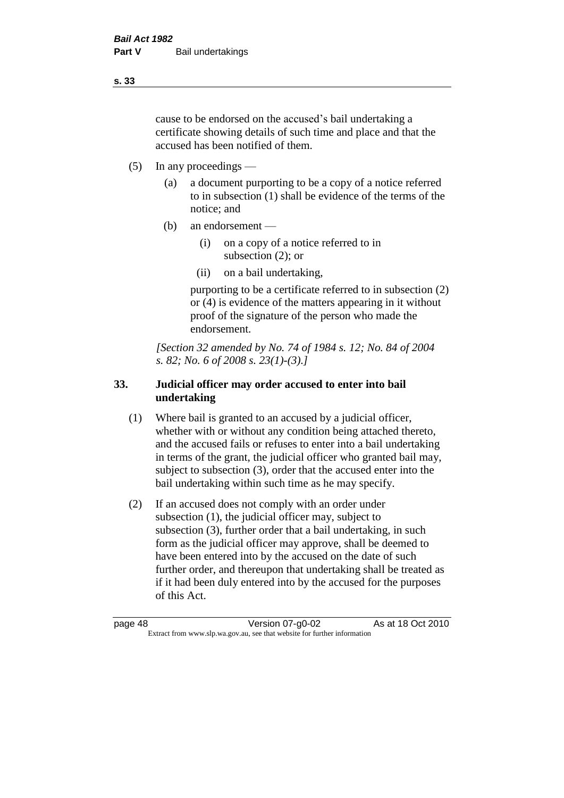cause to be endorsed on the accused's bail undertaking a certificate showing details of such time and place and that the accused has been notified of them.

- (5) In any proceedings
	- (a) a document purporting to be a copy of a notice referred to in subsection (1) shall be evidence of the terms of the notice; and
	- (b) an endorsement
		- (i) on a copy of a notice referred to in subsection (2); or
		- (ii) on a bail undertaking,

purporting to be a certificate referred to in subsection (2) or (4) is evidence of the matters appearing in it without proof of the signature of the person who made the endorsement.

*[Section 32 amended by No. 74 of 1984 s. 12; No. 84 of 2004 s. 82; No. 6 of 2008 s. 23(1)-(3).]* 

# **33. Judicial officer may order accused to enter into bail undertaking**

- (1) Where bail is granted to an accused by a judicial officer, whether with or without any condition being attached thereto, and the accused fails or refuses to enter into a bail undertaking in terms of the grant, the judicial officer who granted bail may, subject to subsection (3), order that the accused enter into the bail undertaking within such time as he may specify.
- (2) If an accused does not comply with an order under subsection (1), the judicial officer may, subject to subsection (3), further order that a bail undertaking, in such form as the judicial officer may approve, shall be deemed to have been entered into by the accused on the date of such further order, and thereupon that undertaking shall be treated as if it had been duly entered into by the accused for the purposes of this Act.

**s. 33**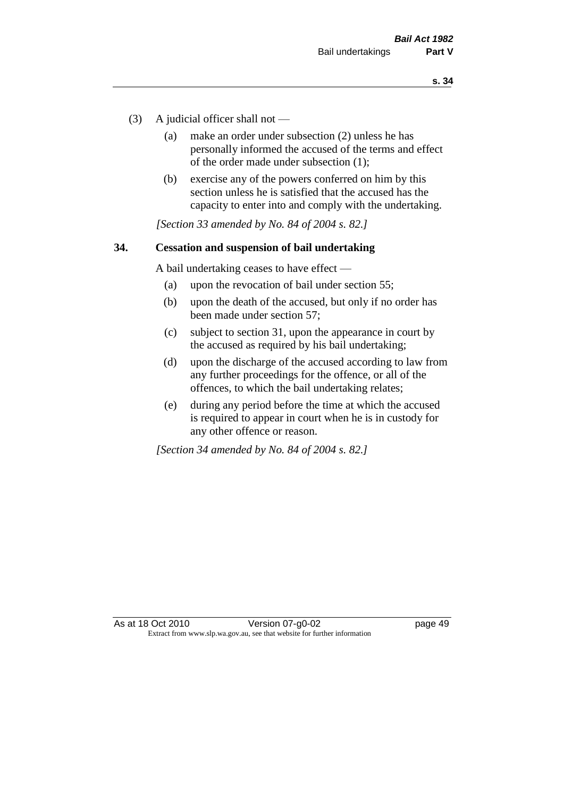- (3) A judicial officer shall not
	- (a) make an order under subsection (2) unless he has personally informed the accused of the terms and effect of the order made under subsection (1);
	- (b) exercise any of the powers conferred on him by this section unless he is satisfied that the accused has the capacity to enter into and comply with the undertaking.

*[Section 33 amended by No. 84 of 2004 s. 82.]* 

#### **34. Cessation and suspension of bail undertaking**

A bail undertaking ceases to have effect —

- (a) upon the revocation of bail under section 55;
- (b) upon the death of the accused, but only if no order has been made under section 57;
- (c) subject to section 31, upon the appearance in court by the accused as required by his bail undertaking;
- (d) upon the discharge of the accused according to law from any further proceedings for the offence, or all of the offences, to which the bail undertaking relates;
- (e) during any period before the time at which the accused is required to appear in court when he is in custody for any other offence or reason.

*[Section 34 amended by No. 84 of 2004 s. 82.]*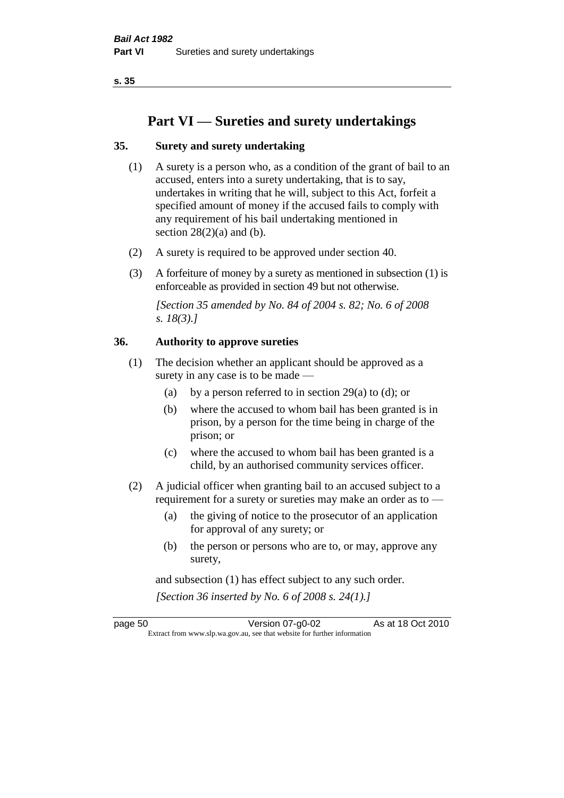**s. 35**

# **Part VI — Sureties and surety undertakings**

# **35. Surety and surety undertaking**

- (1) A surety is a person who, as a condition of the grant of bail to an accused, enters into a surety undertaking, that is to say, undertakes in writing that he will, subject to this Act, forfeit a specified amount of money if the accused fails to comply with any requirement of his bail undertaking mentioned in section  $28(2)(a)$  and (b).
- (2) A surety is required to be approved under section 40.
- (3) A forfeiture of money by a surety as mentioned in subsection (1) is enforceable as provided in section 49 but not otherwise.

*[Section 35 amended by No. 84 of 2004 s. 82; No. 6 of 2008 s. 18(3).]* 

# **36. Authority to approve sureties**

- (1) The decision whether an applicant should be approved as a surety in any case is to be made —
	- (a) by a person referred to in section 29(a) to (d); or
	- (b) where the accused to whom bail has been granted is in prison, by a person for the time being in charge of the prison; or
	- (c) where the accused to whom bail has been granted is a child, by an authorised community services officer.
- (2) A judicial officer when granting bail to an accused subject to a requirement for a surety or sureties may make an order as to —
	- (a) the giving of notice to the prosecutor of an application for approval of any surety; or
	- (b) the person or persons who are to, or may, approve any surety,

and subsection (1) has effect subject to any such order. *[Section 36 inserted by No. 6 of 2008 s. 24(1).]*

page 50 Version 07-g0-02 As at 18 Oct 2010 Extract from www.slp.wa.gov.au, see that website for further information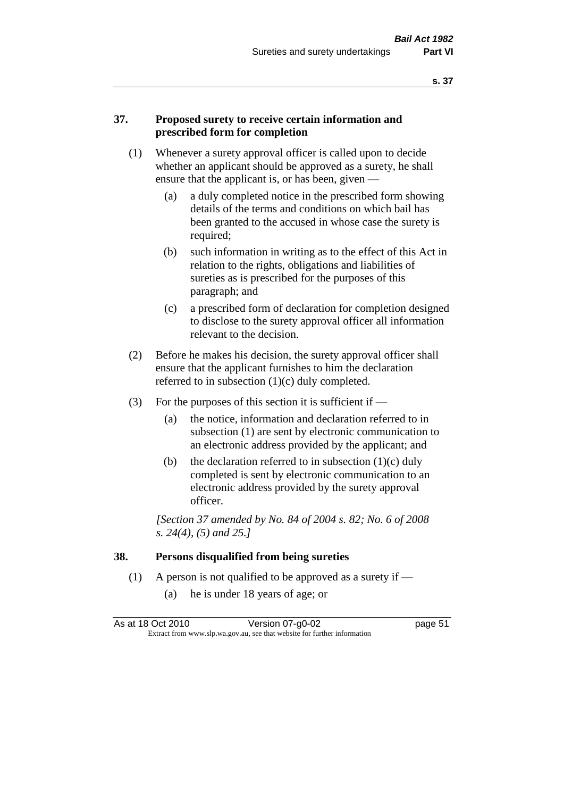#### **37. Proposed surety to receive certain information and prescribed form for completion**

- (1) Whenever a surety approval officer is called upon to decide whether an applicant should be approved as a surety, he shall ensure that the applicant is, or has been, given -
	- (a) a duly completed notice in the prescribed form showing details of the terms and conditions on which bail has been granted to the accused in whose case the surety is required;
	- (b) such information in writing as to the effect of this Act in relation to the rights, obligations and liabilities of sureties as is prescribed for the purposes of this paragraph; and
	- (c) a prescribed form of declaration for completion designed to disclose to the surety approval officer all information relevant to the decision.
- (2) Before he makes his decision, the surety approval officer shall ensure that the applicant furnishes to him the declaration referred to in subsection (1)(c) duly completed.
- (3) For the purposes of this section it is sufficient if  $-$ 
	- (a) the notice, information and declaration referred to in subsection (1) are sent by electronic communication to an electronic address provided by the applicant; and
	- (b) the declaration referred to in subsection  $(1)(c)$  duly completed is sent by electronic communication to an electronic address provided by the surety approval officer.

*[Section 37 amended by No. 84 of 2004 s. 82; No. 6 of 2008 s. 24(4), (5) and 25.]* 

#### **38. Persons disqualified from being sureties**

- (1) A person is not qualified to be approved as a surety if  $-$ 
	- (a) he is under 18 years of age; or

| As at 18 Oct 2010 | Version 07-g0-02                                                         | page 51 |
|-------------------|--------------------------------------------------------------------------|---------|
|                   | Extract from www.slp.wa.gov.au, see that website for further information |         |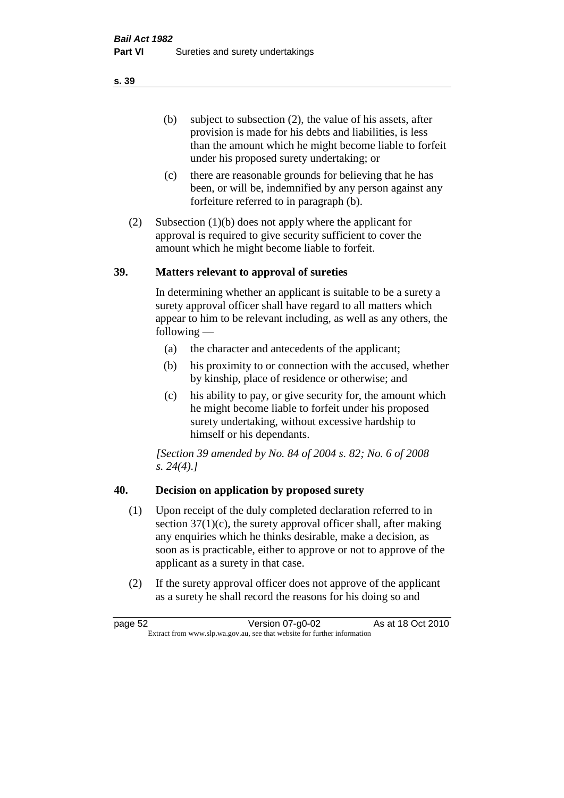(b) subject to subsection (2), the value of his assets, after provision is made for his debts and liabilities, is less than the amount which he might become liable to forfeit under his proposed surety undertaking; or

- (c) there are reasonable grounds for believing that he has been, or will be, indemnified by any person against any forfeiture referred to in paragraph (b).
- (2) Subsection (1)(b) does not apply where the applicant for approval is required to give security sufficient to cover the amount which he might become liable to forfeit.

#### **39. Matters relevant to approval of sureties**

In determining whether an applicant is suitable to be a surety a surety approval officer shall have regard to all matters which appear to him to be relevant including, as well as any others, the following —

- (a) the character and antecedents of the applicant;
- (b) his proximity to or connection with the accused, whether by kinship, place of residence or otherwise; and
- (c) his ability to pay, or give security for, the amount which he might become liable to forfeit under his proposed surety undertaking, without excessive hardship to himself or his dependants.

*[Section 39 amended by No. 84 of 2004 s. 82; No. 6 of 2008 s. 24(4).]* 

# **40. Decision on application by proposed surety**

- (1) Upon receipt of the duly completed declaration referred to in section  $37(1)(c)$ , the surety approval officer shall, after making any enquiries which he thinks desirable, make a decision, as soon as is practicable, either to approve or not to approve of the applicant as a surety in that case.
- (2) If the surety approval officer does not approve of the applicant as a surety he shall record the reasons for his doing so and

page 52 Version 07-g0-02 As at 18 Oct 2010 Extract from www.slp.wa.gov.au, see that website for further information

#### **s. 39**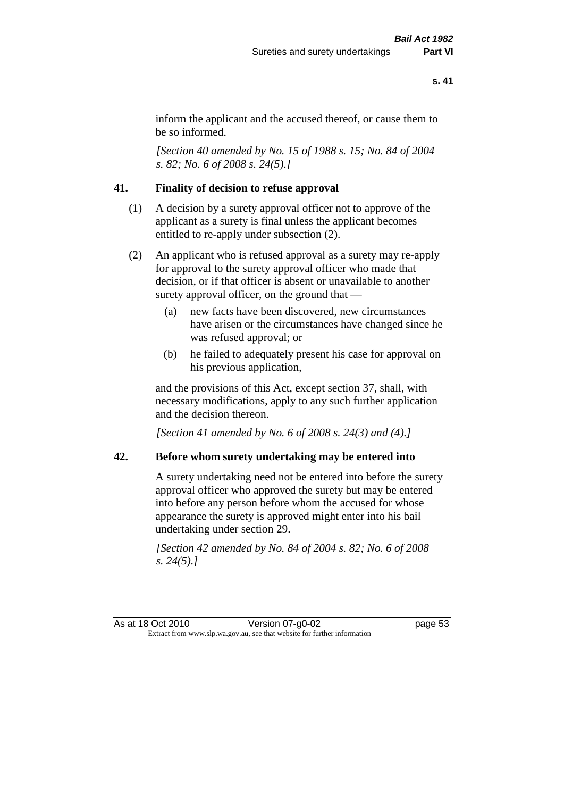inform the applicant and the accused thereof, or cause them to be so informed.

*[Section 40 amended by No. 15 of 1988 s. 15; No. 84 of 2004 s. 82; No. 6 of 2008 s. 24(5).]* 

# **41. Finality of decision to refuse approval**

- (1) A decision by a surety approval officer not to approve of the applicant as a surety is final unless the applicant becomes entitled to re-apply under subsection (2).
- (2) An applicant who is refused approval as a surety may re-apply for approval to the surety approval officer who made that decision, or if that officer is absent or unavailable to another surety approval officer, on the ground that —
	- (a) new facts have been discovered, new circumstances have arisen or the circumstances have changed since he was refused approval; or
	- (b) he failed to adequately present his case for approval on his previous application,

and the provisions of this Act, except section 37, shall, with necessary modifications, apply to any such further application and the decision thereon.

*[Section 41 amended by No. 6 of 2008 s. 24(3) and (4).]*

#### **42. Before whom surety undertaking may be entered into**

A surety undertaking need not be entered into before the surety approval officer who approved the surety but may be entered into before any person before whom the accused for whose appearance the surety is approved might enter into his bail undertaking under section 29.

*[Section 42 amended by No. 84 of 2004 s. 82; No. 6 of 2008 s. 24(5).]* 

As at 18 Oct 2010 Version 07-g0-02 Page 53 Extract from www.slp.wa.gov.au, see that website for further information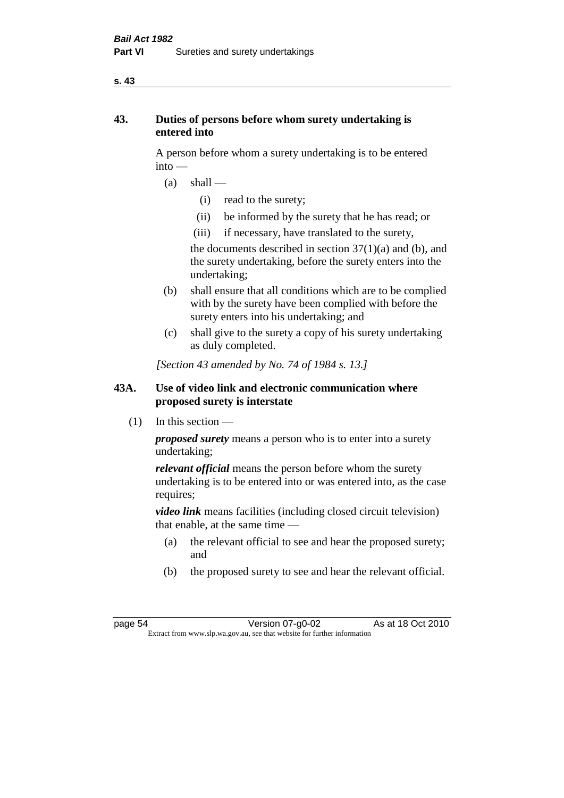#### **s. 43**

# **43. Duties of persons before whom surety undertaking is entered into**

A person before whom a surety undertaking is to be entered into —

- $(a)$  shall
	- (i) read to the surety;
	- (ii) be informed by the surety that he has read; or
	- (iii) if necessary, have translated to the surety,

the documents described in section  $37(1)(a)$  and (b), and the surety undertaking, before the surety enters into the undertaking;

- (b) shall ensure that all conditions which are to be complied with by the surety have been complied with before the surety enters into his undertaking; and
- (c) shall give to the surety a copy of his surety undertaking as duly completed.

*[Section 43 amended by No. 74 of 1984 s. 13.]* 

# **43A. Use of video link and electronic communication where proposed surety is interstate**

 $(1)$  In this section —

*proposed surety* means a person who is to enter into a surety undertaking;

*relevant official* means the person before whom the surety undertaking is to be entered into or was entered into, as the case requires;

*video link* means facilities (including closed circuit television) that enable, at the same time —

- (a) the relevant official to see and hear the proposed surety; and
- (b) the proposed surety to see and hear the relevant official.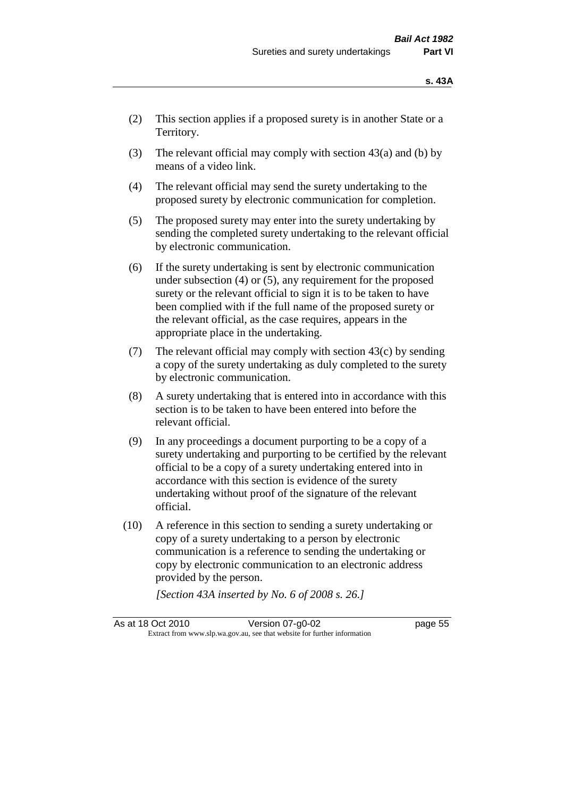- (2) This section applies if a proposed surety is in another State or a Territory.
- (3) The relevant official may comply with section  $43(a)$  and (b) by means of a video link.
- (4) The relevant official may send the surety undertaking to the proposed surety by electronic communication for completion.
- (5) The proposed surety may enter into the surety undertaking by sending the completed surety undertaking to the relevant official by electronic communication.
- (6) If the surety undertaking is sent by electronic communication under subsection (4) or (5), any requirement for the proposed surety or the relevant official to sign it is to be taken to have been complied with if the full name of the proposed surety or the relevant official, as the case requires, appears in the appropriate place in the undertaking.
- (7) The relevant official may comply with section  $43(c)$  by sending a copy of the surety undertaking as duly completed to the surety by electronic communication.
- (8) A surety undertaking that is entered into in accordance with this section is to be taken to have been entered into before the relevant official.
- (9) In any proceedings a document purporting to be a copy of a surety undertaking and purporting to be certified by the relevant official to be a copy of a surety undertaking entered into in accordance with this section is evidence of the surety undertaking without proof of the signature of the relevant official.
- (10) A reference in this section to sending a surety undertaking or copy of a surety undertaking to a person by electronic communication is a reference to sending the undertaking or copy by electronic communication to an electronic address provided by the person.

*[Section 43A inserted by No. 6 of 2008 s. 26.]*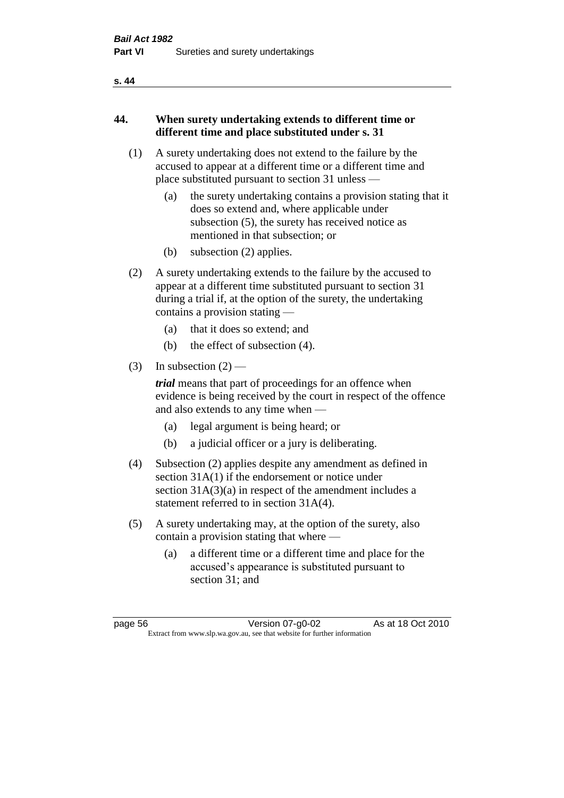#### **s. 44**

# **44. When surety undertaking extends to different time or different time and place substituted under s. 31**

- (1) A surety undertaking does not extend to the failure by the accused to appear at a different time or a different time and place substituted pursuant to section 31 unless —
	- (a) the surety undertaking contains a provision stating that it does so extend and, where applicable under subsection (5), the surety has received notice as mentioned in that subsection; or
	- (b) subsection (2) applies.
- (2) A surety undertaking extends to the failure by the accused to appear at a different time substituted pursuant to section 31 during a trial if, at the option of the surety, the undertaking contains a provision stating —
	- (a) that it does so extend; and
	- (b) the effect of subsection (4).
- (3) In subsection  $(2)$  —

*trial* means that part of proceedings for an offence when evidence is being received by the court in respect of the offence and also extends to any time when —

- (a) legal argument is being heard; or
- (b) a judicial officer or a jury is deliberating.
- (4) Subsection (2) applies despite any amendment as defined in section 31A(1) if the endorsement or notice under section 31A(3)(a) in respect of the amendment includes a statement referred to in section 31A(4).
- (5) A surety undertaking may, at the option of the surety, also contain a provision stating that where —
	- (a) a different time or a different time and place for the accused's appearance is substituted pursuant to section 31; and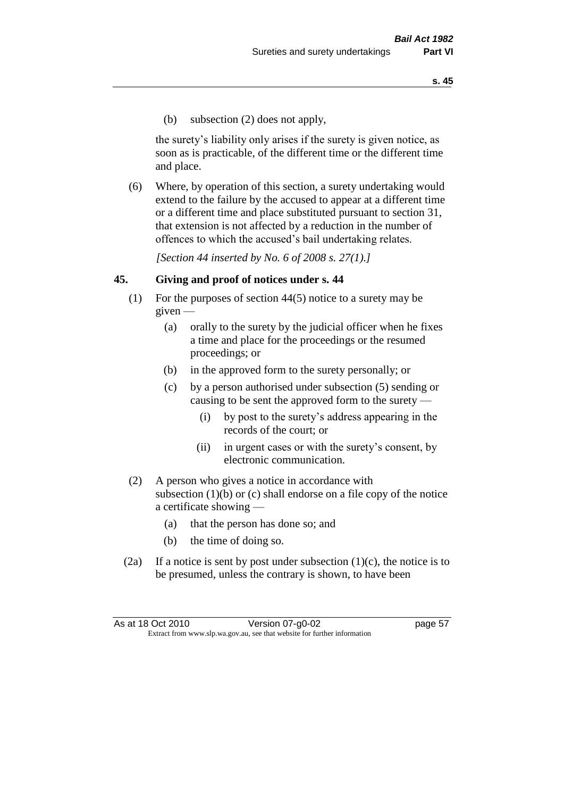(b) subsection (2) does not apply,

the surety's liability only arises if the surety is given notice, as soon as is practicable, of the different time or the different time and place.

(6) Where, by operation of this section, a surety undertaking would extend to the failure by the accused to appear at a different time or a different time and place substituted pursuant to section 31, that extension is not affected by a reduction in the number of offences to which the accused's bail undertaking relates.

*[Section 44 inserted by No. 6 of 2008 s. 27(1).]*

#### **45. Giving and proof of notices under s. 44**

- (1) For the purposes of section 44(5) notice to a surety may be  $given -$ 
	- (a) orally to the surety by the judicial officer when he fixes a time and place for the proceedings or the resumed proceedings; or
	- (b) in the approved form to the surety personally; or
	- (c) by a person authorised under subsection (5) sending or causing to be sent the approved form to the surety —
		- (i) by post to the surety's address appearing in the records of the court; or
		- (ii) in urgent cases or with the surety's consent, by electronic communication.
- (2) A person who gives a notice in accordance with subsection (1)(b) or (c) shall endorse on a file copy of the notice a certificate showing —
	- (a) that the person has done so; and
	- (b) the time of doing so.
- (2a) If a notice is sent by post under subsection  $(1)(c)$ , the notice is to be presumed, unless the contrary is shown, to have been

| As at 18 Oct 2010 | Version 07-g0-02                                                         | page 57 |
|-------------------|--------------------------------------------------------------------------|---------|
|                   | Extract from www.slp.wa.gov.au, see that website for further information |         |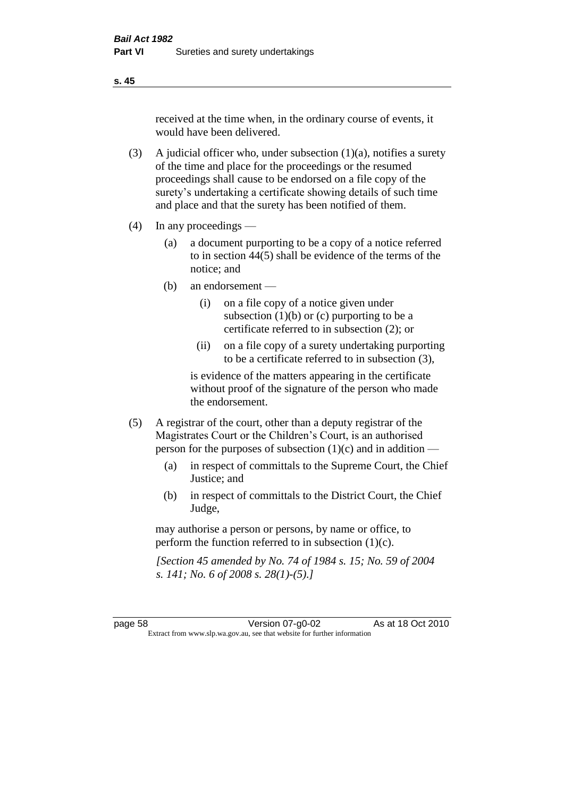received at the time when, in the ordinary course of events, it would have been delivered.

- (3) A judicial officer who, under subsection  $(1)(a)$ , notifies a surety of the time and place for the proceedings or the resumed proceedings shall cause to be endorsed on a file copy of the surety's undertaking a certificate showing details of such time and place and that the surety has been notified of them.
- (4) In any proceedings
	- (a) a document purporting to be a copy of a notice referred to in section 44(5) shall be evidence of the terms of the notice; and
	- (b) an endorsement
		- (i) on a file copy of a notice given under subsection  $(1)(b)$  or  $(c)$  purporting to be a certificate referred to in subsection (2); or
		- (ii) on a file copy of a surety undertaking purporting to be a certificate referred to in subsection (3),

is evidence of the matters appearing in the certificate without proof of the signature of the person who made the endorsement.

- (5) A registrar of the court, other than a deputy registrar of the Magistrates Court or the Children's Court, is an authorised person for the purposes of subsection (1)(c) and in addition —
	- (a) in respect of committals to the Supreme Court, the Chief Justice; and
	- (b) in respect of committals to the District Court, the Chief Judge,

may authorise a person or persons, by name or office, to perform the function referred to in subsection (1)(c).

*[Section 45 amended by No. 74 of 1984 s. 15; No. 59 of 2004 s. 141; No. 6 of 2008 s. 28(1)-(5).]* 

page 58 Version 07-g0-02 As at 18 Oct 2010 Extract from www.slp.wa.gov.au, see that website for further information

**s. 45**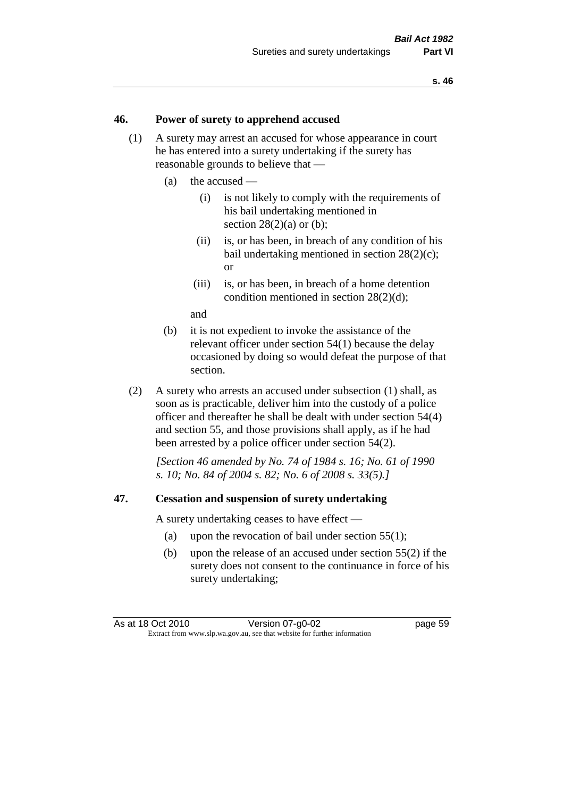#### **46. Power of surety to apprehend accused**

- (1) A surety may arrest an accused for whose appearance in court he has entered into a surety undertaking if the surety has reasonable grounds to believe that —
	- (a) the accused
		- (i) is not likely to comply with the requirements of his bail undertaking mentioned in section  $28(2)(a)$  or (b):
		- (ii) is, or has been, in breach of any condition of his bail undertaking mentioned in section 28(2)(c); or
		- (iii) is, or has been, in breach of a home detention condition mentioned in section 28(2)(d);

and

- (b) it is not expedient to invoke the assistance of the relevant officer under section 54(1) because the delay occasioned by doing so would defeat the purpose of that section.
- (2) A surety who arrests an accused under subsection (1) shall, as soon as is practicable, deliver him into the custody of a police officer and thereafter he shall be dealt with under section 54(4) and section 55, and those provisions shall apply, as if he had been arrested by a police officer under section 54(2).

*[Section 46 amended by No. 74 of 1984 s. 16; No. 61 of 1990 s. 10; No. 84 of 2004 s. 82; No. 6 of 2008 s. 33(5).]* 

#### **47. Cessation and suspension of surety undertaking**

A surety undertaking ceases to have effect —

- (a) upon the revocation of bail under section 55(1);
- (b) upon the release of an accused under section 55(2) if the surety does not consent to the continuance in force of his surety undertaking;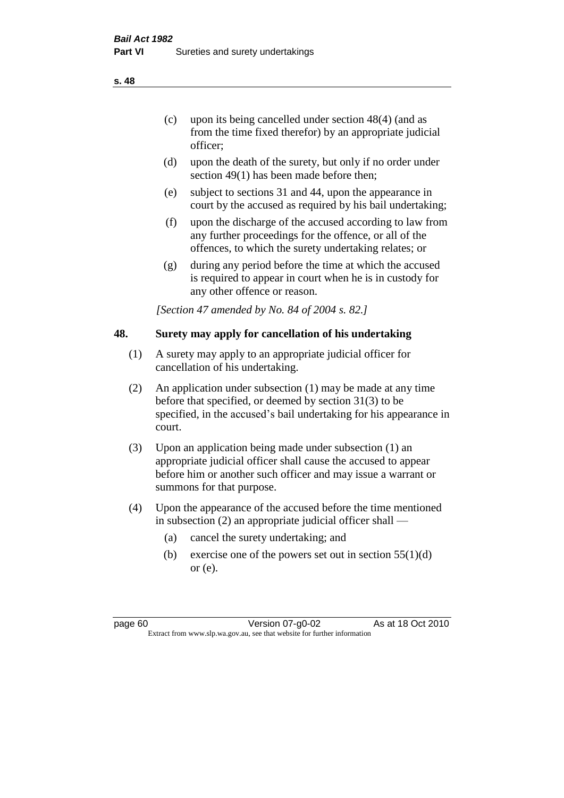officer;

- (d) upon the death of the surety, but only if no order under section 49(1) has been made before then;
- (e) subject to sections 31 and 44, upon the appearance in court by the accused as required by his bail undertaking;
- (f) upon the discharge of the accused according to law from any further proceedings for the offence, or all of the offences, to which the surety undertaking relates; or
- (g) during any period before the time at which the accused is required to appear in court when he is in custody for any other offence or reason.

*[Section 47 amended by No. 84 of 2004 s. 82.]* 

# **48. Surety may apply for cancellation of his undertaking**

- (1) A surety may apply to an appropriate judicial officer for cancellation of his undertaking.
- (2) An application under subsection (1) may be made at any time before that specified, or deemed by section 31(3) to be specified, in the accused's bail undertaking for his appearance in court.
- (3) Upon an application being made under subsection (1) an appropriate judicial officer shall cause the accused to appear before him or another such officer and may issue a warrant or summons for that purpose.
- (4) Upon the appearance of the accused before the time mentioned in subsection (2) an appropriate judicial officer shall —
	- (a) cancel the surety undertaking; and
	- (b) exercise one of the powers set out in section  $55(1)(d)$ or (e).

**s. 48**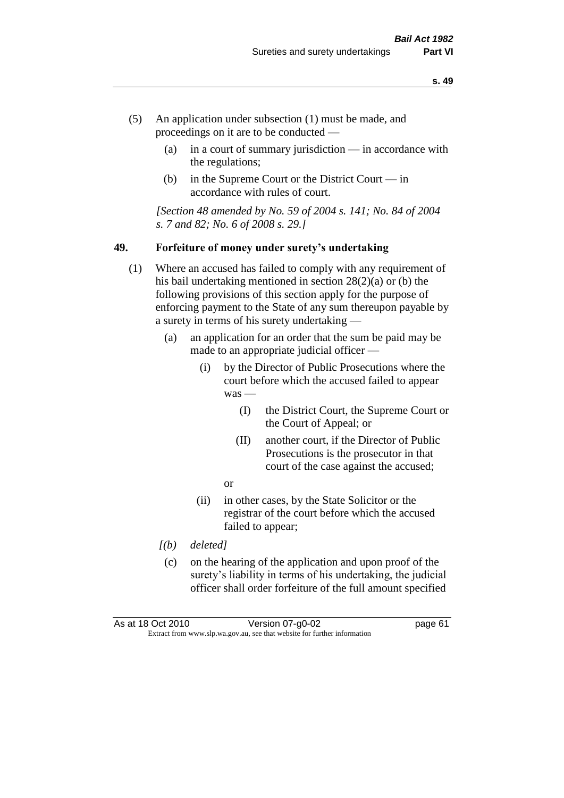- (5) An application under subsection (1) must be made, and proceedings on it are to be conducted —
	- (a) in a court of summary jurisdiction in accordance with the regulations;
	- (b) in the Supreme Court or the District Court  $-\text{in}$ accordance with rules of court.

*[Section 48 amended by No. 59 of 2004 s. 141; No. 84 of 2004 s. 7 and 82; No. 6 of 2008 s. 29.]* 

#### **49. Forfeiture of money under surety's undertaking**

- (1) Where an accused has failed to comply with any requirement of his bail undertaking mentioned in section 28(2)(a) or (b) the following provisions of this section apply for the purpose of enforcing payment to the State of any sum thereupon payable by a surety in terms of his surety undertaking —
	- (a) an application for an order that the sum be paid may be made to an appropriate judicial officer —
		- (i) by the Director of Public Prosecutions where the court before which the accused failed to appear was -
			- (I) the District Court, the Supreme Court or the Court of Appeal; or
			- (II) another court, if the Director of Public Prosecutions is the prosecutor in that court of the case against the accused;
			- or
		- (ii) in other cases, by the State Solicitor or the registrar of the court before which the accused failed to appear;
	- *[(b) deleted]*
	- (c) on the hearing of the application and upon proof of the surety's liability in terms of his undertaking, the judicial officer shall order forfeiture of the full amount specified

As at 18 Oct 2010 Version 07-g0-02 page 61 Extract from www.slp.wa.gov.au, see that website for further information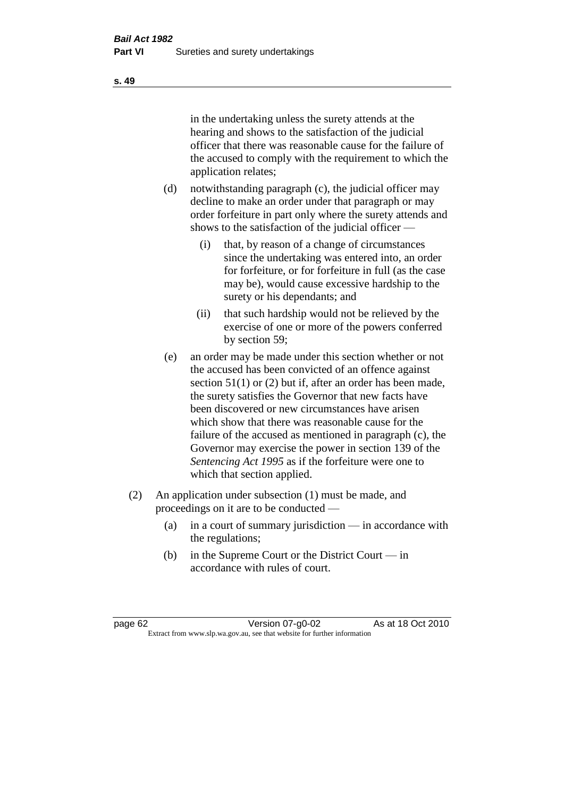in the undertaking unless the surety attends at the hearing and shows to the satisfaction of the judicial officer that there was reasonable cause for the failure of the accused to comply with the requirement to which the application relates;

- (d) notwithstanding paragraph (c), the judicial officer may decline to make an order under that paragraph or may order forfeiture in part only where the surety attends and shows to the satisfaction of the judicial officer —
	- (i) that, by reason of a change of circumstances since the undertaking was entered into, an order for forfeiture, or for forfeiture in full (as the case may be), would cause excessive hardship to the surety or his dependants; and
	- (ii) that such hardship would not be relieved by the exercise of one or more of the powers conferred by section 59;
- (e) an order may be made under this section whether or not the accused has been convicted of an offence against section 51(1) or (2) but if, after an order has been made, the surety satisfies the Governor that new facts have been discovered or new circumstances have arisen which show that there was reasonable cause for the failure of the accused as mentioned in paragraph (c), the Governor may exercise the power in section 139 of the *Sentencing Act 1995* as if the forfeiture were one to which that section applied.
- (2) An application under subsection (1) must be made, and proceedings on it are to be conducted —
	- (a) in a court of summary jurisdiction in accordance with the regulations;
	- (b) in the Supreme Court or the District Court in accordance with rules of court.

page 62 Version 07-g0-02 As at 18 Oct 2010 Extract from www.slp.wa.gov.au, see that website for further information

**s. 49**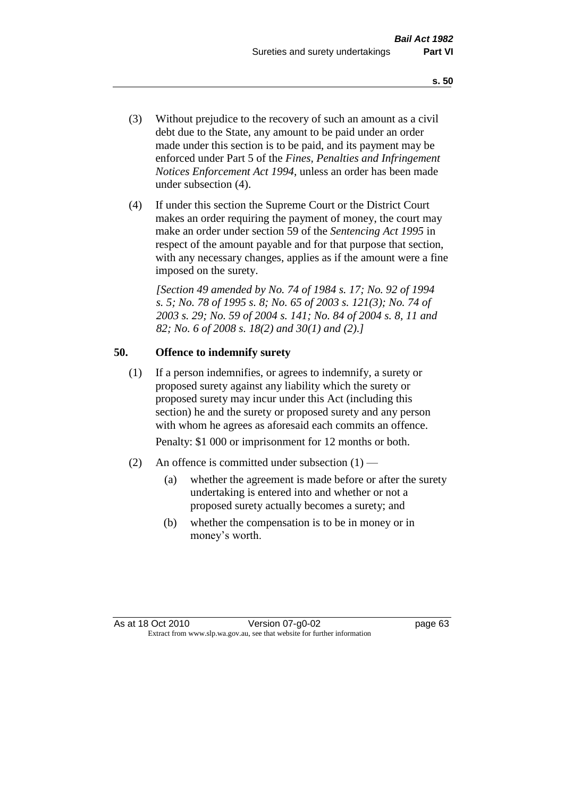- (3) Without prejudice to the recovery of such an amount as a civil debt due to the State, any amount to be paid under an order made under this section is to be paid, and its payment may be enforced under Part 5 of the *Fines, Penalties and Infringement Notices Enforcement Act 1994*, unless an order has been made under subsection (4).
- (4) If under this section the Supreme Court or the District Court makes an order requiring the payment of money, the court may make an order under section 59 of the *Sentencing Act 1995* in respect of the amount payable and for that purpose that section, with any necessary changes, applies as if the amount were a fine imposed on the surety.

*[Section 49 amended by No. 74 of 1984 s. 17; No. 92 of 1994 s. 5; No. 78 of 1995 s. 8; No. 65 of 2003 s. 121(3); No. 74 of 2003 s. 29; No. 59 of 2004 s. 141; No. 84 of 2004 s. 8, 11 and 82; No. 6 of 2008 s. 18(2) and 30(1) and (2).]* 

# **50. Offence to indemnify surety**

(1) If a person indemnifies, or agrees to indemnify, a surety or proposed surety against any liability which the surety or proposed surety may incur under this Act (including this section) he and the surety or proposed surety and any person with whom he agrees as aforesaid each commits an offence.

Penalty: \$1 000 or imprisonment for 12 months or both.

- (2) An offence is committed under subsection  $(1)$ 
	- (a) whether the agreement is made before or after the surety undertaking is entered into and whether or not a proposed surety actually becomes a surety; and
	- (b) whether the compensation is to be in money or in money's worth.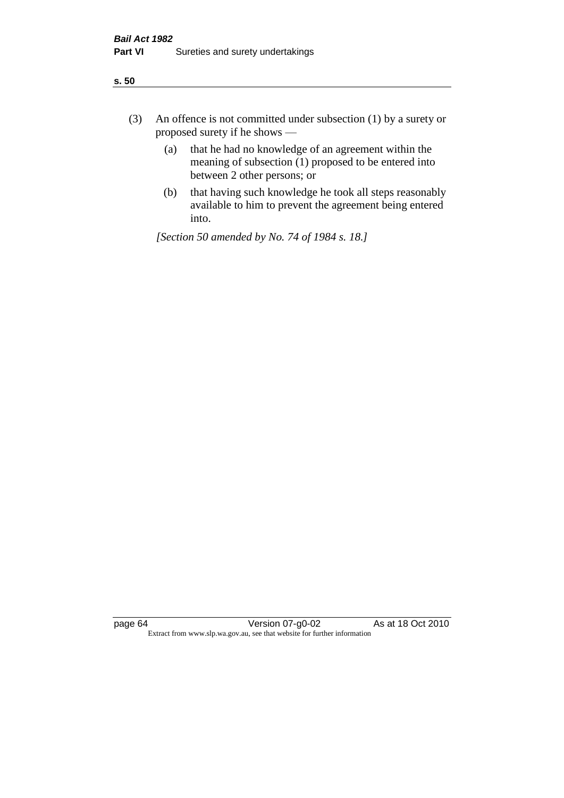| ÷<br>×<br>I<br>. .<br>×<br>۰.<br>×<br>۰.<br>v |
|-----------------------------------------------|
|-----------------------------------------------|

- (3) An offence is not committed under subsection (1) by a surety or proposed surety if he shows —
	- (a) that he had no knowledge of an agreement within the meaning of subsection  $(1)$  proposed to be entered into between 2 other persons; or
	- (b) that having such knowledge he took all steps reasonably available to him to prevent the agreement being entered into.

*[Section 50 amended by No. 74 of 1984 s. 18.]*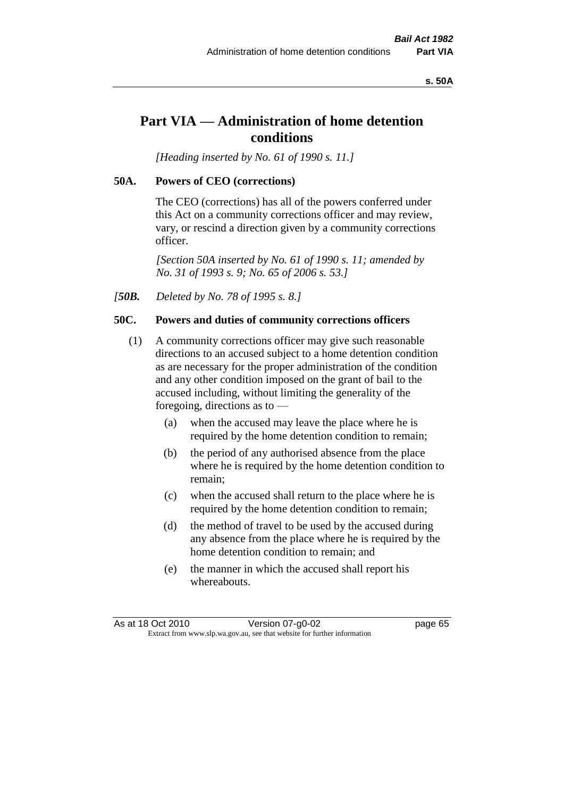#### **s. 50A**

# **Part VIA — Administration of home detention conditions**

*[Heading inserted by No. 61 of 1990 s. 11.]* 

## **50A. Powers of CEO (corrections)**

The CEO (corrections) has all of the powers conferred under this Act on a community corrections officer and may review, vary, or rescind a direction given by a community corrections officer.

*[Section 50A inserted by No. 61 of 1990 s. 11; amended by No. 31 of 1993 s. 9; No. 65 of 2006 s. 53.]* 

*[50B. Deleted by No. 78 of 1995 s. 8.]* 

## **50C. Powers and duties of community corrections officers**

- (1) A community corrections officer may give such reasonable directions to an accused subject to a home detention condition as are necessary for the proper administration of the condition and any other condition imposed on the grant of bail to the accused including, without limiting the generality of the foregoing, directions as to —
	- (a) when the accused may leave the place where he is required by the home detention condition to remain;
	- (b) the period of any authorised absence from the place where he is required by the home detention condition to remain;
	- (c) when the accused shall return to the place where he is required by the home detention condition to remain;
	- (d) the method of travel to be used by the accused during any absence from the place where he is required by the home detention condition to remain; and
	- (e) the manner in which the accused shall report his whereabouts.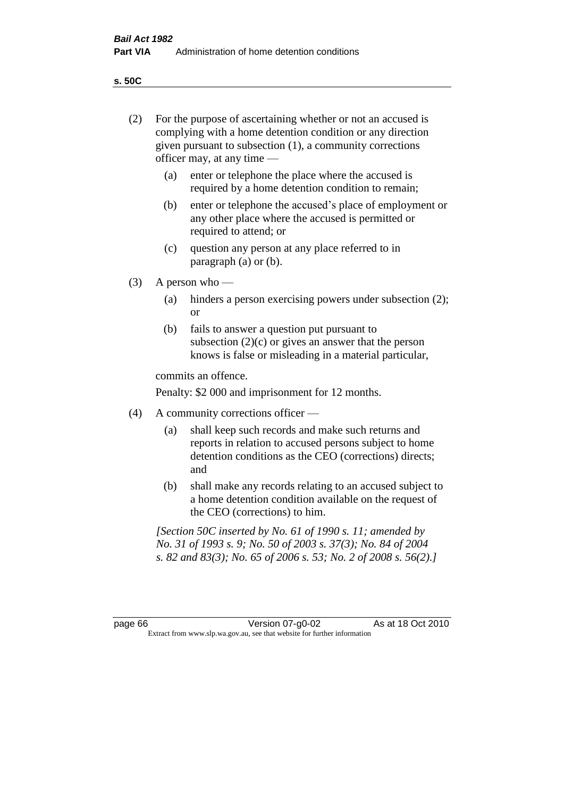**s. 50C**

| (2)     | For the purpose of ascertaining whether or not an accused is<br>complying with a home detention condition or any direction<br>given pursuant to subsection (1), a community corrections<br>officer may, at any time — |                                                                                                                                                                                              |
|---------|-----------------------------------------------------------------------------------------------------------------------------------------------------------------------------------------------------------------------|----------------------------------------------------------------------------------------------------------------------------------------------------------------------------------------------|
|         | (a)                                                                                                                                                                                                                   | enter or telephone the place where the accused is<br>required by a home detention condition to remain;                                                                                       |
|         | (b)                                                                                                                                                                                                                   | enter or telephone the accused's place of employment or<br>any other place where the accused is permitted or<br>required to attend; or                                                       |
|         | (c)                                                                                                                                                                                                                   | question any person at any place referred to in<br>paragraph $(a)$ or $(b)$ .                                                                                                                |
| (3)     |                                                                                                                                                                                                                       | A person who $-$                                                                                                                                                                             |
|         | (a)                                                                                                                                                                                                                   | hinders a person exercising powers under subsection (2);<br><sub>or</sub>                                                                                                                    |
|         | (b)                                                                                                                                                                                                                   | fails to answer a question put pursuant to<br>subsection $(2)(c)$ or gives an answer that the person<br>knows is false or misleading in a material particular,                               |
|         |                                                                                                                                                                                                                       | commits an offence.                                                                                                                                                                          |
|         |                                                                                                                                                                                                                       | Penalty: \$2 000 and imprisonment for 12 months.                                                                                                                                             |
| (4)     |                                                                                                                                                                                                                       | A community corrections officer -                                                                                                                                                            |
|         | (a)                                                                                                                                                                                                                   | shall keep such records and make such returns and<br>reports in relation to accused persons subject to home<br>detention conditions as the CEO (corrections) directs;<br>and                 |
|         | (b)                                                                                                                                                                                                                   | shall make any records relating to an accused subject to<br>a home detention condition available on the request of<br>the CEO (corrections) to him.                                          |
|         |                                                                                                                                                                                                                       | [Section 50C inserted by No. 61 of 1990 s. 11; amended by<br>No. 31 of 1993 s. 9; No. 50 of 2003 s. 37(3); No. 84 of 2004<br>s. 82 and 83(3); No. 65 of 2006 s. 53; No. 2 of 2008 s. 56(2).] |
|         |                                                                                                                                                                                                                       |                                                                                                                                                                                              |
| page 66 |                                                                                                                                                                                                                       | As at 18 Oct 2010<br>Version 07-g0-02<br>Extract from www.slp.wa.gov.au, see that website for further information                                                                            |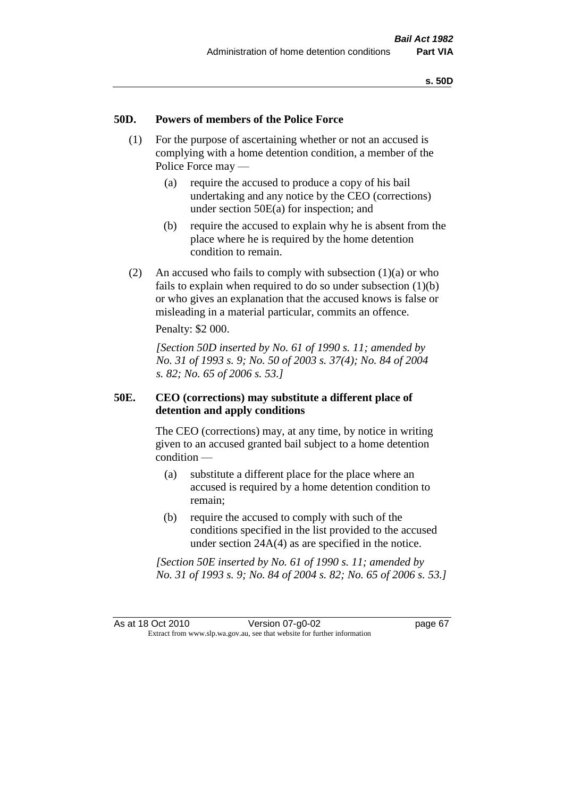## **50D. Powers of members of the Police Force**

- (1) For the purpose of ascertaining whether or not an accused is complying with a home detention condition, a member of the Police Force may —
	- (a) require the accused to produce a copy of his bail undertaking and any notice by the CEO (corrections) under section 50E(a) for inspection; and
	- (b) require the accused to explain why he is absent from the place where he is required by the home detention condition to remain.
- (2) An accused who fails to comply with subsection  $(1)(a)$  or who fails to explain when required to do so under subsection  $(1)(b)$ or who gives an explanation that the accused knows is false or misleading in a material particular, commits an offence.

Penalty: \$2 000.

*[Section 50D inserted by No. 61 of 1990 s. 11; amended by No. 31 of 1993 s. 9; No. 50 of 2003 s. 37(4); No. 84 of 2004 s. 82; No. 65 of 2006 s. 53.]* 

## **50E. CEO (corrections) may substitute a different place of detention and apply conditions**

The CEO (corrections) may, at any time, by notice in writing given to an accused granted bail subject to a home detention condition —

- (a) substitute a different place for the place where an accused is required by a home detention condition to remain;
- (b) require the accused to comply with such of the conditions specified in the list provided to the accused under section 24A(4) as are specified in the notice.

*[Section 50E inserted by No. 61 of 1990 s. 11; amended by No. 31 of 1993 s. 9; No. 84 of 2004 s. 82; No. 65 of 2006 s. 53.]*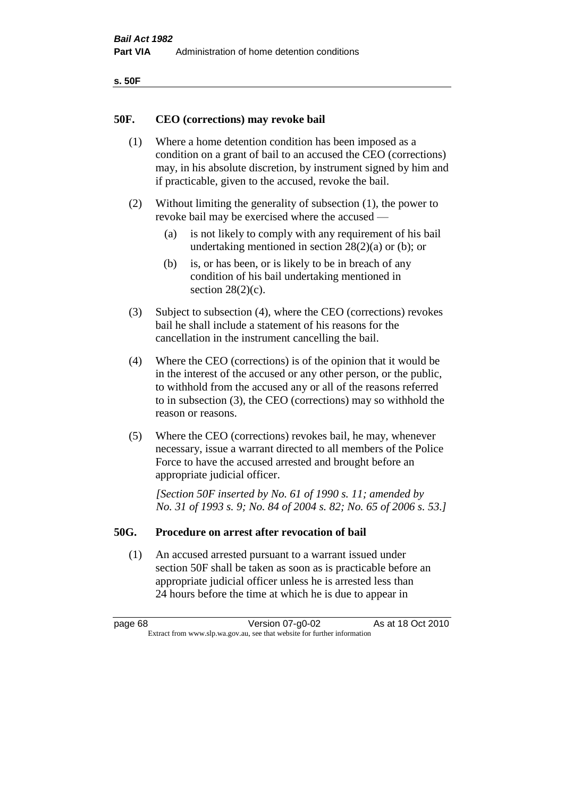| ۰.<br>۰,<br>۰.<br>×<br>× |
|--------------------------|
|--------------------------|

## **50F. CEO (corrections) may revoke bail**

- (1) Where a home detention condition has been imposed as a condition on a grant of bail to an accused the CEO (corrections) may, in his absolute discretion, by instrument signed by him and if practicable, given to the accused, revoke the bail.
- (2) Without limiting the generality of subsection (1), the power to revoke bail may be exercised where the accused —
	- (a) is not likely to comply with any requirement of his bail undertaking mentioned in section  $28(2)(a)$  or (b); or
	- (b) is, or has been, or is likely to be in breach of any condition of his bail undertaking mentioned in section  $28(2)(c)$ .
- (3) Subject to subsection (4), where the CEO (corrections) revokes bail he shall include a statement of his reasons for the cancellation in the instrument cancelling the bail.
- (4) Where the CEO (corrections) is of the opinion that it would be in the interest of the accused or any other person, or the public, to withhold from the accused any or all of the reasons referred to in subsection (3), the CEO (corrections) may so withhold the reason or reasons.
- (5) Where the CEO (corrections) revokes bail, he may, whenever necessary, issue a warrant directed to all members of the Police Force to have the accused arrested and brought before an appropriate judicial officer.

*[Section 50F inserted by No. 61 of 1990 s. 11; amended by No. 31 of 1993 s. 9; No. 84 of 2004 s. 82; No. 65 of 2006 s. 53.]* 

#### **50G. Procedure on arrest after revocation of bail**

(1) An accused arrested pursuant to a warrant issued under section 50F shall be taken as soon as is practicable before an appropriate judicial officer unless he is arrested less than 24 hours before the time at which he is due to appear in

page 68 Version 07-g0-02 As at 18 Oct 2010 Extract from www.slp.wa.gov.au, see that website for further information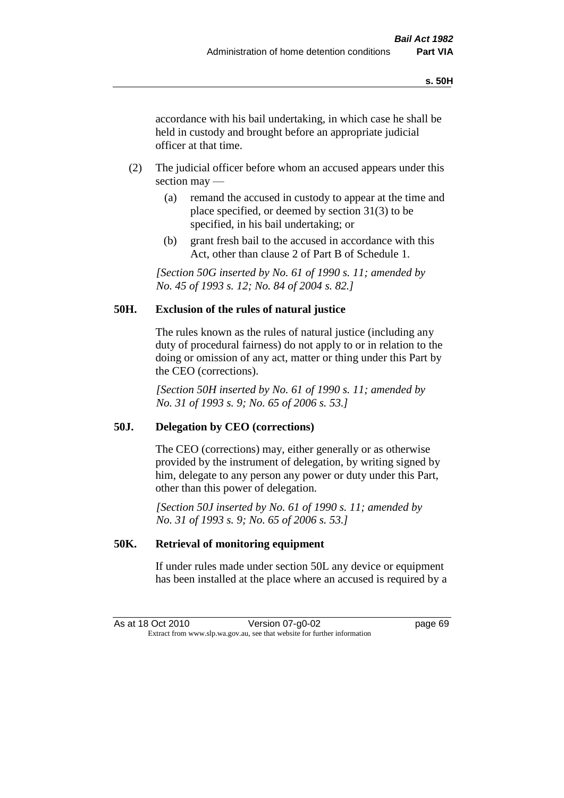accordance with his bail undertaking, in which case he shall be held in custody and brought before an appropriate judicial officer at that time.

- (2) The judicial officer before whom an accused appears under this section may —
	- (a) remand the accused in custody to appear at the time and place specified, or deemed by section 31(3) to be specified, in his bail undertaking; or
	- (b) grant fresh bail to the accused in accordance with this Act, other than clause 2 of Part B of Schedule 1.

*[Section 50G inserted by No. 61 of 1990 s. 11; amended by No. 45 of 1993 s. 12; No. 84 of 2004 s. 82.]* 

## **50H. Exclusion of the rules of natural justice**

The rules known as the rules of natural justice (including any duty of procedural fairness) do not apply to or in relation to the doing or omission of any act, matter or thing under this Part by the CEO (corrections).

*[Section 50H inserted by No. 61 of 1990 s. 11; amended by No. 31 of 1993 s. 9; No. 65 of 2006 s. 53.]* 

## **50J. Delegation by CEO (corrections)**

The CEO (corrections) may, either generally or as otherwise provided by the instrument of delegation, by writing signed by him, delegate to any person any power or duty under this Part, other than this power of delegation.

*[Section 50J inserted by No. 61 of 1990 s. 11; amended by No. 31 of 1993 s. 9; No. 65 of 2006 s. 53.]* 

## **50K. Retrieval of monitoring equipment**

If under rules made under section 50L any device or equipment has been installed at the place where an accused is required by a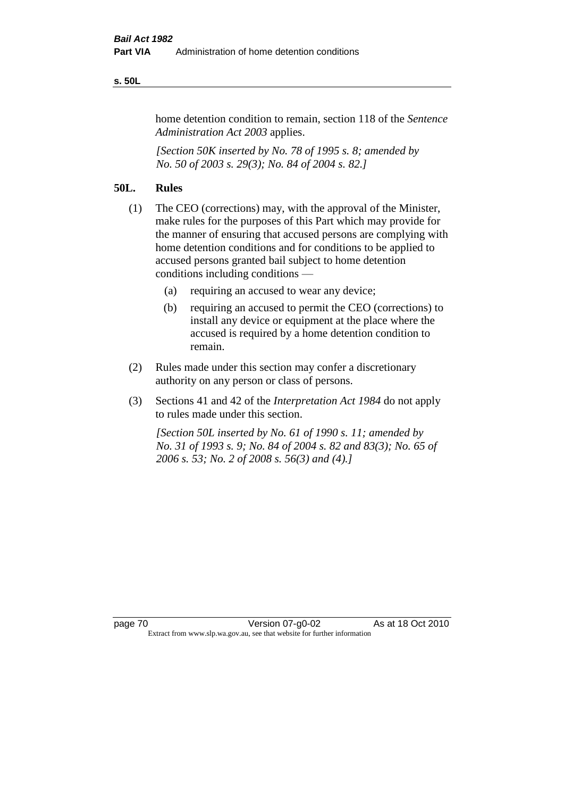#### **s. 50L**

home detention condition to remain, section 118 of the *Sentence Administration Act 2003* applies.

*[Section 50K inserted by No. 78 of 1995 s. 8; amended by No. 50 of 2003 s. 29(3); No. 84 of 2004 s. 82.]* 

## **50L. Rules**

- (1) The CEO (corrections) may, with the approval of the Minister, make rules for the purposes of this Part which may provide for the manner of ensuring that accused persons are complying with home detention conditions and for conditions to be applied to accused persons granted bail subject to home detention conditions including conditions —
	- (a) requiring an accused to wear any device;
	- (b) requiring an accused to permit the CEO (corrections) to install any device or equipment at the place where the accused is required by a home detention condition to remain.
- (2) Rules made under this section may confer a discretionary authority on any person or class of persons.
- (3) Sections 41 and 42 of the *Interpretation Act 1984* do not apply to rules made under this section.

*[Section 50L inserted by No. 61 of 1990 s. 11; amended by No. 31 of 1993 s. 9; No. 84 of 2004 s. 82 and 83(3); No. 65 of 2006 s. 53; No. 2 of 2008 s. 56(3) and (4).]*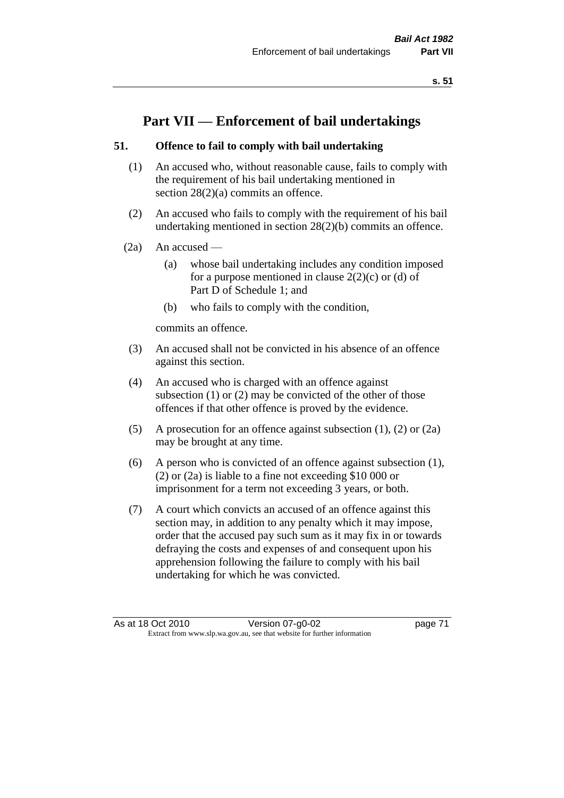# **Part VII — Enforcement of bail undertakings**

## **51. Offence to fail to comply with bail undertaking**

- (1) An accused who, without reasonable cause, fails to comply with the requirement of his bail undertaking mentioned in section 28(2)(a) commits an offence.
- (2) An accused who fails to comply with the requirement of his bail undertaking mentioned in section 28(2)(b) commits an offence.
- $(2a)$  An accused
	- (a) whose bail undertaking includes any condition imposed for a purpose mentioned in clause  $2(2)(c)$  or (d) of Part D of Schedule 1; and
	- (b) who fails to comply with the condition,

commits an offence.

- (3) An accused shall not be convicted in his absence of an offence against this section.
- (4) An accused who is charged with an offence against subsection (1) or (2) may be convicted of the other of those offences if that other offence is proved by the evidence.
- (5) A prosecution for an offence against subsection (1), (2) or (2a) may be brought at any time.
- (6) A person who is convicted of an offence against subsection (1), (2) or (2a) is liable to a fine not exceeding \$10 000 or imprisonment for a term not exceeding 3 years, or both.
- (7) A court which convicts an accused of an offence against this section may, in addition to any penalty which it may impose, order that the accused pay such sum as it may fix in or towards defraying the costs and expenses of and consequent upon his apprehension following the failure to comply with his bail undertaking for which he was convicted.

As at 18 Oct 2010 Version 07-g0-02 page 71 Extract from www.slp.wa.gov.au, see that website for further information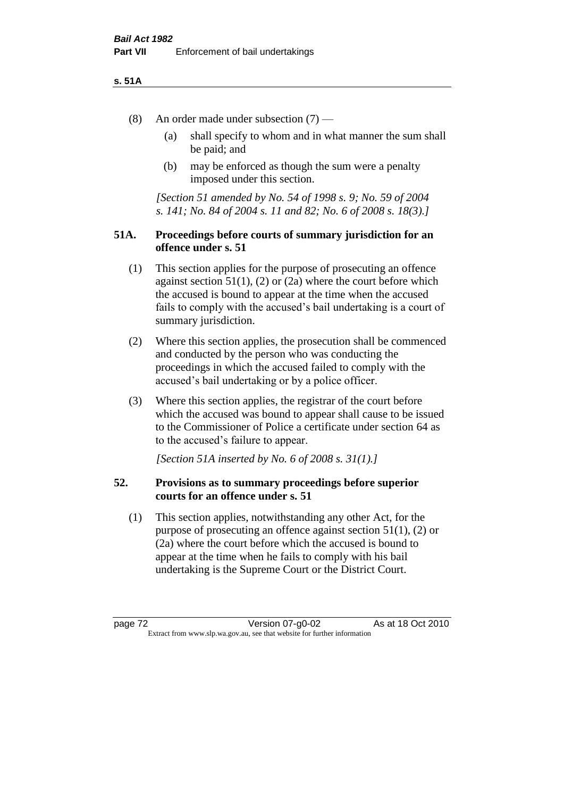#### **s. 51A**

- (8) An order made under subsection (7)
	- (a) shall specify to whom and in what manner the sum shall be paid; and
	- (b) may be enforced as though the sum were a penalty imposed under this section.

*[Section 51 amended by No. 54 of 1998 s. 9; No. 59 of 2004 s. 141; No. 84 of 2004 s. 11 and 82; No. 6 of 2008 s. 18(3).]*

## **51A. Proceedings before courts of summary jurisdiction for an offence under s. 51**

- (1) This section applies for the purpose of prosecuting an offence against section  $51(1)$ ,  $(2)$  or  $(2a)$  where the court before which the accused is bound to appear at the time when the accused fails to comply with the accused's bail undertaking is a court of summary jurisdiction.
- (2) Where this section applies, the prosecution shall be commenced and conducted by the person who was conducting the proceedings in which the accused failed to comply with the accused's bail undertaking or by a police officer.
- (3) Where this section applies, the registrar of the court before which the accused was bound to appear shall cause to be issued to the Commissioner of Police a certificate under section 64 as to the accused's failure to appear.

*[Section 51A inserted by No. 6 of 2008 s. 31(1).]*

## **52. Provisions as to summary proceedings before superior courts for an offence under s. 51**

(1) This section applies, notwithstanding any other Act, for the purpose of prosecuting an offence against section 51(1), (2) or (2a) where the court before which the accused is bound to appear at the time when he fails to comply with his bail undertaking is the Supreme Court or the District Court.

page 72 Version 07-g0-02 As at 18 Oct 2010 Extract from www.slp.wa.gov.au, see that website for further information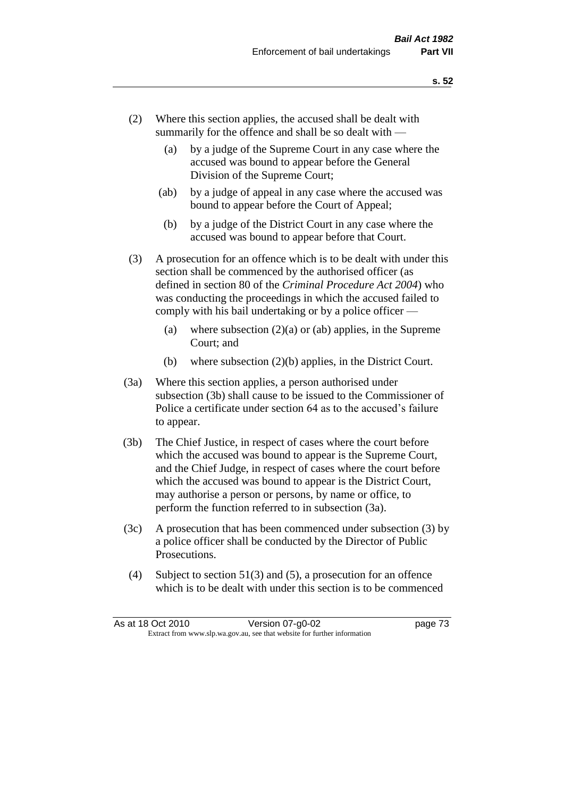- (2) Where this section applies, the accused shall be dealt with summarily for the offence and shall be so dealt with —
	- (a) by a judge of the Supreme Court in any case where the accused was bound to appear before the General Division of the Supreme Court;
	- (ab) by a judge of appeal in any case where the accused was bound to appear before the Court of Appeal;
	- (b) by a judge of the District Court in any case where the accused was bound to appear before that Court.
- (3) A prosecution for an offence which is to be dealt with under this section shall be commenced by the authorised officer (as defined in section 80 of the *Criminal Procedure Act 2004*) who was conducting the proceedings in which the accused failed to comply with his bail undertaking or by a police officer —
	- (a) where subsection  $(2)(a)$  or (ab) applies, in the Supreme Court; and
	- (b) where subsection (2)(b) applies, in the District Court.
- (3a) Where this section applies, a person authorised under subsection (3b) shall cause to be issued to the Commissioner of Police a certificate under section 64 as to the accused's failure to appear.
- (3b) The Chief Justice, in respect of cases where the court before which the accused was bound to appear is the Supreme Court, and the Chief Judge, in respect of cases where the court before which the accused was bound to appear is the District Court, may authorise a person or persons, by name or office, to perform the function referred to in subsection (3a).
- (3c) A prosecution that has been commenced under subsection (3) by a police officer shall be conducted by the Director of Public Prosecutions.
- (4) Subject to section 51(3) and (5), a prosecution for an offence which is to be dealt with under this section is to be commenced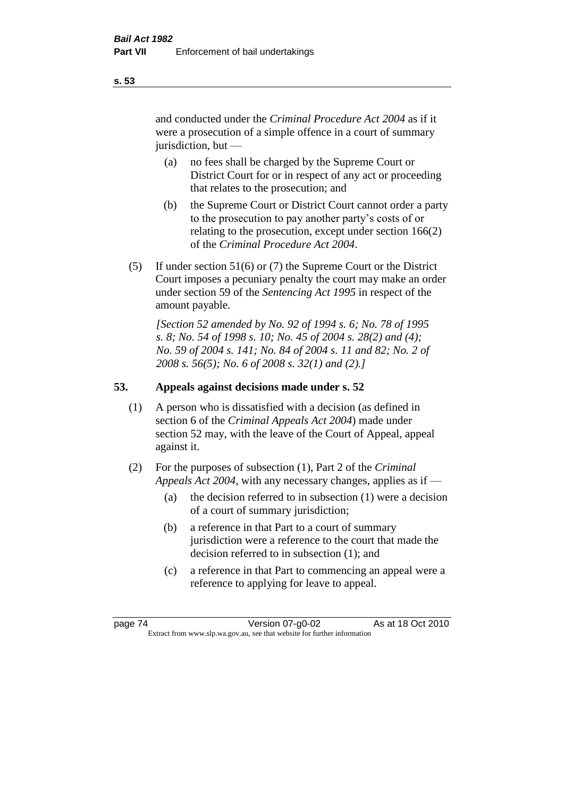and conducted under the *Criminal Procedure Act 2004* as if it were a prosecution of a simple offence in a court of summary jurisdiction, but —

- (a) no fees shall be charged by the Supreme Court or District Court for or in respect of any act or proceeding that relates to the prosecution; and
- (b) the Supreme Court or District Court cannot order a party to the prosecution to pay another party's costs of or relating to the prosecution, except under section 166(2) of the *Criminal Procedure Act 2004*.
- (5) If under section 51(6) or (7) the Supreme Court or the District Court imposes a pecuniary penalty the court may make an order under section 59 of the *Sentencing Act 1995* in respect of the amount payable.

*[Section 52 amended by No. 92 of 1994 s. 6; No. 78 of 1995 s. 8; No. 54 of 1998 s. 10; No. 45 of 2004 s. 28(2) and (4); No. 59 of 2004 s. 141; No. 84 of 2004 s. 11 and 82; No. 2 of 2008 s. 56(5); No. 6 of 2008 s. 32(1) and (2).]* 

## **53. Appeals against decisions made under s. 52**

- (1) A person who is dissatisfied with a decision (as defined in section 6 of the *Criminal Appeals Act 2004*) made under section 52 may, with the leave of the Court of Appeal, appeal against it.
- (2) For the purposes of subsection (1), Part 2 of the *Criminal Appeals Act 2004*, with any necessary changes, applies as if —
	- (a) the decision referred to in subsection (1) were a decision of a court of summary jurisdiction;
	- (b) a reference in that Part to a court of summary jurisdiction were a reference to the court that made the decision referred to in subsection (1); and
	- (c) a reference in that Part to commencing an appeal were a reference to applying for leave to appeal.

**s. 53**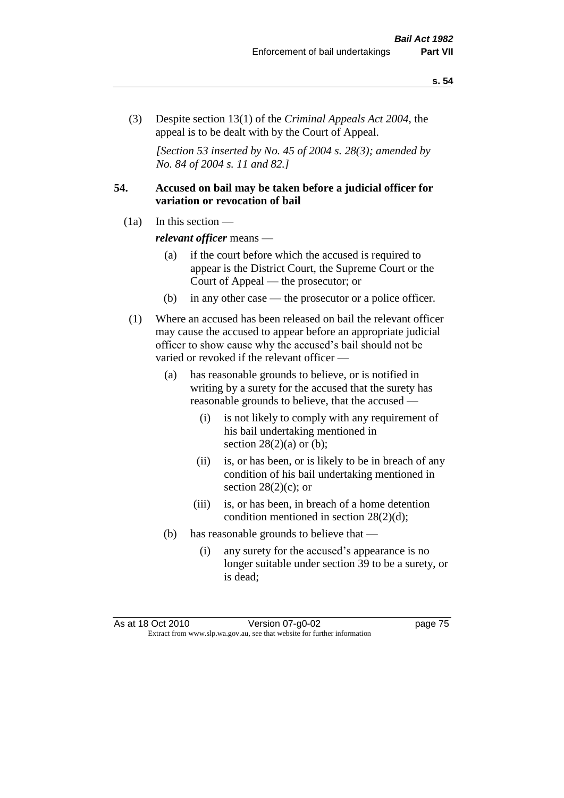(3) Despite section 13(1) of the *Criminal Appeals Act 2004*, the appeal is to be dealt with by the Court of Appeal.

*[Section 53 inserted by No. 45 of 2004 s. 28(3); amended by No. 84 of 2004 s. 11 and 82.]*

## **54. Accused on bail may be taken before a judicial officer for variation or revocation of bail**

(1a) In this section —

*relevant officer* means —

- (a) if the court before which the accused is required to appear is the District Court, the Supreme Court or the Court of Appeal — the prosecutor; or
- (b) in any other case the prosecutor or a police officer.
- (1) Where an accused has been released on bail the relevant officer may cause the accused to appear before an appropriate judicial officer to show cause why the accused's bail should not be varied or revoked if the relevant officer —
	- (a) has reasonable grounds to believe, or is notified in writing by a surety for the accused that the surety has reasonable grounds to believe, that the accused —
		- (i) is not likely to comply with any requirement of his bail undertaking mentioned in section  $28(2)(a)$  or (b);
		- (ii) is, or has been, or is likely to be in breach of any condition of his bail undertaking mentioned in section  $28(2)(c)$ ; or
		- (iii) is, or has been, in breach of a home detention condition mentioned in section 28(2)(d);
	- (b) has reasonable grounds to believe that
		- (i) any surety for the accused's appearance is no longer suitable under section 39 to be a surety, or is dead;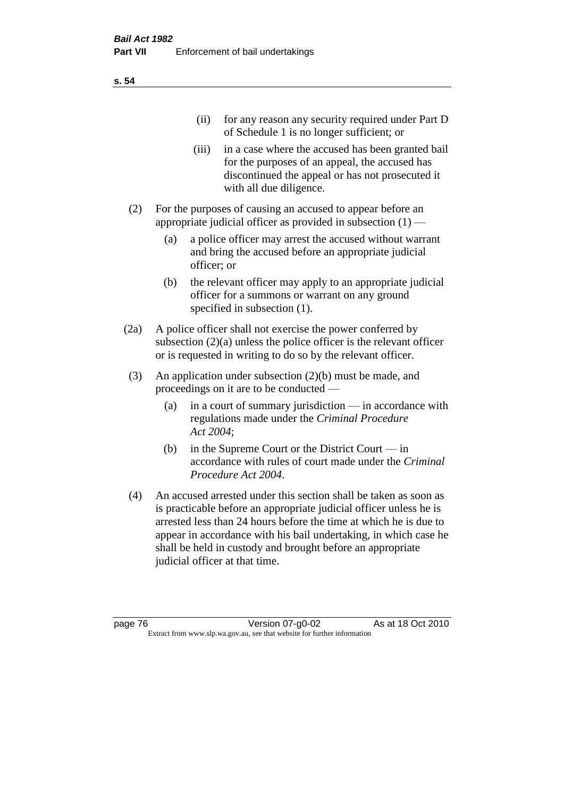|     | (11)  | for any reason any security required under Part D<br>of Schedule 1 is no longer sufficient; or                                                                                     |
|-----|-------|------------------------------------------------------------------------------------------------------------------------------------------------------------------------------------|
|     | (iii) | in a case where the accused has been granted bail<br>for the purposes of an appeal, the accused has<br>discontinued the appeal or has not prosecuted it<br>with all due diligence. |
| (2) |       | For the purposes of causing an accused to appear before an<br>appropriate judicial officer as provided in subsection $(1)$ —                                                       |

- (a) a police officer may arrest the accused without warrant and bring the accused before an appropriate judicial officer; or
- (b) the relevant officer may apply to an appropriate judicial officer for a summons or warrant on any ground specified in subsection  $(1)$ .
- (2a) A police officer shall not exercise the power conferred by subsection (2)(a) unless the police officer is the relevant officer or is requested in writing to do so by the relevant officer.
- (3) An application under subsection (2)(b) must be made, and proceedings on it are to be conducted —
	- (a) in a court of summary jurisdiction in accordance with regulations made under the *Criminal Procedure Act 2004*;
	- (b) in the Supreme Court or the District Court in accordance with rules of court made under the *Criminal Procedure Act 2004*.
- (4) An accused arrested under this section shall be taken as soon as is practicable before an appropriate judicial officer unless he is arrested less than 24 hours before the time at which he is due to appear in accordance with his bail undertaking, in which case he shall be held in custody and brought before an appropriate judicial officer at that time.

**s. 54**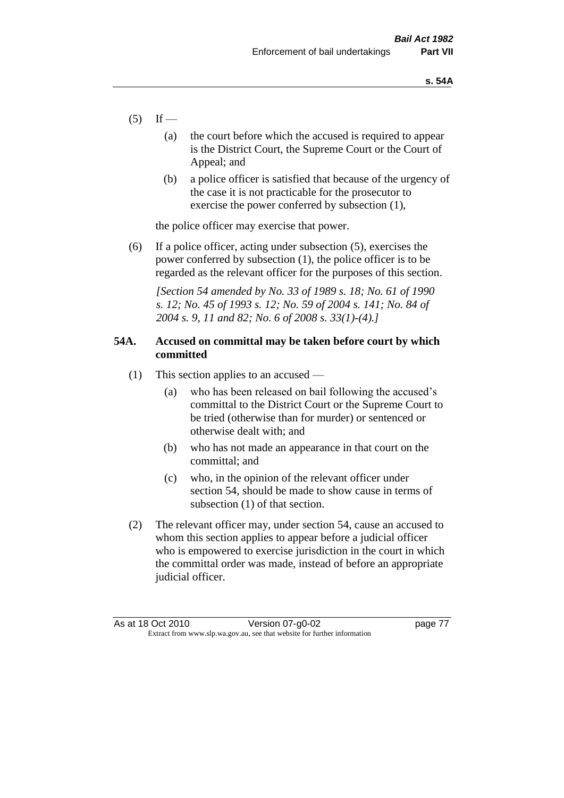- $(5)$  If
	- (a) the court before which the accused is required to appear is the District Court, the Supreme Court or the Court of Appeal; and
	- (b) a police officer is satisfied that because of the urgency of the case it is not practicable for the prosecutor to exercise the power conferred by subsection (1),

the police officer may exercise that power.

(6) If a police officer, acting under subsection (5), exercises the power conferred by subsection (1), the police officer is to be regarded as the relevant officer for the purposes of this section.

*[Section 54 amended by No. 33 of 1989 s. 18; No. 61 of 1990 s. 12; No. 45 of 1993 s. 12; No. 59 of 2004 s. 141; No. 84 of 2004 s. 9, 11 and 82; No. 6 of 2008 s. 33(1)-(4).]* 

## **54A. Accused on committal may be taken before court by which committed**

- (1) This section applies to an accused
	- (a) who has been released on bail following the accused's committal to the District Court or the Supreme Court to be tried (otherwise than for murder) or sentenced or otherwise dealt with; and
	- (b) who has not made an appearance in that court on the committal; and
	- (c) who, in the opinion of the relevant officer under section 54, should be made to show cause in terms of subsection (1) of that section.
- (2) The relevant officer may, under section 54, cause an accused to whom this section applies to appear before a judicial officer who is empowered to exercise jurisdiction in the court in which the committal order was made, instead of before an appropriate judicial officer.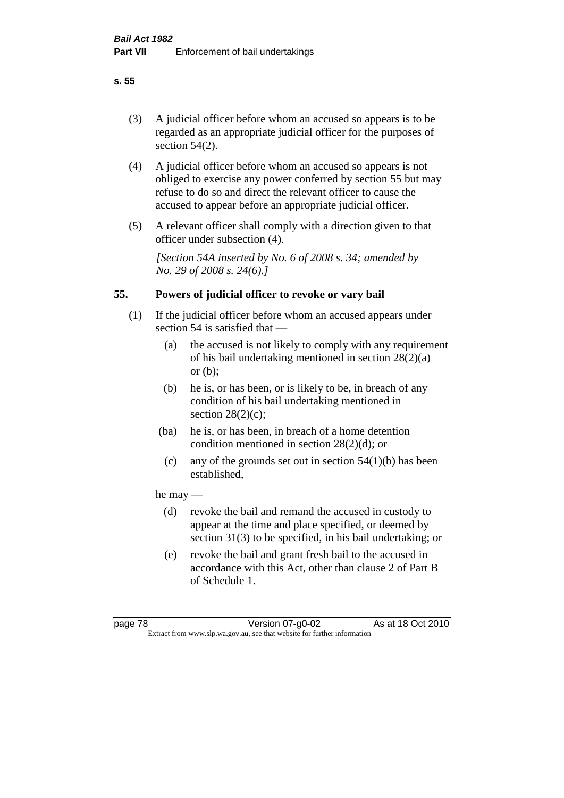# (3) A judicial officer before whom an accused so appears is to be regarded as an appropriate judicial officer for the purposes of section 54(2).

- (4) A judicial officer before whom an accused so appears is not obliged to exercise any power conferred by section 55 but may refuse to do so and direct the relevant officer to cause the accused to appear before an appropriate judicial officer.
- (5) A relevant officer shall comply with a direction given to that officer under subsection (4).

*[Section 54A inserted by No. 6 of 2008 s. 34; amended by No. 29 of 2008 s. 24(6).]*

# **55. Powers of judicial officer to revoke or vary bail**

- (1) If the judicial officer before whom an accused appears under section 54 is satisfied that —
	- (a) the accused is not likely to comply with any requirement of his bail undertaking mentioned in section 28(2)(a) or (b);
	- (b) he is, or has been, or is likely to be, in breach of any condition of his bail undertaking mentioned in section  $28(2)(c)$ ;
	- (ba) he is, or has been, in breach of a home detention condition mentioned in section 28(2)(d); or
		- (c) any of the grounds set out in section  $54(1)(b)$  has been established,

## he may —

- (d) revoke the bail and remand the accused in custody to appear at the time and place specified, or deemed by section 31(3) to be specified, in his bail undertaking; or
- (e) revoke the bail and grant fresh bail to the accused in accordance with this Act, other than clause 2 of Part B of Schedule 1.

#### **s. 55**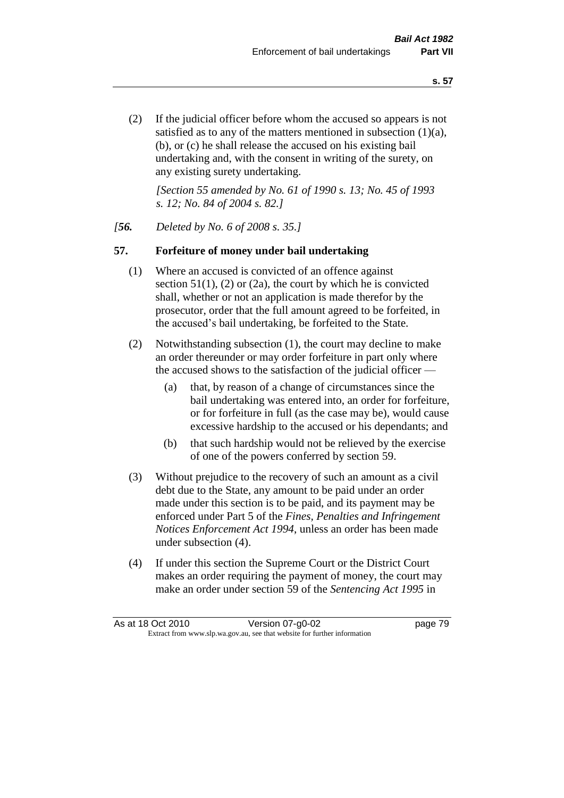(2) If the judicial officer before whom the accused so appears is not satisfied as to any of the matters mentioned in subsection (1)(a), (b), or (c) he shall release the accused on his existing bail undertaking and, with the consent in writing of the surety, on any existing surety undertaking.

*[Section 55 amended by No. 61 of 1990 s. 13; No. 45 of 1993 s. 12; No. 84 of 2004 s. 82.]* 

#### *[56. Deleted by No. 6 of 2008 s. 35.]*

#### **57. Forfeiture of money under bail undertaking**

- (1) Where an accused is convicted of an offence against section  $51(1)$ , (2) or (2a), the court by which he is convicted shall, whether or not an application is made therefor by the prosecutor, order that the full amount agreed to be forfeited, in the accused's bail undertaking, be forfeited to the State.
- (2) Notwithstanding subsection (1), the court may decline to make an order thereunder or may order forfeiture in part only where the accused shows to the satisfaction of the judicial officer —
	- (a) that, by reason of a change of circumstances since the bail undertaking was entered into, an order for forfeiture, or for forfeiture in full (as the case may be), would cause excessive hardship to the accused or his dependants; and
	- (b) that such hardship would not be relieved by the exercise of one of the powers conferred by section 59.
- (3) Without prejudice to the recovery of such an amount as a civil debt due to the State, any amount to be paid under an order made under this section is to be paid, and its payment may be enforced under Part 5 of the *Fines, Penalties and Infringement Notices Enforcement Act 1994*, unless an order has been made under subsection (4).
- (4) If under this section the Supreme Court or the District Court makes an order requiring the payment of money, the court may make an order under section 59 of the *Sentencing Act 1995* in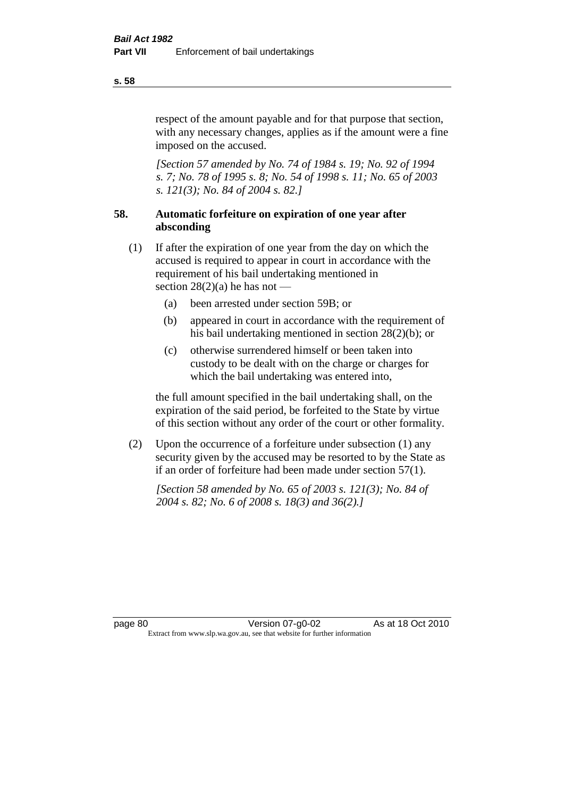respect of the amount payable and for that purpose that section, with any necessary changes, applies as if the amount were a fine imposed on the accused.

*[Section 57 amended by No. 74 of 1984 s. 19; No. 92 of 1994 s. 7; No. 78 of 1995 s. 8; No. 54 of 1998 s. 11; No. 65 of 2003 s. 121(3); No. 84 of 2004 s. 82.]* 

# **58. Automatic forfeiture on expiration of one year after absconding**

- (1) If after the expiration of one year from the day on which the accused is required to appear in court in accordance with the requirement of his bail undertaking mentioned in section  $28(2)(a)$  he has not —
	- (a) been arrested under section 59B; or
	- (b) appeared in court in accordance with the requirement of his bail undertaking mentioned in section 28(2)(b); or
	- (c) otherwise surrendered himself or been taken into custody to be dealt with on the charge or charges for which the bail undertaking was entered into,

the full amount specified in the bail undertaking shall, on the expiration of the said period, be forfeited to the State by virtue of this section without any order of the court or other formality.

(2) Upon the occurrence of a forfeiture under subsection (1) any security given by the accused may be resorted to by the State as if an order of forfeiture had been made under section 57(1).

*[Section 58 amended by No. 65 of 2003 s. 121(3); No. 84 of 2004 s. 82; No. 6 of 2008 s. 18(3) and 36(2).]*

**s. 58**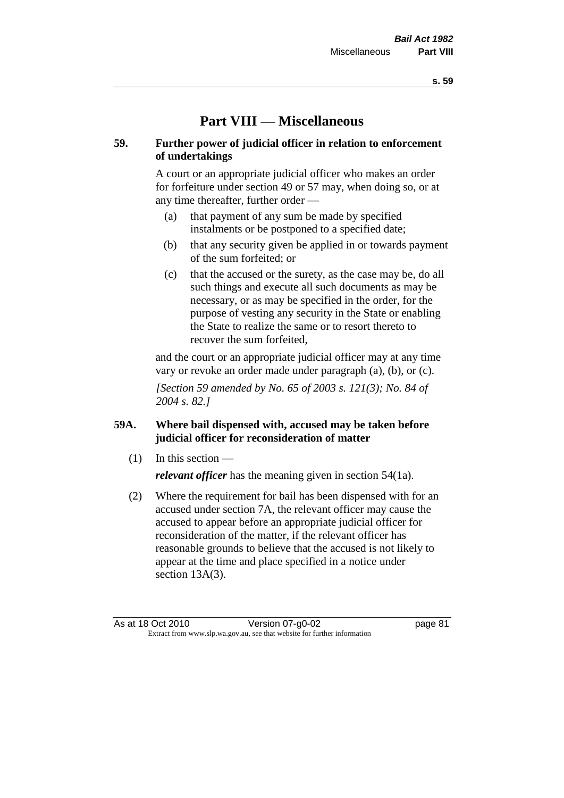# **Part VIII — Miscellaneous**

## **59. Further power of judicial officer in relation to enforcement of undertakings**

A court or an appropriate judicial officer who makes an order for forfeiture under section 49 or 57 may, when doing so, or at any time thereafter, further order —

- (a) that payment of any sum be made by specified instalments or be postponed to a specified date;
- (b) that any security given be applied in or towards payment of the sum forfeited; or
- (c) that the accused or the surety, as the case may be, do all such things and execute all such documents as may be necessary, or as may be specified in the order, for the purpose of vesting any security in the State or enabling the State to realize the same or to resort thereto to recover the sum forfeited,

and the court or an appropriate judicial officer may at any time vary or revoke an order made under paragraph (a), (b), or (c).

*[Section 59 amended by No. 65 of 2003 s. 121(3); No. 84 of 2004 s. 82.]*

# **59A. Where bail dispensed with, accused may be taken before judicial officer for reconsideration of matter**

- $(1)$  In this section *relevant officer* has the meaning given in section 54(1a).
- (2) Where the requirement for bail has been dispensed with for an accused under section 7A, the relevant officer may cause the accused to appear before an appropriate judicial officer for reconsideration of the matter, if the relevant officer has reasonable grounds to believe that the accused is not likely to appear at the time and place specified in a notice under section 13A(3).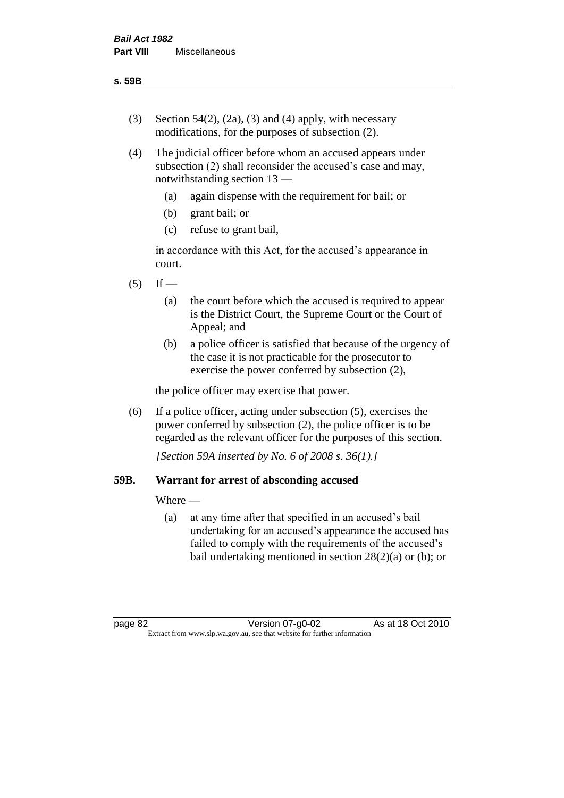- (3) Section 54(2), (2a), (3) and (4) apply, with necessary modifications, for the purposes of subsection (2).
- (4) The judicial officer before whom an accused appears under subsection (2) shall reconsider the accused's case and may, notwithstanding section 13 —
	- (a) again dispense with the requirement for bail; or
	- (b) grant bail; or
	- (c) refuse to grant bail,

in accordance with this Act, for the accused's appearance in court.

- $(5)$  If
	- (a) the court before which the accused is required to appear is the District Court, the Supreme Court or the Court of Appeal; and
	- (b) a police officer is satisfied that because of the urgency of the case it is not practicable for the prosecutor to exercise the power conferred by subsection (2),

the police officer may exercise that power.

(6) If a police officer, acting under subsection (5), exercises the power conferred by subsection (2), the police officer is to be regarded as the relevant officer for the purposes of this section.

*[Section 59A inserted by No. 6 of 2008 s. 36(1).]*

## **59B. Warrant for arrest of absconding accused**

Where —

(a) at any time after that specified in an accused's bail undertaking for an accused's appearance the accused has failed to comply with the requirements of the accused's bail undertaking mentioned in section  $28(2)(a)$  or (b); or

page 82 Version 07-g0-02 As at 18 Oct 2010 Extract from www.slp.wa.gov.au, see that website for further information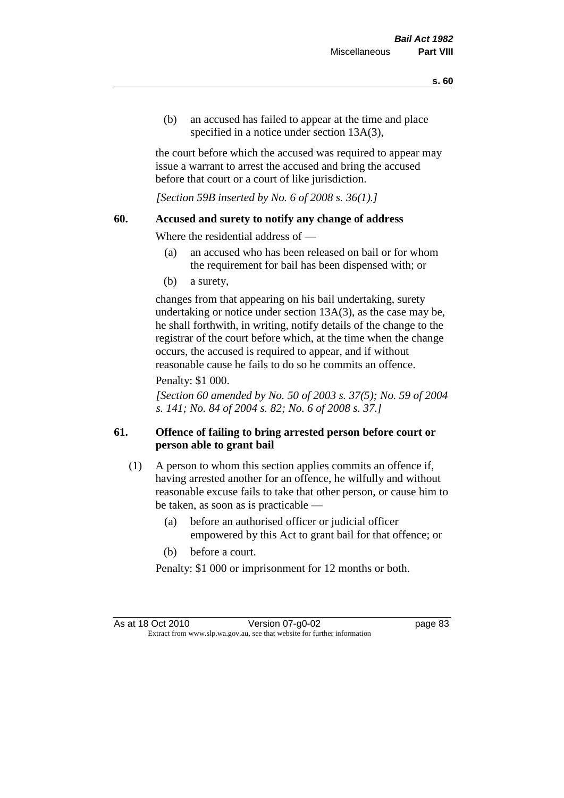(b) an accused has failed to appear at the time and place specified in a notice under section 13A(3).

the court before which the accused was required to appear may issue a warrant to arrest the accused and bring the accused before that court or a court of like jurisdiction.

*[Section 59B inserted by No. 6 of 2008 s. 36(1).]*

#### **60. Accused and surety to notify any change of address**

Where the residential address of —

- (a) an accused who has been released on bail or for whom the requirement for bail has been dispensed with; or
- (b) a surety,

changes from that appearing on his bail undertaking, surety undertaking or notice under section 13A(3), as the case may be, he shall forthwith, in writing, notify details of the change to the registrar of the court before which, at the time when the change occurs, the accused is required to appear, and if without reasonable cause he fails to do so he commits an offence.

#### Penalty: \$1 000.

*[Section 60 amended by No. 50 of 2003 s. 37(5); No. 59 of 2004 s. 141; No. 84 of 2004 s. 82; No. 6 of 2008 s. 37.]*

## **61. Offence of failing to bring arrested person before court or person able to grant bail**

- (1) A person to whom this section applies commits an offence if, having arrested another for an offence, he wilfully and without reasonable excuse fails to take that other person, or cause him to be taken, as soon as is practicable —
	- (a) before an authorised officer or judicial officer empowered by this Act to grant bail for that offence; or
	- (b) before a court.

Penalty: \$1 000 or imprisonment for 12 months or both.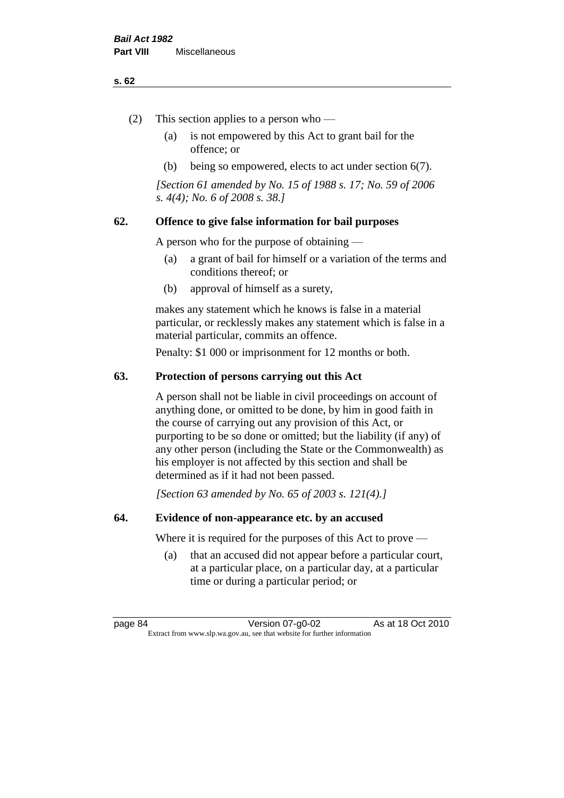#### **s. 62**

- (2) This section applies to a person who
	- (a) is not empowered by this Act to grant bail for the offence; or
	- (b) being so empowered, elects to act under section 6(7).

*[Section 61 amended by No. 15 of 1988 s. 17; No. 59 of 2006 s. 4(4); No. 6 of 2008 s. 38.]* 

## **62. Offence to give false information for bail purposes**

A person who for the purpose of obtaining —

- (a) a grant of bail for himself or a variation of the terms and conditions thereof; or
- (b) approval of himself as a surety,

makes any statement which he knows is false in a material particular, or recklessly makes any statement which is false in a material particular, commits an offence.

Penalty: \$1 000 or imprisonment for 12 months or both.

#### **63. Protection of persons carrying out this Act**

A person shall not be liable in civil proceedings on account of anything done, or omitted to be done, by him in good faith in the course of carrying out any provision of this Act, or purporting to be so done or omitted; but the liability (if any) of any other person (including the State or the Commonwealth) as his employer is not affected by this section and shall be determined as if it had not been passed.

*[Section 63 amended by No. 65 of 2003 s. 121(4).]*

#### **64. Evidence of non-appearance etc. by an accused**

Where it is required for the purposes of this Act to prove —

(a) that an accused did not appear before a particular court, at a particular place, on a particular day, at a particular time or during a particular period; or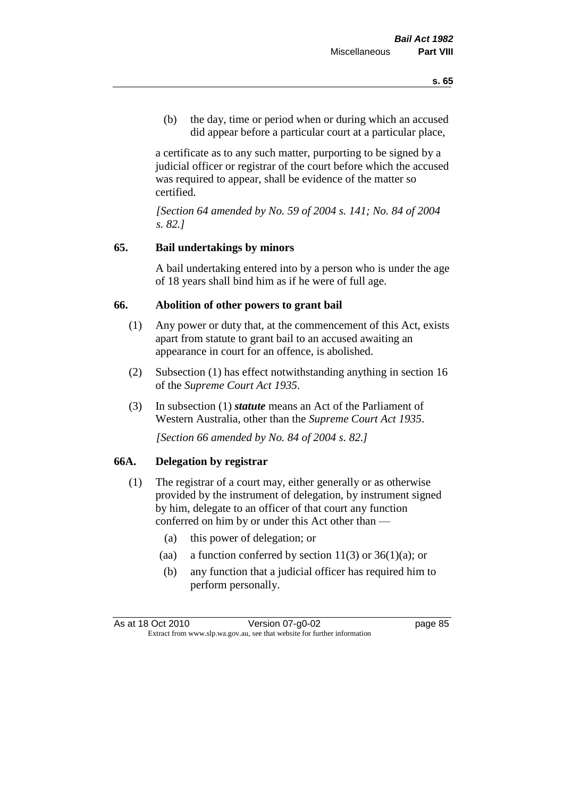(b) the day, time or period when or during which an accused did appear before a particular court at a particular place,

a certificate as to any such matter, purporting to be signed by a judicial officer or registrar of the court before which the accused was required to appear, shall be evidence of the matter so certified.

*[Section 64 amended by No. 59 of 2004 s. 141; No. 84 of 2004 s. 82.]* 

## **65. Bail undertakings by minors**

A bail undertaking entered into by a person who is under the age of 18 years shall bind him as if he were of full age.

#### **66. Abolition of other powers to grant bail**

- (1) Any power or duty that, at the commencement of this Act, exists apart from statute to grant bail to an accused awaiting an appearance in court for an offence, is abolished.
- (2) Subsection (1) has effect notwithstanding anything in section 16 of the *Supreme Court Act 1935*.
- (3) In subsection (1) *statute* means an Act of the Parliament of Western Australia, other than the *Supreme Court Act 1935*.

*[Section 66 amended by No. 84 of 2004 s. 82.]*

#### **66A. Delegation by registrar**

- (1) The registrar of a court may, either generally or as otherwise provided by the instrument of delegation, by instrument signed by him, delegate to an officer of that court any function conferred on him by or under this Act other than —
	- (a) this power of delegation; or
	- (aa) a function conferred by section  $11(3)$  or  $36(1)(a)$ ; or
	- (b) any function that a judicial officer has required him to perform personally.

As at 18 Oct 2010 Version 07-g0-02 page 85 Extract from www.slp.wa.gov.au, see that website for further information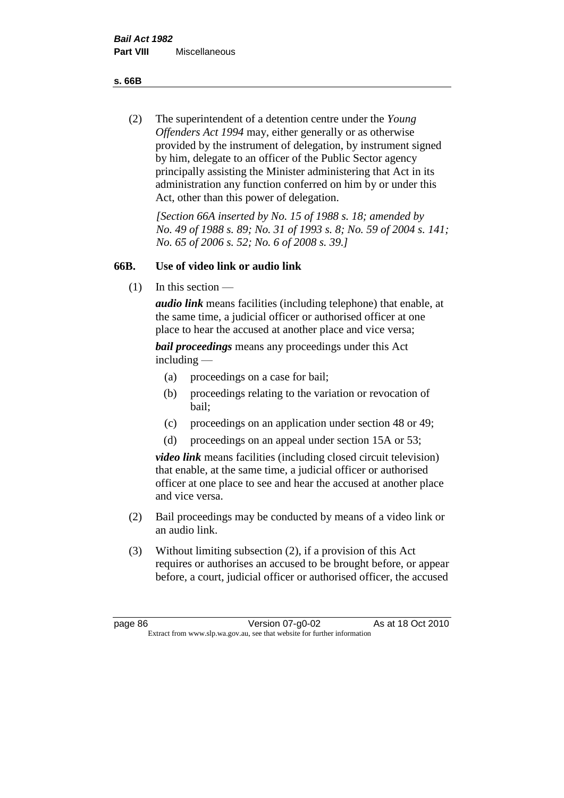**s. 66B**

(2) The superintendent of a detention centre under the *Young Offenders Act 1994* may, either generally or as otherwise provided by the instrument of delegation, by instrument signed by him, delegate to an officer of the Public Sector agency principally assisting the Minister administering that Act in its administration any function conferred on him by or under this Act, other than this power of delegation.

*[Section 66A inserted by No. 15 of 1988 s. 18; amended by No. 49 of 1988 s. 89; No. 31 of 1993 s. 8; No. 59 of 2004 s. 141; No. 65 of 2006 s. 52; No. 6 of 2008 s. 39.]* 

## **66B. Use of video link or audio link**

(1) In this section —

*audio link* means facilities (including telephone) that enable, at the same time, a judicial officer or authorised officer at one place to hear the accused at another place and vice versa;

*bail proceedings* means any proceedings under this Act including —

- (a) proceedings on a case for bail;
- (b) proceedings relating to the variation or revocation of bail;
- (c) proceedings on an application under section 48 or 49;
- (d) proceedings on an appeal under section 15A or 53;

*video link* means facilities (including closed circuit television) that enable, at the same time, a judicial officer or authorised officer at one place to see and hear the accused at another place and vice versa.

- (2) Bail proceedings may be conducted by means of a video link or an audio link.
- (3) Without limiting subsection (2), if a provision of this Act requires or authorises an accused to be brought before, or appear before, a court, judicial officer or authorised officer, the accused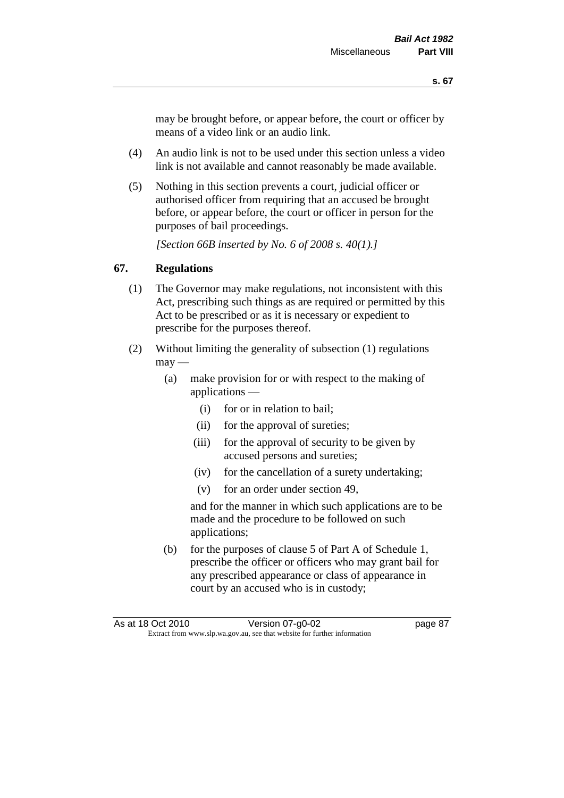may be brought before, or appear before, the court or officer by means of a video link or an audio link.

- (4) An audio link is not to be used under this section unless a video link is not available and cannot reasonably be made available.
- (5) Nothing in this section prevents a court, judicial officer or authorised officer from requiring that an accused be brought before, or appear before, the court or officer in person for the purposes of bail proceedings.

*[Section 66B inserted by No. 6 of 2008 s. 40(1).]*

## **67. Regulations**

- (1) The Governor may make regulations, not inconsistent with this Act, prescribing such things as are required or permitted by this Act to be prescribed or as it is necessary or expedient to prescribe for the purposes thereof.
- (2) Without limiting the generality of subsection (1) regulations  $\text{max}$  —
	- (a) make provision for or with respect to the making of applications —
		- (i) for or in relation to bail;
		- (ii) for the approval of sureties;
		- (iii) for the approval of security to be given by accused persons and sureties;
		- (iv) for the cancellation of a surety undertaking;
		- (v) for an order under section 49,

and for the manner in which such applications are to be made and the procedure to be followed on such applications;

(b) for the purposes of clause 5 of Part A of Schedule 1, prescribe the officer or officers who may grant bail for any prescribed appearance or class of appearance in court by an accused who is in custody;

As at 18 Oct 2010 Version 07-g0-02 page 87 Extract from www.slp.wa.gov.au, see that website for further information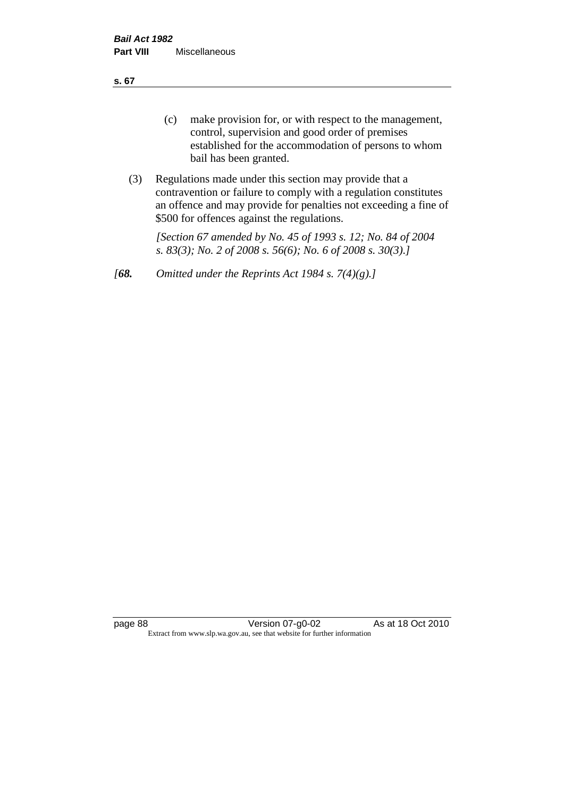**s. 67**

- (c) make provision for, or with respect to the management, control, supervision and good order of premises established for the accommodation of persons to whom bail has been granted.
- (3) Regulations made under this section may provide that a contravention or failure to comply with a regulation constitutes an offence and may provide for penalties not exceeding a fine of \$500 for offences against the regulations.

*[Section 67 amended by No. 45 of 1993 s. 12; No. 84 of 2004 s. 83(3); No. 2 of 2008 s. 56(6); No. 6 of 2008 s. 30(3).]* 

*[68. Omitted under the Reprints Act 1984 s. 7(4)(g).]*

page 88 Version 07-g0-02 As at 18 Oct 2010 Extract from www.slp.wa.gov.au, see that website for further information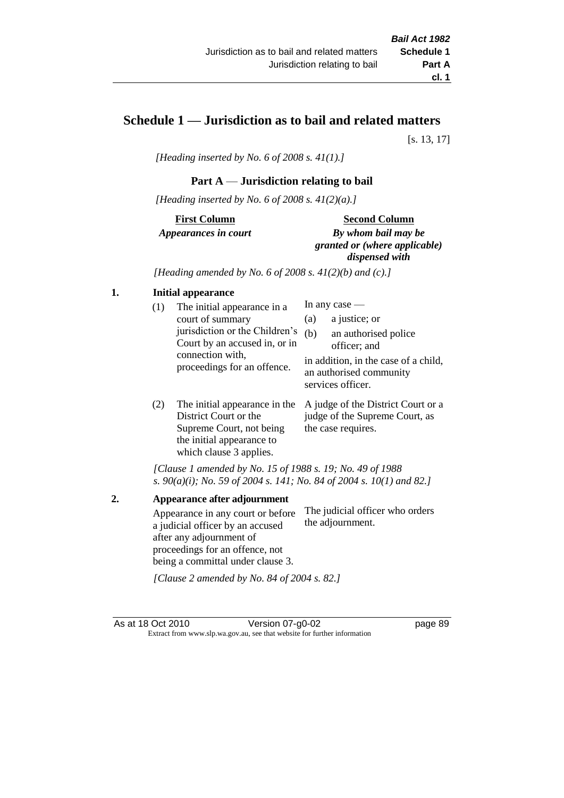# **Schedule 1 — Jurisdiction as to bail and related matters**

[s. 13, 17]

*[Heading inserted by No. 6 of 2008 s. 41(1).]*

## **Part A** — **Jurisdiction relating to bail**

*[Heading inserted by No. 6 of 2008 s. 41(2)(a).]*

**First Column** *Appearances in court* 

#### **Second Column**

*By whom bail may be granted or (where applicable) dispensed with*

*[Heading amended by No. 6 of 2008 s. 41(2)(b) and (c).]*

#### **1. Initial appearance**

| (1) | The initial appearance in a<br>court of summary<br>jurisdiction or the Children's<br>Court by an accused in, or in<br>connection with,<br>proceedings for an offence. | (a)<br>(b) | In any case $-$<br>a justice; or<br>an authorised police<br>officer; and<br>in addition, in the case of a child,<br>an authorised community |
|-----|-----------------------------------------------------------------------------------------------------------------------------------------------------------------------|------------|---------------------------------------------------------------------------------------------------------------------------------------------|
|     |                                                                                                                                                                       |            | services officer.                                                                                                                           |

(2) The initial appearance in the A judge of the District Court or a District Court or the Supreme Court, not being the initial appearance to which clause 3 applies. judge of the Supreme Court, as the case requires.

*[Clause 1 amended by No. 15 of 1988 s. 19; No. 49 of 1988 s. 90(a)(i); No. 59 of 2004 s. 141; No. 84 of 2004 s. 10(1) and 82.]*

**2. Appearance after adjournment** Appearance in any court or before a judicial officer by an accused after any adjournment of proceedings for an offence, not being a committal under clause 3. The judicial officer who orders the adjournment.

*[Clause 2 amended by No. 84 of 2004 s. 82.]*

As at 18 Oct 2010 Version 07-g0-02 page 89 Extract from www.slp.wa.gov.au, see that website for further information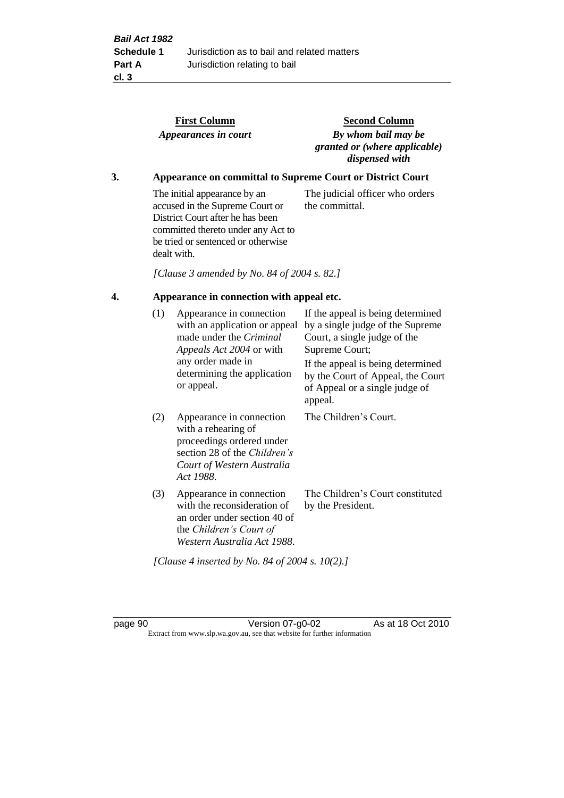|    |     | <b>First Column</b><br>Appearances in court                                                                                                                                                    | <b>Second Column</b><br>By whom bail may be<br>granted or (where applicable)<br>dispensed with                                                               |
|----|-----|------------------------------------------------------------------------------------------------------------------------------------------------------------------------------------------------|--------------------------------------------------------------------------------------------------------------------------------------------------------------|
| 3. |     |                                                                                                                                                                                                | <b>Appearance on committal to Supreme Court or District Court</b>                                                                                            |
|    |     | The initial appearance by an<br>accused in the Supreme Court or<br>District Court after he has been<br>committed thereto under any Act to<br>be tried or sentenced or otherwise<br>dealt with. | The judicial officer who orders<br>the committal.                                                                                                            |
|    |     | [Clause 3 amended by No. 84 of 2004 s. 82.]                                                                                                                                                    |                                                                                                                                                              |
| 4. |     | Appearance in connection with appeal etc.                                                                                                                                                      |                                                                                                                                                              |
|    | (1) | Appearance in connection<br>with an application or appeal<br>made under the Criminal<br>Appeals Act 2004 or with<br>any order made in                                                          | If the appeal is being determined<br>by a single judge of the Supreme<br>Court, a single judge of the<br>Supreme Court;<br>If the appeal is being determined |
|    |     | determining the application<br>or appeal.                                                                                                                                                      | by the Court of Appeal, the Court<br>of Appeal or a single judge of<br>appeal.                                                                               |
|    | (2) | Appearance in connection<br>with a rehearing of<br>proceedings ordered under<br>section 28 of the Children's<br>Court of Western Australia<br>Act 1988.                                        | The Children's Court.                                                                                                                                        |
|    | (3) | Appearance in connection<br>with the reconsideration of<br>an order under section 40 of<br>the Children's Court of<br>Western Australia Act 1988.                                              | The Children's Court constituted<br>by the President.                                                                                                        |

*[Clause 4 inserted by No. 84 of 2004 s. 10(2).]*

page 90 Version 07-g0-02 As at 18 Oct 2010 Extract from www.slp.wa.gov.au, see that website for further information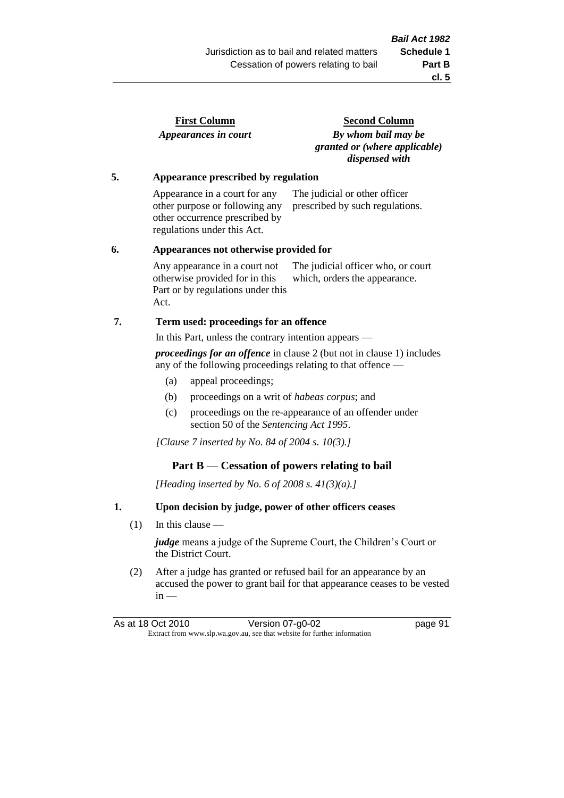| <b>First Column</b>  |  |
|----------------------|--|
| Appearances in court |  |

**Second Column** *By whom bail may be granted or (where applicable) dispensed with*

#### **5. Appearance prescribed by regulation**

Appearance in a court for any other purpose or following any other occurrence prescribed by regulations under this Act. The judicial or other officer prescribed by such regulations.

#### **6. Appearances not otherwise provided for**

Any appearance in a court not otherwise provided for in this Part or by regulations under this Act. The judicial officer who, or court which, orders the appearance.

## **7. Term used: proceedings for an offence**

In this Part, unless the contrary intention appears —

*proceedings for an offence* in clause 2 (but not in clause 1) includes any of the following proceedings relating to that offence —

- (a) appeal proceedings;
- (b) proceedings on a writ of *habeas corpus*; and
- (c) proceedings on the re-appearance of an offender under section 50 of the *Sentencing Act 1995*.

*[Clause 7 inserted by No. 84 of 2004 s. 10(3).]*

## **Part B** — **Cessation of powers relating to bail**

*[Heading inserted by No. 6 of 2008 s. 41(3)(a).]*

## **1. Upon decision by judge, power of other officers ceases**

(1) In this clause —

*judge* means a judge of the Supreme Court, the Children's Court or the District Court.

(2) After a judge has granted or refused bail for an appearance by an accused the power to grant bail for that appearance ceases to be vested  $in -$ 

| As at 18 Oct 2010                                                        | Version 07-g0-02 | page 91 |
|--------------------------------------------------------------------------|------------------|---------|
| Extract from www.slp.wa.gov.au, see that website for further information |                  |         |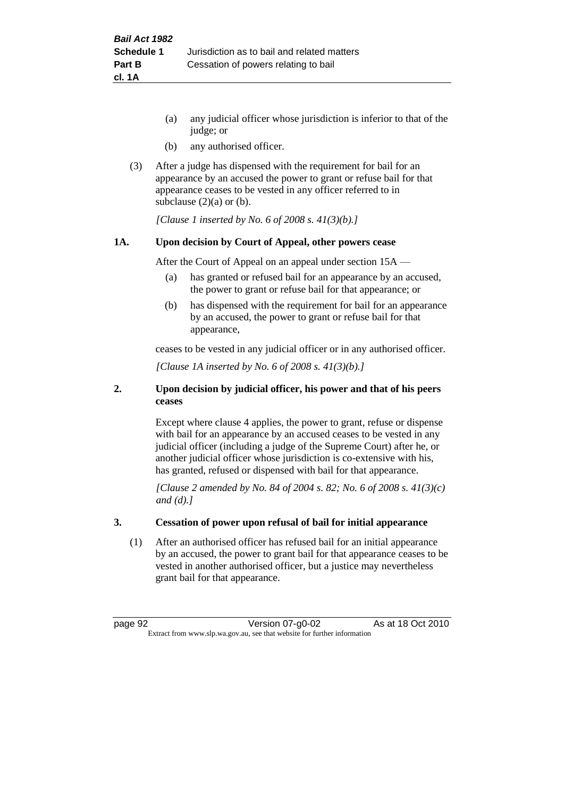- (a) any judicial officer whose jurisdiction is inferior to that of the judge; or
- (b) any authorised officer.
- (3) After a judge has dispensed with the requirement for bail for an appearance by an accused the power to grant or refuse bail for that appearance ceases to be vested in any officer referred to in subclause  $(2)(a)$  or  $(b)$ .

*[Clause 1 inserted by No. 6 of 2008 s. 41(3)(b).]*

#### **1A. Upon decision by Court of Appeal, other powers cease**

After the Court of Appeal on an appeal under section 15A —

- (a) has granted or refused bail for an appearance by an accused, the power to grant or refuse bail for that appearance; or
- (b) has dispensed with the requirement for bail for an appearance by an accused, the power to grant or refuse bail for that appearance,

ceases to be vested in any judicial officer or in any authorised officer.

*[Clause 1A inserted by No. 6 of 2008 s. 41(3)(b).]*

#### **2. Upon decision by judicial officer, his power and that of his peers ceases**

Except where clause 4 applies, the power to grant, refuse or dispense with bail for an appearance by an accused ceases to be vested in any judicial officer (including a judge of the Supreme Court) after he, or another judicial officer whose jurisdiction is co-extensive with his, has granted, refused or dispensed with bail for that appearance.

*[Clause 2 amended by No. 84 of 2004 s. 82; No. 6 of 2008 s. 41(3)(c) and (d).]*

#### **3. Cessation of power upon refusal of bail for initial appearance**

(1) After an authorised officer has refused bail for an initial appearance by an accused, the power to grant bail for that appearance ceases to be vested in another authorised officer, but a justice may nevertheless grant bail for that appearance.

page 92 Version 07-g0-02 As at 18 Oct 2010 Extract from www.slp.wa.gov.au, see that website for further information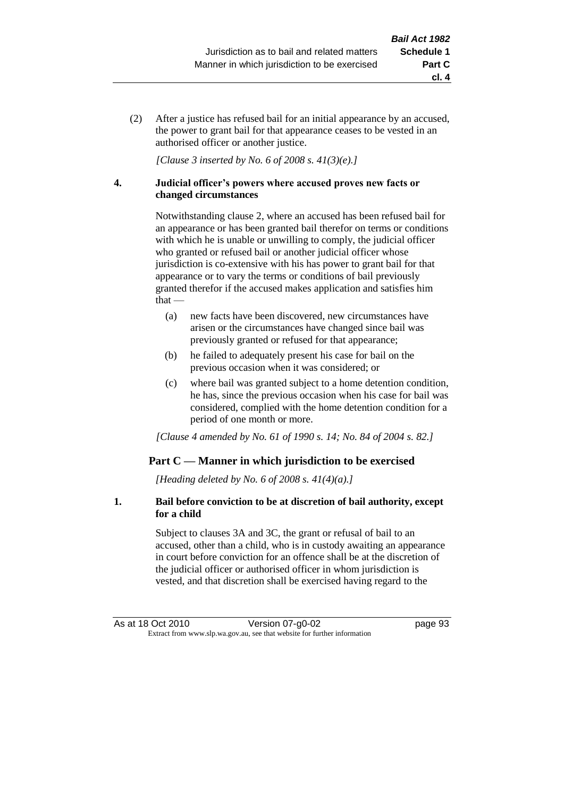(2) After a justice has refused bail for an initial appearance by an accused, the power to grant bail for that appearance ceases to be vested in an authorised officer or another justice.

*[Clause 3 inserted by No. 6 of 2008 s. 41(3)(e).]*

#### **4. Judicial officer's powers where accused proves new facts or changed circumstances**

Notwithstanding clause 2, where an accused has been refused bail for an appearance or has been granted bail therefor on terms or conditions with which he is unable or unwilling to comply, the judicial officer who granted or refused bail or another judicial officer whose jurisdiction is co-extensive with his has power to grant bail for that appearance or to vary the terms or conditions of bail previously granted therefor if the accused makes application and satisfies him  $that -$ 

- (a) new facts have been discovered, new circumstances have arisen or the circumstances have changed since bail was previously granted or refused for that appearance;
- (b) he failed to adequately present his case for bail on the previous occasion when it was considered; or
- (c) where bail was granted subject to a home detention condition, he has, since the previous occasion when his case for bail was considered, complied with the home detention condition for a period of one month or more.

*[Clause 4 amended by No. 61 of 1990 s. 14; No. 84 of 2004 s. 82.]*

## **Part C — Manner in which jurisdiction to be exercised**

*[Heading deleted by No. 6 of 2008 s. 41(4)(a).]*

#### **1. Bail before conviction to be at discretion of bail authority, except for a child**

Subject to clauses 3A and 3C, the grant or refusal of bail to an accused, other than a child, who is in custody awaiting an appearance in court before conviction for an offence shall be at the discretion of the judicial officer or authorised officer in whom jurisdiction is vested, and that discretion shall be exercised having regard to the

**cl. 4**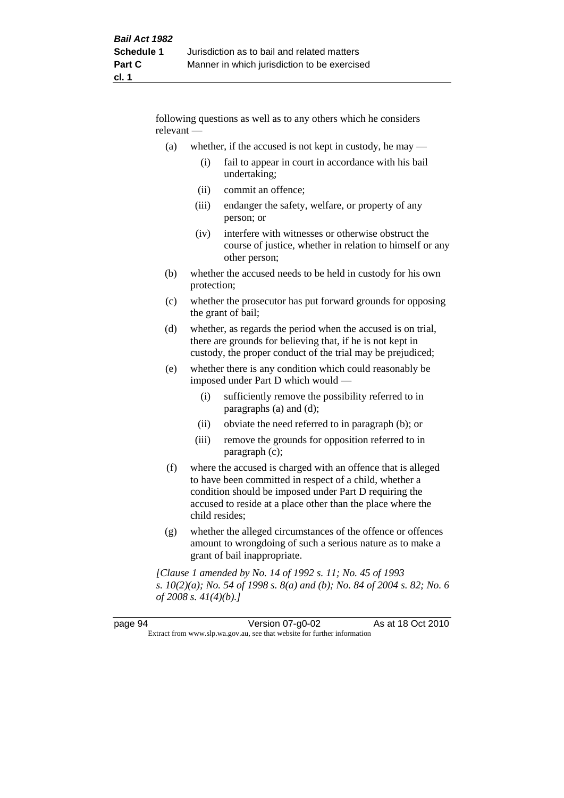following questions as well as to any others which he considers relevant —

- (a) whether, if the accused is not kept in custody, he may
	- (i) fail to appear in court in accordance with his bail undertaking;
	- (ii) commit an offence;
	- (iii) endanger the safety, welfare, or property of any person; or
	- (iv) interfere with witnesses or otherwise obstruct the course of justice, whether in relation to himself or any other person;
- (b) whether the accused needs to be held in custody for his own protection;
- (c) whether the prosecutor has put forward grounds for opposing the grant of bail;
- (d) whether, as regards the period when the accused is on trial, there are grounds for believing that, if he is not kept in custody, the proper conduct of the trial may be prejudiced;
- (e) whether there is any condition which could reasonably be imposed under Part D which would —
	- (i) sufficiently remove the possibility referred to in paragraphs (a) and (d);
	- (ii) obviate the need referred to in paragraph (b); or
	- (iii) remove the grounds for opposition referred to in paragraph (c);
- (f) where the accused is charged with an offence that is alleged to have been committed in respect of a child, whether a condition should be imposed under Part D requiring the accused to reside at a place other than the place where the child resides;
- (g) whether the alleged circumstances of the offence or offences amount to wrongdoing of such a serious nature as to make a grant of bail inappropriate.

*[Clause 1 amended by No. 14 of 1992 s. 11; No. 45 of 1993 s. 10(2)(a); No. 54 of 1998 s. 8(a) and (b); No. 84 of 2004 s. 82; No. 6 of 2008 s. 41(4)(b).]*

| page 94 | Version 07-g0-02                                                         | As at 18 Oct 2010 |
|---------|--------------------------------------------------------------------------|-------------------|
|         | Extract from www.slp.wa.gov.au, see that website for further information |                   |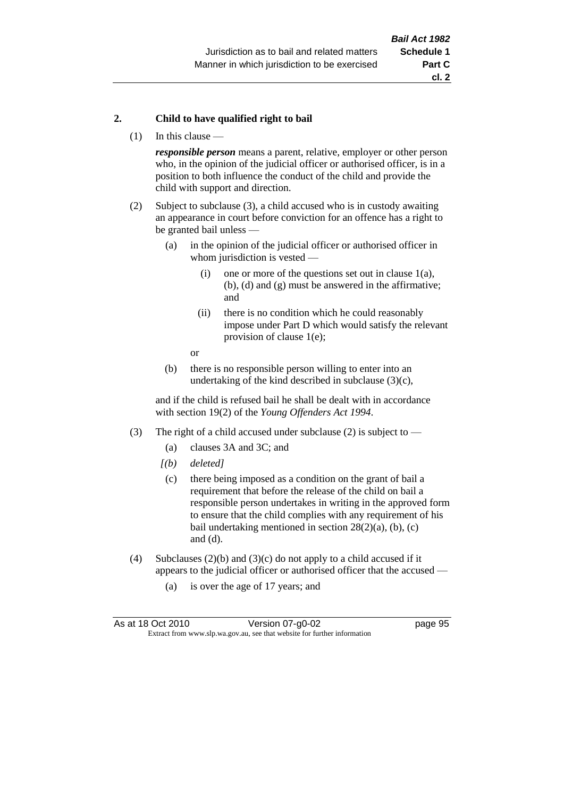#### **2. Child to have qualified right to bail**

(1) In this clause —

*responsible person* means a parent, relative, employer or other person who, in the opinion of the judicial officer or authorised officer, is in a position to both influence the conduct of the child and provide the child with support and direction.

- (2) Subject to subclause (3), a child accused who is in custody awaiting an appearance in court before conviction for an offence has a right to be granted bail unless —
	- (a) in the opinion of the judicial officer or authorised officer in whom jurisdiction is vested —
		- (i) one or more of the questions set out in clause  $1(a)$ , (b), (d) and (g) must be answered in the affirmative; and
		- (ii) there is no condition which he could reasonably impose under Part D which would satisfy the relevant provision of clause 1(e);
		- or
	- (b) there is no responsible person willing to enter into an undertaking of the kind described in subclause  $(3)(c)$ ,

and if the child is refused bail he shall be dealt with in accordance with section 19(2) of the *Young Offenders Act 1994*.

- (3) The right of a child accused under subclause (2) is subject to
	- (a) clauses 3A and 3C; and
	- *[(b) deleted]*
	- (c) there being imposed as a condition on the grant of bail a requirement that before the release of the child on bail a responsible person undertakes in writing in the approved form to ensure that the child complies with any requirement of his bail undertaking mentioned in section  $28(2)(a)$ , (b), (c) and (d).
- (4) Subclauses (2)(b) and (3)(c) do not apply to a child accused if it appears to the judicial officer or authorised officer that the accused —
	- (a) is over the age of 17 years; and

| As at 18 Oct 2010                                                        | Version 07-g0-02 | page 95 |
|--------------------------------------------------------------------------|------------------|---------|
| Extract from www.slp.wa.gov.au, see that website for further information |                  |         |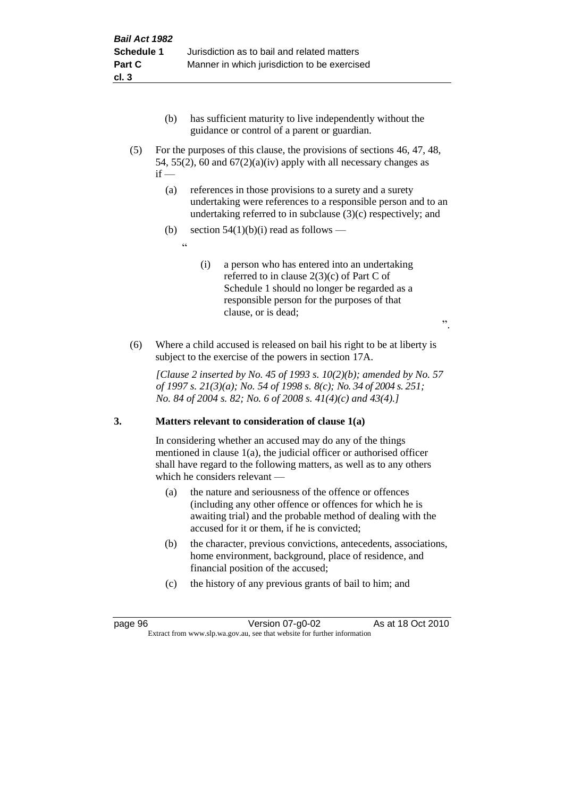- (b) has sufficient maturity to live independently without the guidance or control of a parent or guardian.
- (5) For the purposes of this clause, the provisions of sections 46, 47, 48, 54, 55(2), 60 and  $67(2)(a)(iv)$  apply with all necessary changes as  $if -$ 
	- (a) references in those provisions to a surety and a surety undertaking were references to a responsible person and to an undertaking referred to in subclause (3)(c) respectively; and
	- (b) section  $54(1)(b)(i)$  read as follows
		- .<br>د د
- (i) a person who has entered into an undertaking referred to in clause 2(3)(c) of Part C of Schedule 1 should no longer be regarded as a responsible person for the purposes of that clause, or is dead;

".

(6) Where a child accused is released on bail his right to be at liberty is subject to the exercise of the powers in section 17A.

*[Clause 2 inserted by No. 45 of 1993 s. 10(2)(b); amended by No. 57 of 1997 s. 21(3)(a); No. 54 of 1998 s. 8(c); No. 34 of 2004 s. 251; No. 84 of 2004 s. 82; No. 6 of 2008 s. 41(4)(c) and 43(4).]*

## **3. Matters relevant to consideration of clause 1(a)**

In considering whether an accused may do any of the things mentioned in clause 1(a), the judicial officer or authorised officer shall have regard to the following matters, as well as to any others which he considers relevant —

- (a) the nature and seriousness of the offence or offences (including any other offence or offences for which he is awaiting trial) and the probable method of dealing with the accused for it or them, if he is convicted;
- (b) the character, previous convictions, antecedents, associations, home environment, background, place of residence, and financial position of the accused;
- (c) the history of any previous grants of bail to him; and

page 96 Version 07-g0-02 As at 18 Oct 2010 Extract from www.slp.wa.gov.au, see that website for further information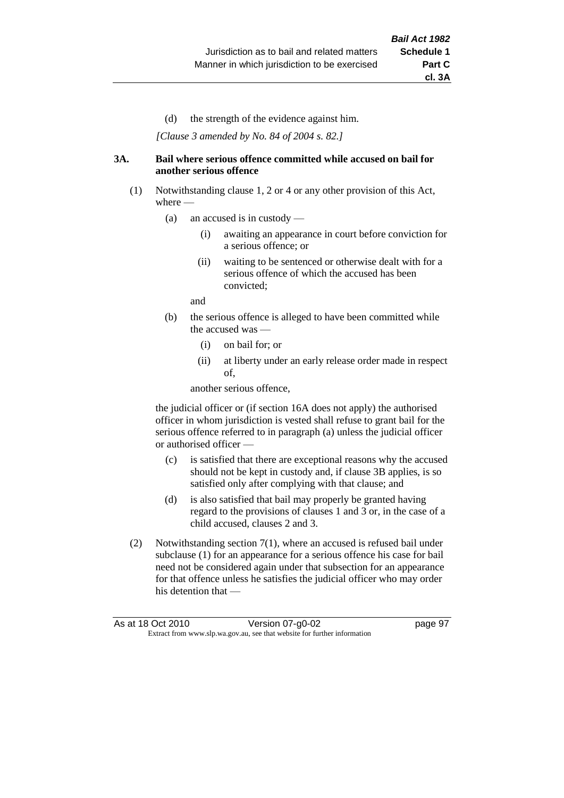(d) the strength of the evidence against him.

*[Clause 3 amended by No. 84 of 2004 s. 82.]*

#### **3A. Bail where serious offence committed while accused on bail for another serious offence**

- (1) Notwithstanding clause 1, 2 or 4 or any other provision of this Act, where —
	- (a) an accused is in custody
		- (i) awaiting an appearance in court before conviction for a serious offence; or
		- (ii) waiting to be sentenced or otherwise dealt with for a serious offence of which the accused has been convicted;

and

- (b) the serious offence is alleged to have been committed while the accused was
	- (i) on bail for; or
	- (ii) at liberty under an early release order made in respect of,

another serious offence,

the judicial officer or (if section 16A does not apply) the authorised officer in whom jurisdiction is vested shall refuse to grant bail for the serious offence referred to in paragraph (a) unless the judicial officer or authorised officer —

- (c) is satisfied that there are exceptional reasons why the accused should not be kept in custody and, if clause 3B applies, is so satisfied only after complying with that clause; and
- (d) is also satisfied that bail may properly be granted having regard to the provisions of clauses 1 and 3 or, in the case of a child accused, clauses 2 and 3.
- (2) Notwithstanding section 7(1), where an accused is refused bail under subclause (1) for an appearance for a serious offence his case for bail need not be considered again under that subsection for an appearance for that offence unless he satisfies the judicial officer who may order his detention that —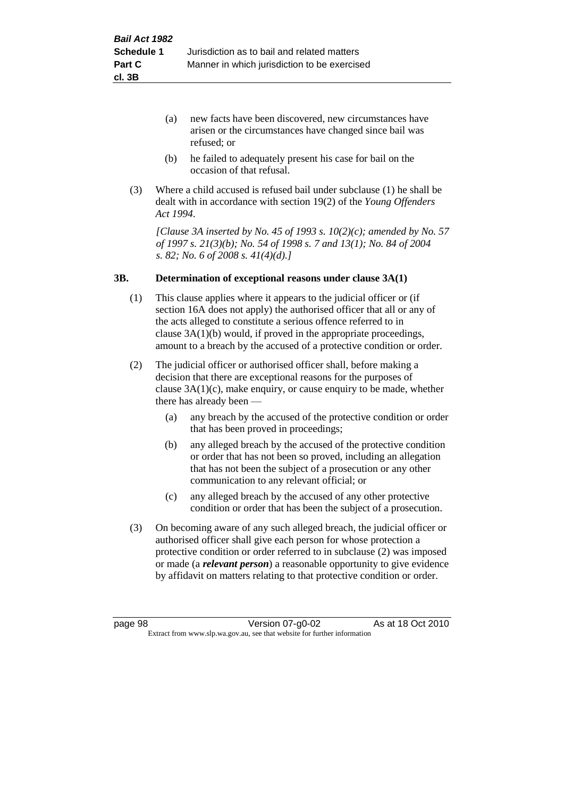- (a) new facts have been discovered, new circumstances have arisen or the circumstances have changed since bail was refused; or
- (b) he failed to adequately present his case for bail on the occasion of that refusal.
- (3) Where a child accused is refused bail under subclause (1) he shall be dealt with in accordance with section 19(2) of the *Young Offenders Act 1994*.

*[Clause 3A inserted by No. 45 of 1993 s. 10(2)(c); amended by No. 57 of 1997 s. 21(3)(b); No. 54 of 1998 s. 7 and 13(1); No. 84 of 2004 s. 82; No. 6 of 2008 s. 41(4)(d).]*

#### **3B. Determination of exceptional reasons under clause 3A(1)**

- (1) This clause applies where it appears to the judicial officer or (if section 16A does not apply) the authorised officer that all or any of the acts alleged to constitute a serious offence referred to in clause 3A(1)(b) would, if proved in the appropriate proceedings, amount to a breach by the accused of a protective condition or order.
- (2) The judicial officer or authorised officer shall, before making a decision that there are exceptional reasons for the purposes of clause  $3A(1)(c)$ , make enquiry, or cause enquiry to be made, whether there has already been —
	- (a) any breach by the accused of the protective condition or order that has been proved in proceedings;
	- (b) any alleged breach by the accused of the protective condition or order that has not been so proved, including an allegation that has not been the subject of a prosecution or any other communication to any relevant official; or
	- (c) any alleged breach by the accused of any other protective condition or order that has been the subject of a prosecution.
- (3) On becoming aware of any such alleged breach, the judicial officer or authorised officer shall give each person for whose protection a protective condition or order referred to in subclause (2) was imposed or made (a *relevant person*) a reasonable opportunity to give evidence by affidavit on matters relating to that protective condition or order.

page 98 Version 07-g0-02 As at 18 Oct 2010 Extract from www.slp.wa.gov.au, see that website for further information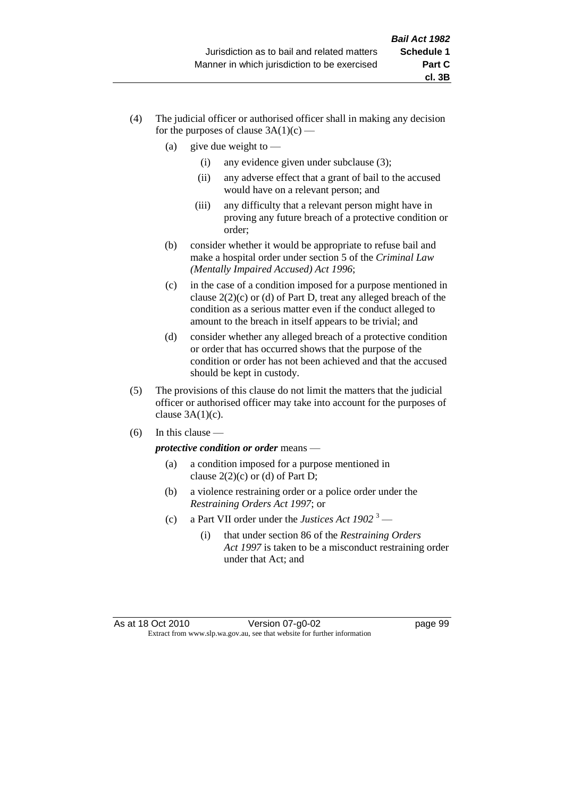- (4) The judicial officer or authorised officer shall in making any decision for the purposes of clause  $3A(1)(c)$  —
	- (a) give due weight to  $-$ 
		- (i) any evidence given under subclause (3);
		- (ii) any adverse effect that a grant of bail to the accused would have on a relevant person; and
		- (iii) any difficulty that a relevant person might have in proving any future breach of a protective condition or order;
	- (b) consider whether it would be appropriate to refuse bail and make a hospital order under section 5 of the *Criminal Law (Mentally Impaired Accused) Act 1996*;
	- (c) in the case of a condition imposed for a purpose mentioned in clause 2(2)(c) or (d) of Part D, treat any alleged breach of the condition as a serious matter even if the conduct alleged to amount to the breach in itself appears to be trivial; and
	- (d) consider whether any alleged breach of a protective condition or order that has occurred shows that the purpose of the condition or order has not been achieved and that the accused should be kept in custody.
- (5) The provisions of this clause do not limit the matters that the judicial officer or authorised officer may take into account for the purposes of clause  $3A(1)(c)$ .
- $(6)$  In this clause —

*protective condition or order* means —

- (a) a condition imposed for a purpose mentioned in clause  $2(2)(c)$  or (d) of Part D;
- (b) a violence restraining order or a police order under the *Restraining Orders Act 1997*; or
- (c) a Part VII order under the *Justices Act 1902* <sup>3</sup>
	- (i) that under section 86 of the *Restraining Orders Act 1997* is taken to be a misconduct restraining order under that Act; and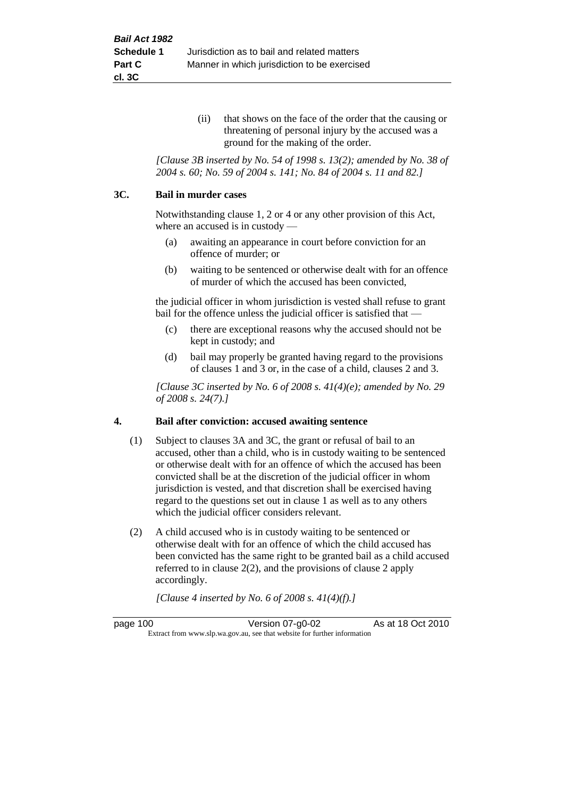(ii) that shows on the face of the order that the causing or threatening of personal injury by the accused was a ground for the making of the order.

*[Clause 3B inserted by No. 54 of 1998 s. 13(2); amended by No. 38 of 2004 s. 60; No. 59 of 2004 s. 141; No. 84 of 2004 s. 11 and 82.]*

#### **3C. Bail in murder cases**

Notwithstanding clause 1, 2 or 4 or any other provision of this Act, where an accused is in custody —

- (a) awaiting an appearance in court before conviction for an offence of murder; or
- (b) waiting to be sentenced or otherwise dealt with for an offence of murder of which the accused has been convicted,

the judicial officer in whom jurisdiction is vested shall refuse to grant bail for the offence unless the judicial officer is satisfied that —

- (c) there are exceptional reasons why the accused should not be kept in custody; and
- (d) bail may properly be granted having regard to the provisions of clauses 1 and 3 or, in the case of a child, clauses 2 and 3.

*[Clause 3C inserted by No. 6 of 2008 s. 41(4)(e); amended by No. 29 of 2008 s. 24(7).]*

#### **4. Bail after conviction: accused awaiting sentence**

- (1) Subject to clauses 3A and 3C, the grant or refusal of bail to an accused, other than a child, who is in custody waiting to be sentenced or otherwise dealt with for an offence of which the accused has been convicted shall be at the discretion of the judicial officer in whom jurisdiction is vested, and that discretion shall be exercised having regard to the questions set out in clause 1 as well as to any others which the judicial officer considers relevant.
- (2) A child accused who is in custody waiting to be sentenced or otherwise dealt with for an offence of which the child accused has been convicted has the same right to be granted bail as a child accused referred to in clause 2(2), and the provisions of clause 2 apply accordingly.

*[Clause 4 inserted by No. 6 of 2008 s. 41(4)(f).]*

page 100 Version 07-g0-02 As at 18 Oct 2010 Extract from www.slp.wa.gov.au, see that website for further information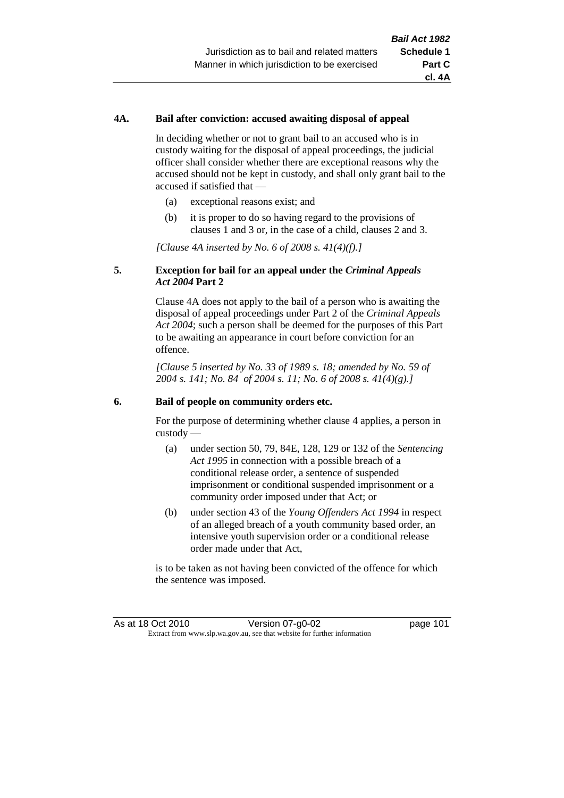# **4A. Bail after conviction: accused awaiting disposal of appeal**

In deciding whether or not to grant bail to an accused who is in custody waiting for the disposal of appeal proceedings, the judicial officer shall consider whether there are exceptional reasons why the accused should not be kept in custody, and shall only grant bail to the accused if satisfied that —

- (a) exceptional reasons exist; and
- (b) it is proper to do so having regard to the provisions of clauses 1 and 3 or, in the case of a child, clauses 2 and 3.

*[Clause 4A inserted by No. 6 of 2008 s. 41(4)(f).]*

### **5. Exception for bail for an appeal under the** *Criminal Appeals Act 2004* **Part 2**

Clause 4A does not apply to the bail of a person who is awaiting the disposal of appeal proceedings under Part 2 of the *Criminal Appeals Act 2004*; such a person shall be deemed for the purposes of this Part to be awaiting an appearance in court before conviction for an offence.

*[Clause 5 inserted by No. 33 of 1989 s. 18; amended by No. 59 of 2004 s. 141; No. 84 of 2004 s. 11; No. 6 of 2008 s. 41(4)(g).]*

#### **6. Bail of people on community orders etc.**

For the purpose of determining whether clause 4 applies, a person in custody —

- (a) under section 50, 79, 84E, 128, 129 or 132 of the *Sentencing Act 1995* in connection with a possible breach of a conditional release order, a sentence of suspended imprisonment or conditional suspended imprisonment or a community order imposed under that Act; or
- (b) under section 43 of the *Young Offenders Act 1994* in respect of an alleged breach of a youth community based order, an intensive youth supervision order or a conditional release order made under that Act,

is to be taken as not having been convicted of the offence for which the sentence was imposed.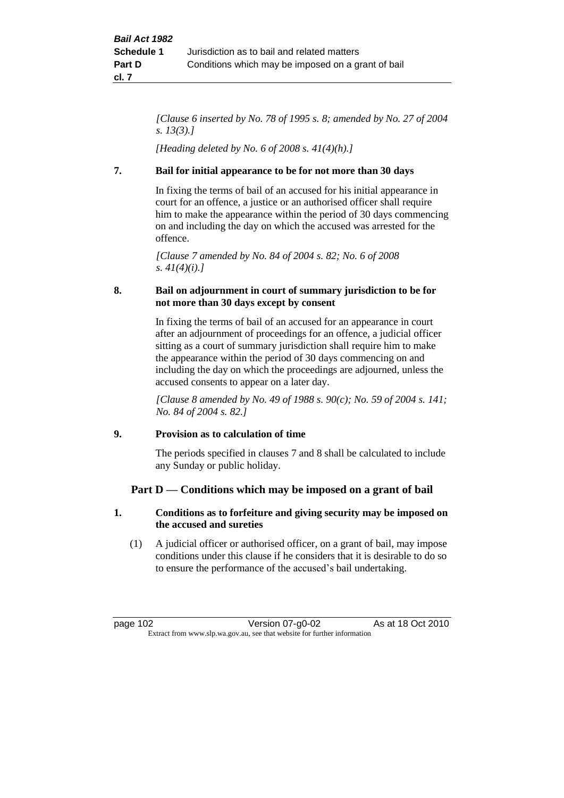*[Clause 6 inserted by No. 78 of 1995 s. 8; amended by No. 27 of 2004 s. 13(3).]*

*[Heading deleted by No. 6 of 2008 s. 41(4)(h).]*

# **7. Bail for initial appearance to be for not more than 30 days**

In fixing the terms of bail of an accused for his initial appearance in court for an offence, a justice or an authorised officer shall require him to make the appearance within the period of 30 days commencing on and including the day on which the accused was arrested for the offence.

*[Clause 7 amended by No. 84 of 2004 s. 82; No. 6 of 2008 s. 41(4)(i).]*

# **8. Bail on adjournment in court of summary jurisdiction to be for not more than 30 days except by consent**

In fixing the terms of bail of an accused for an appearance in court after an adjournment of proceedings for an offence, a judicial officer sitting as a court of summary jurisdiction shall require him to make the appearance within the period of 30 days commencing on and including the day on which the proceedings are adjourned, unless the accused consents to appear on a later day.

*[Clause 8 amended by No. 49 of 1988 s. 90(c); No. 59 of 2004 s. 141; No. 84 of 2004 s. 82.]*

# **9. Provision as to calculation of time**

The periods specified in clauses 7 and 8 shall be calculated to include any Sunday or public holiday.

# **Part D — Conditions which may be imposed on a grant of bail**

# **1. Conditions as to forfeiture and giving security may be imposed on the accused and sureties**

(1) A judicial officer or authorised officer, on a grant of bail, may impose conditions under this clause if he considers that it is desirable to do so to ensure the performance of the accused's bail undertaking.

page 102 Version 07-g0-02 As at 18 Oct 2010 Extract from www.slp.wa.gov.au, see that website for further information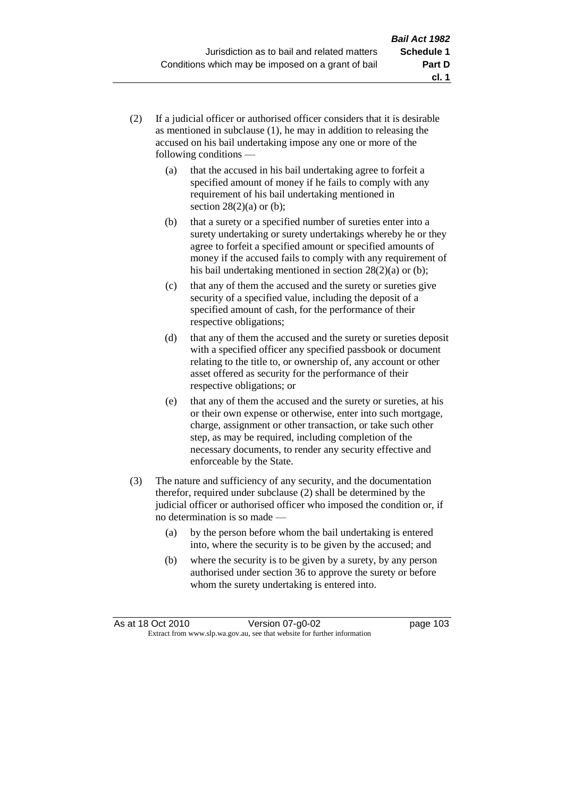- (2) If a judicial officer or authorised officer considers that it is desirable as mentioned in subclause (1), he may in addition to releasing the accused on his bail undertaking impose any one or more of the following conditions —
	- (a) that the accused in his bail undertaking agree to forfeit a specified amount of money if he fails to comply with any requirement of his bail undertaking mentioned in section  $28(2)(a)$  or (b);
	- (b) that a surety or a specified number of sureties enter into a surety undertaking or surety undertakings whereby he or they agree to forfeit a specified amount or specified amounts of money if the accused fails to comply with any requirement of his bail undertaking mentioned in section 28(2)(a) or (b);
	- (c) that any of them the accused and the surety or sureties give security of a specified value, including the deposit of a specified amount of cash, for the performance of their respective obligations;
	- (d) that any of them the accused and the surety or sureties deposit with a specified officer any specified passbook or document relating to the title to, or ownership of, any account or other asset offered as security for the performance of their respective obligations; or
	- (e) that any of them the accused and the surety or sureties, at his or their own expense or otherwise, enter into such mortgage, charge, assignment or other transaction, or take such other step, as may be required, including completion of the necessary documents, to render any security effective and enforceable by the State.
- (3) The nature and sufficiency of any security, and the documentation therefor, required under subclause (2) shall be determined by the judicial officer or authorised officer who imposed the condition or, if no determination is so made —
	- (a) by the person before whom the bail undertaking is entered into, where the security is to be given by the accused; and
	- (b) where the security is to be given by a surety, by any person authorised under section 36 to approve the surety or before whom the surety undertaking is entered into.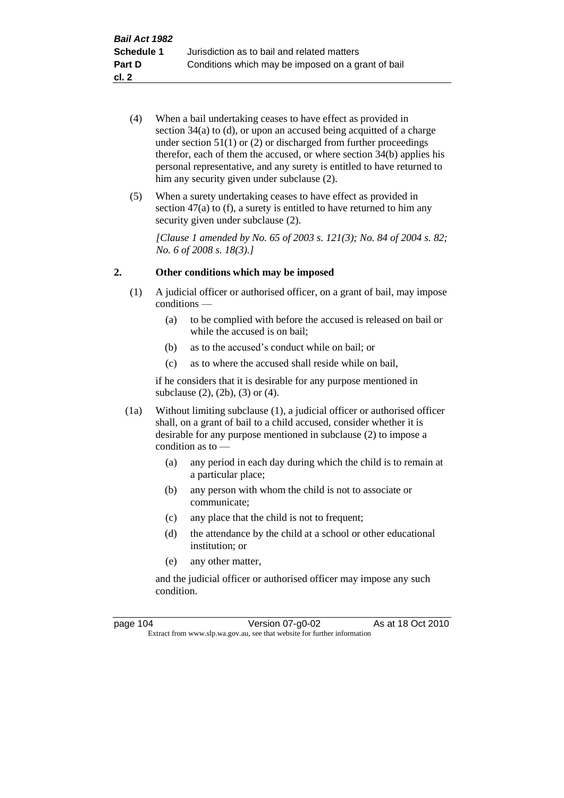- (4) When a bail undertaking ceases to have effect as provided in section 34(a) to (d), or upon an accused being acquitted of a charge under section  $51(1)$  or (2) or discharged from further proceedings therefor, each of them the accused, or where section 34(b) applies his personal representative, and any surety is entitled to have returned to him any security given under subclause  $(2)$ .
- (5) When a surety undertaking ceases to have effect as provided in section 47(a) to (f), a surety is entitled to have returned to him any security given under subclause  $(2)$ .

*[Clause 1 amended by No. 65 of 2003 s. 121(3); No. 84 of 2004 s. 82; No. 6 of 2008 s. 18(3).]*

### **2. Other conditions which may be imposed**

- (1) A judicial officer or authorised officer, on a grant of bail, may impose conditions —
	- (a) to be complied with before the accused is released on bail or while the accused is on bail;
	- (b) as to the accused's conduct while on bail; or
	- (c) as to where the accused shall reside while on bail,

if he considers that it is desirable for any purpose mentioned in subclause (2), (2b), (3) or (4).

- (1a) Without limiting subclause (1), a judicial officer or authorised officer shall, on a grant of bail to a child accused, consider whether it is desirable for any purpose mentioned in subclause (2) to impose a condition as to —
	- (a) any period in each day during which the child is to remain at a particular place;
	- (b) any person with whom the child is not to associate or communicate;
	- (c) any place that the child is not to frequent;
	- (d) the attendance by the child at a school or other educational institution; or
	- (e) any other matter,

and the judicial officer or authorised officer may impose any such condition.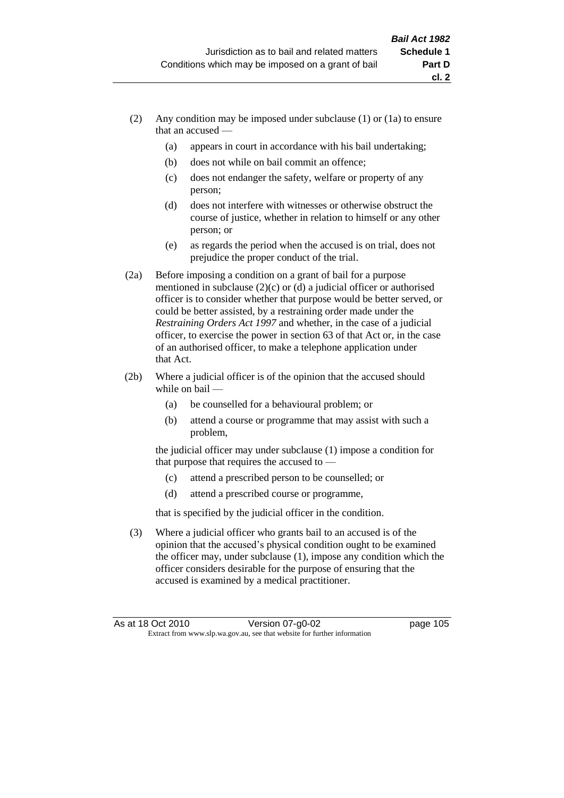- (2) Any condition may be imposed under subclause (1) or (1a) to ensure that an accused —
	- (a) appears in court in accordance with his bail undertaking;
	- (b) does not while on bail commit an offence;
	- (c) does not endanger the safety, welfare or property of any person;
	- (d) does not interfere with witnesses or otherwise obstruct the course of justice, whether in relation to himself or any other person; or
	- (e) as regards the period when the accused is on trial, does not prejudice the proper conduct of the trial.
- (2a) Before imposing a condition on a grant of bail for a purpose mentioned in subclause (2)(c) or (d) a judicial officer or authorised officer is to consider whether that purpose would be better served, or could be better assisted, by a restraining order made under the *Restraining Orders Act 1997* and whether, in the case of a judicial officer, to exercise the power in section 63 of that Act or, in the case of an authorised officer, to make a telephone application under that Act.
- (2b) Where a judicial officer is of the opinion that the accused should while on bail —
	- (a) be counselled for a behavioural problem; or
	- (b) attend a course or programme that may assist with such a problem,

the judicial officer may under subclause (1) impose a condition for that purpose that requires the accused to —

- (c) attend a prescribed person to be counselled; or
- (d) attend a prescribed course or programme,

that is specified by the judicial officer in the condition.

(3) Where a judicial officer who grants bail to an accused is of the opinion that the accused's physical condition ought to be examined the officer may, under subclause (1), impose any condition which the officer considers desirable for the purpose of ensuring that the accused is examined by a medical practitioner.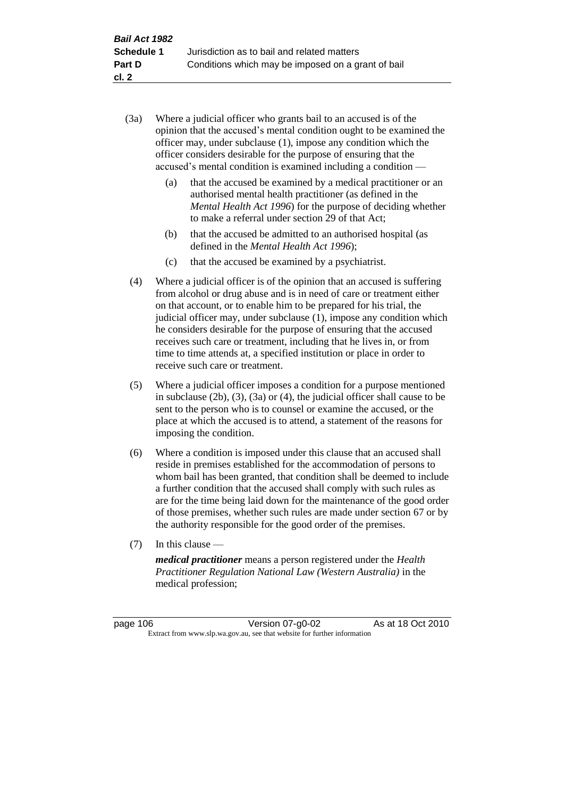- (3a) Where a judicial officer who grants bail to an accused is of the opinion that the accused's mental condition ought to be examined the officer may, under subclause (1), impose any condition which the officer considers desirable for the purpose of ensuring that the accused's mental condition is examined including a condition —
	- (a) that the accused be examined by a medical practitioner or an authorised mental health practitioner (as defined in the *Mental Health Act 1996*) for the purpose of deciding whether to make a referral under section 29 of that Act;
	- (b) that the accused be admitted to an authorised hospital (as defined in the *Mental Health Act 1996*);
	- (c) that the accused be examined by a psychiatrist.
- (4) Where a judicial officer is of the opinion that an accused is suffering from alcohol or drug abuse and is in need of care or treatment either on that account, or to enable him to be prepared for his trial, the judicial officer may, under subclause (1), impose any condition which he considers desirable for the purpose of ensuring that the accused receives such care or treatment, including that he lives in, or from time to time attends at, a specified institution or place in order to receive such care or treatment.
- (5) Where a judicial officer imposes a condition for a purpose mentioned in subclause (2b), (3), (3a) or (4), the judicial officer shall cause to be sent to the person who is to counsel or examine the accused, or the place at which the accused is to attend, a statement of the reasons for imposing the condition.
- (6) Where a condition is imposed under this clause that an accused shall reside in premises established for the accommodation of persons to whom bail has been granted, that condition shall be deemed to include a further condition that the accused shall comply with such rules as are for the time being laid down for the maintenance of the good order of those premises, whether such rules are made under section 67 or by the authority responsible for the good order of the premises.
- (7) In this clause —

*medical practitioner* means a person registered under the *Health Practitioner Regulation National Law (Western Australia)* in the medical profession;

page 106 Version 07-g0-02 As at 18 Oct 2010 Extract from www.slp.wa.gov.au, see that website for further information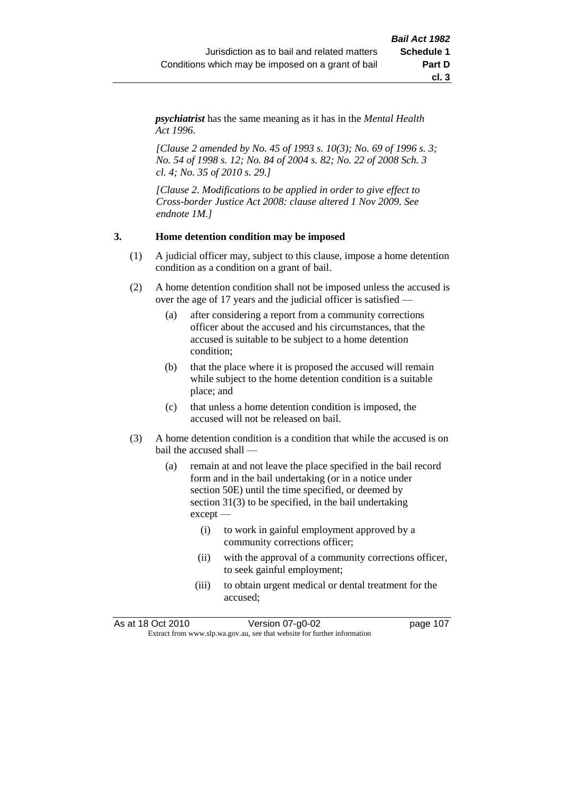*psychiatrist* has the same meaning as it has in the *Mental Health Act 1996*.

*[Clause 2 amended by No. 45 of 1993 s. 10(3); No. 69 of 1996 s. 3; No. 54 of 1998 s. 12; No. 84 of 2004 s. 82; No. 22 of 2008 Sch. 3 cl. 4; No. 35 of 2010 s. 29.]*

*[Clause 2. Modifications to be applied in order to give effect to Cross-border Justice Act 2008: clause altered 1 Nov 2009. See endnote 1M.]*

#### **3. Home detention condition may be imposed**

- (1) A judicial officer may, subject to this clause, impose a home detention condition as a condition on a grant of bail.
- (2) A home detention condition shall not be imposed unless the accused is over the age of 17 years and the judicial officer is satisfied —
	- (a) after considering a report from a community corrections officer about the accused and his circumstances, that the accused is suitable to be subject to a home detention condition;
	- (b) that the place where it is proposed the accused will remain while subject to the home detention condition is a suitable place; and
	- (c) that unless a home detention condition is imposed, the accused will not be released on bail.
- (3) A home detention condition is a condition that while the accused is on bail the accused shall —
	- (a) remain at and not leave the place specified in the bail record form and in the bail undertaking (or in a notice under section 50E) until the time specified, or deemed by section 31(3) to be specified, in the bail undertaking except —
		- (i) to work in gainful employment approved by a community corrections officer;
		- (ii) with the approval of a community corrections officer, to seek gainful employment;
		- (iii) to obtain urgent medical or dental treatment for the accused;

| As at 18 Oct 2010 | Version 07-g0-02                                                         | page 107 |
|-------------------|--------------------------------------------------------------------------|----------|
|                   | Extract from www.slp.wa.gov.au, see that website for further information |          |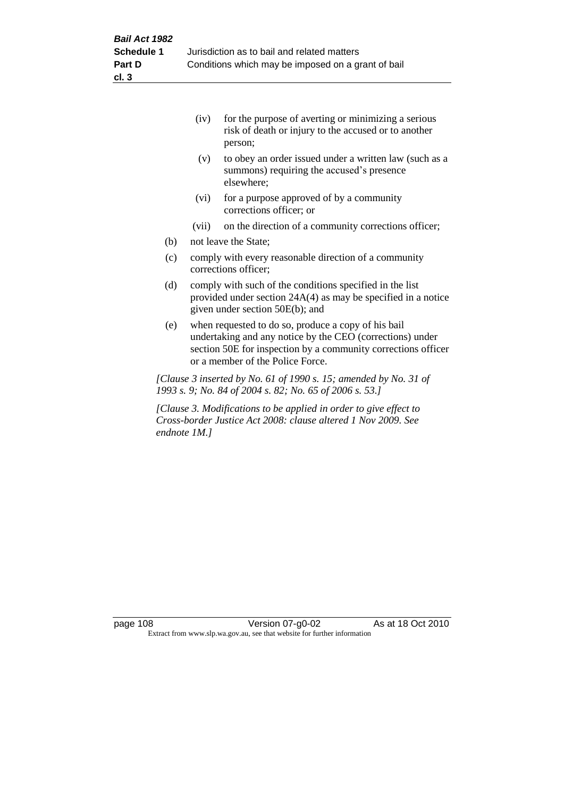|     | (iv)  | for the purpose of averting or minimizing a serious<br>risk of death or injury to the accused or to another<br>person; |
|-----|-------|------------------------------------------------------------------------------------------------------------------------|
|     | (v)   | to obey an order issued under a written law (such as a<br>summons) requiring the accused's presence<br>elsewhere;      |
|     | (vi)  | for a purpose approved of by a community<br>corrections officer; or                                                    |
|     | (vii) | on the direction of a community corrections officer;                                                                   |
| (b) |       | not leave the State;                                                                                                   |
| (c) |       | comply with every reasonable direction of a community                                                                  |

- (c) comply with every reasonable direction of a community corrections officer;
- (d) comply with such of the conditions specified in the list provided under section 24A(4) as may be specified in a notice given under section 50E(b); and
- (e) when requested to do so, produce a copy of his bail undertaking and any notice by the CEO (corrections) under section 50E for inspection by a community corrections officer or a member of the Police Force.

*[Clause 3 inserted by No. 61 of 1990 s. 15; amended by No. 31 of 1993 s. 9; No. 84 of 2004 s. 82; No. 65 of 2006 s. 53.]*

*[Clause 3. Modifications to be applied in order to give effect to Cross-border Justice Act 2008: clause altered 1 Nov 2009. See endnote 1M.]*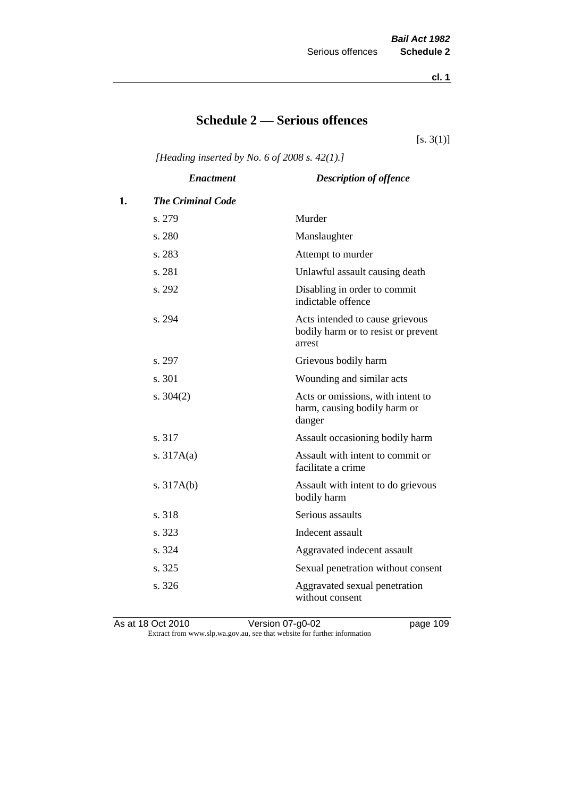**cl. 1**

# **Schedule 2 — Serious offences**

 $[s. 3(1)]$ 

*[Heading inserted by No. 6 of 2008 s. 42(1).]*

|    | <b>Enactment</b>         | <b>Description of offence</b>                                                    |
|----|--------------------------|----------------------------------------------------------------------------------|
| 1. | <b>The Criminal Code</b> |                                                                                  |
|    | s. 279                   | Murder                                                                           |
|    | s. 280                   | Manslaughter                                                                     |
|    | s. 283                   | Attempt to murder                                                                |
|    | s. 281                   | Unlawful assault causing death                                                   |
|    | s. 292                   | Disabling in order to commit<br>indictable offence                               |
|    | s. 294                   | Acts intended to cause grievous<br>bodily harm or to resist or prevent<br>arrest |
|    | s. 297                   | Grievous bodily harm                                                             |
|    | s. 301                   | Wounding and similar acts                                                        |
|    | s. $304(2)$              | Acts or omissions, with intent to<br>harm, causing bodily harm or<br>danger      |
|    | s. 317                   | Assault occasioning bodily harm                                                  |
|    | s. $317A(a)$             | Assault with intent to commit or<br>facilitate a crime                           |
|    | s. $317A(b)$             | Assault with intent to do grievous<br>bodily harm                                |
|    | s. 318                   | Serious assaults                                                                 |
|    | s. 323                   | Indecent assault                                                                 |
|    | s. 324                   | Aggravated indecent assault                                                      |
|    | s. 325                   | Sexual penetration without consent                                               |
|    | s. 326                   | Aggravated sexual penetration<br>without consent                                 |

As at 18 Oct 2010 **Version 07-g0-02 page 109** Extract from www.slp.wa.gov.au, see that website for further information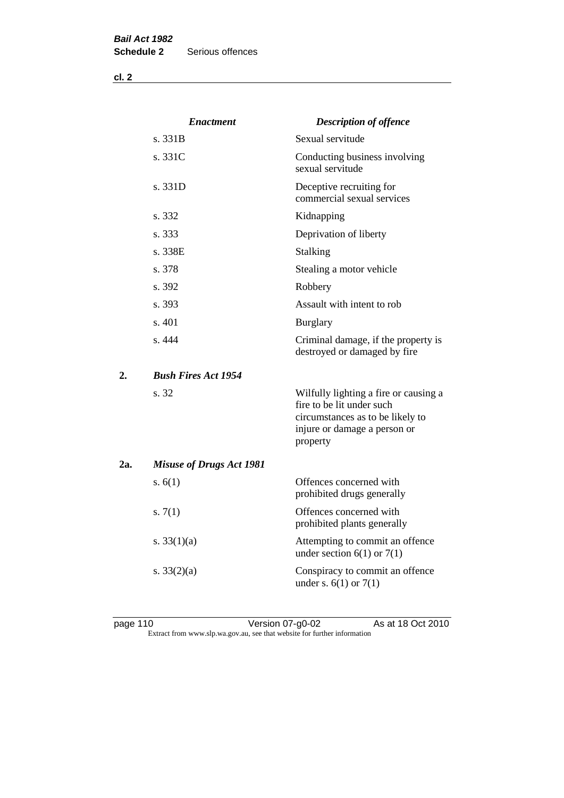**cl. 2**

|     | <b>Enactment</b>                | <b>Description of offence</b>                                                                                                                      |
|-----|---------------------------------|----------------------------------------------------------------------------------------------------------------------------------------------------|
|     | s. 331B                         | Sexual servitude                                                                                                                                   |
|     | s. 331C                         | Conducting business involving<br>sexual servitude                                                                                                  |
|     | s. 331D                         | Deceptive recruiting for<br>commercial sexual services                                                                                             |
|     | s. 332                          | Kidnapping                                                                                                                                         |
|     | s. 333                          | Deprivation of liberty                                                                                                                             |
|     | s. 338E                         | <b>Stalking</b>                                                                                                                                    |
|     | s. 378                          | Stealing a motor vehicle                                                                                                                           |
|     | s. 392                          | Robbery                                                                                                                                            |
|     | s. 393                          | Assault with intent to rob                                                                                                                         |
|     | s. 401                          | <b>Burglary</b>                                                                                                                                    |
|     | s.444                           | Criminal damage, if the property is<br>destroyed or damaged by fire                                                                                |
| 2.  | <b>Bush Fires Act 1954</b>      |                                                                                                                                                    |
|     | s. 32                           | Wilfully lighting a fire or causing a<br>fire to be lit under such<br>circumstances as to be likely to<br>injure or damage a person or<br>property |
| 2a. | <b>Misuse of Drugs Act 1981</b> |                                                                                                                                                    |
|     | s. $6(1)$                       | Offences concerned with<br>prohibited drugs generally                                                                                              |
|     | s. $7(1)$                       | Offences concerned with<br>prohibited plants generally                                                                                             |
|     | s. $33(1)(a)$                   | Attempting to commit an offence<br>under section $6(1)$ or $7(1)$                                                                                  |
|     | s. $33(2)(a)$                   | Conspiracy to commit an offence<br>under s. $6(1)$ or $7(1)$                                                                                       |

page 110 Version 07-g0-02 As at 18 Oct 2010 Extract from www.slp.wa.gov.au, see that website for further information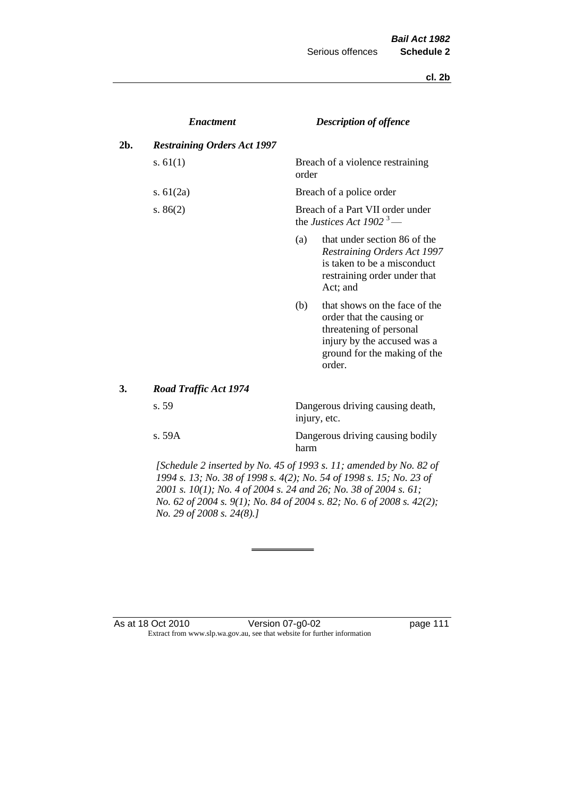**cl. 2b**

|     | <b>Enactment</b>                   |       | <b>Description of offence</b>                                                                                                                                  |
|-----|------------------------------------|-------|----------------------------------------------------------------------------------------------------------------------------------------------------------------|
| 2b. | <b>Restraining Orders Act 1997</b> |       |                                                                                                                                                                |
|     | s. $61(1)$                         | order | Breach of a violence restraining                                                                                                                               |
|     | s. $61(2a)$                        |       | Breach of a police order                                                                                                                                       |
|     | s. $86(2)$                         |       | Breach of a Part VII order under<br>the Justices Act 1902 <sup>3</sup> —                                                                                       |
|     |                                    | (a)   | that under section 86 of the<br>Restraining Orders Act 1997<br>is taken to be a misconduct<br>restraining order under that<br>Act; and                         |
|     |                                    | (b)   | that shows on the face of the<br>order that the causing or<br>threatening of personal<br>injury by the accused was a<br>ground for the making of the<br>order. |
| 3.  | <b>Road Traffic Act 1974</b>       |       |                                                                                                                                                                |
|     | s. 59                              |       | Dangerous driving causing death,<br>injury, etc.                                                                                                               |
|     | s.59A                              | harm  | Dangerous driving causing bodily                                                                                                                               |

*[Schedule 2 inserted by No. 45 of 1993 s. 11; amended by No. 82 of 1994 s. 13; No. 38 of 1998 s. 4(2); No. 54 of 1998 s. 15; No. 23 of 2001 s. 10(1); No. 4 of 2004 s. 24 and 26; No. 38 of 2004 s. 61; No. 62 of 2004 s. 9(1); No. 84 of 2004 s. 82; No. 6 of 2008 s. 42(2); No. 29 of 2008 s. 24(8).]* 

#### As at 18 Oct 2010 Version 07-g0-02 Page 111 Extract from www.slp.wa.gov.au, see that website for further information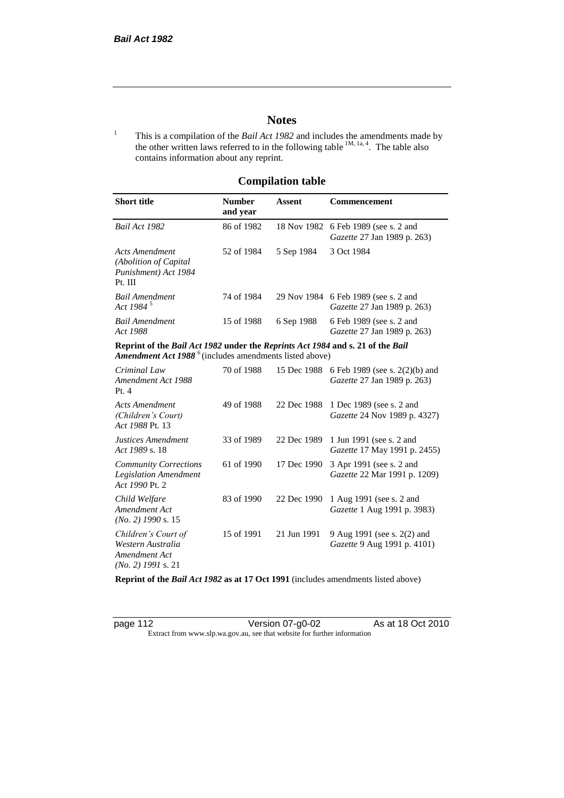# **Notes**

<sup>1</sup> This is a compilation of the *Bail Act 1982* and includes the amendments made by the other written laws referred to in the following table  $^{1M, 1a, 4}$ . The table also contains information about any reprint.

# **Compilation table**

| <b>Short title</b>                                                                                                                                          | <b>Number</b><br>and year | Assent     | Commencement                                                               |  |
|-------------------------------------------------------------------------------------------------------------------------------------------------------------|---------------------------|------------|----------------------------------------------------------------------------|--|
| Bail Act 1982                                                                                                                                               | 86 of 1982                |            | 18 Nov 1982 6 Feb 1989 (see s. 2 and<br><i>Gazette</i> 27 Jan 1989 p. 263) |  |
| Acts Amendment<br>(Abolition of Capital)<br>Punishment) Act 1984<br>Pt. III                                                                                 | 52 of 1984                | 5 Sep 1984 | 3 Oct 1984                                                                 |  |
| Bail Amendment<br>Act 1984 <sup>5</sup>                                                                                                                     | 74 of 1984                |            | 29 Nov 1984 6 Feb 1989 (see s. 2 and<br><i>Gazette</i> 27 Jan 1989 p. 263) |  |
| <b>Bail Amendment</b><br>Act 1988                                                                                                                           | 15 of 1988                | 6 Sep 1988 | 6 Feb 1989 (see s. 2 and<br><i>Gazette</i> 27 Jan 1989 p. 263)             |  |
| Reprint of the Bail Act 1982 under the Reprints Act 1984 and s. 21 of the Bail<br><b>Amendment Act 1988</b> <sup>6</sup> (includes amendments listed above) |                           |            |                                                                            |  |
| Criminal Law                                                                                                                                                | 70 of 1988                |            | 15 Dec 1988 6 Feb 1989 (see s. 2(2)(b) and                                 |  |

| Criminal Law<br>Amendment Act 1988<br>Pt.4                                        | 70 of 1988 |             | 15 Dec 1988 6 Feb 1989 (see s. $2(2)(b)$ and<br>Gazette 27 Jan 1989 p. 263) |
|-----------------------------------------------------------------------------------|------------|-------------|-----------------------------------------------------------------------------|
| <b>Acts Amendment</b><br>(Children's Court)<br>Act 1988 Pt. 13                    | 49 of 1988 | 22 Dec 1988 | 1 Dec 1989 (see s. 2 and<br><i>Gazette</i> 24 Nov 1989 p. 4327)             |
| Justices Amendment<br>Act 1989 s. 18                                              | 33 of 1989 | 22 Dec 1989 | 1 Jun 1991 (see s. 2 and<br><i>Gazette</i> 17 May 1991 p. 2455)             |
| <b>Community Corrections</b><br><b>Legislation Amendment</b><br>Act 1990 Pt. 2    | 61 of 1990 | 17 Dec 1990 | 3 Apr 1991 (see s. 2 and<br>Gazette 22 Mar 1991 p. 1209)                    |
| Child Welfare<br>Amendment Act<br>$(No. 2)$ 1990 s. 15                            | 83 of 1990 | 22 Dec 1990 | 1 Aug 1991 (see s. 2 and<br><i>Gazette</i> 1 Aug 1991 p. 3983)              |
| Children's Court of<br>Western Australia<br>Amendment Act<br>$(No. 2)$ 1991 s. 21 | 15 of 1991 | 21 Jun 1991 | 9 Aug 1991 (see s. 2(2) and<br><i>Gazette</i> 9 Aug 1991 p. 4101)           |

**Reprint of the** *Bail Act 1982* **as at 17 Oct 1991** (includes amendments listed above)

page 112 Version 07-g0-02 As at 18 Oct 2010 Extract from www.slp.wa.gov.au, see that website for further information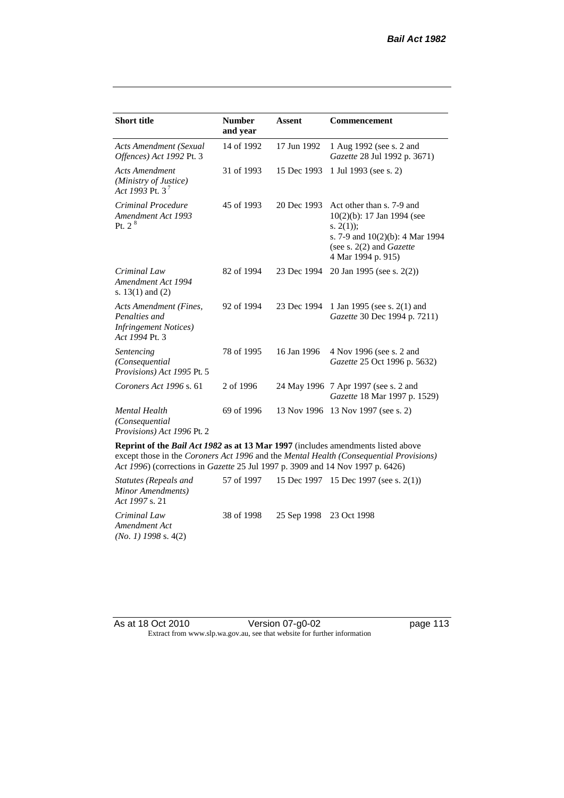| <b>Short title</b>                                                                         | <b>Number</b><br>and year | Assent      | <b>Commencement</b>                                                                                                                                                        |
|--------------------------------------------------------------------------------------------|---------------------------|-------------|----------------------------------------------------------------------------------------------------------------------------------------------------------------------------|
| <b>Acts Amendment (Sexual</b><br>Offences) Act 1992 Pt. 3                                  | 14 of 1992                | 17 Jun 1992 | 1 Aug 1992 (see s. 2 and<br>Gazette 28 Jul 1992 p. 3671)                                                                                                                   |
| <b>Acts Amendment</b><br>(Ministry of Justice)<br>Act 1993 Pt. 3 <sup>7</sup>              | 31 of 1993                | 15 Dec 1993 | 1 Jul 1993 (see s. 2)                                                                                                                                                      |
| Criminal Procedure<br>Amendment Act 1993<br>Pt. 2 <sup>8</sup>                             | 45 of 1993                | 20 Dec 1993 | Act other than s. 7-9 and<br>$10(2)(b)$ : 17 Jan 1994 (see<br>s. $2(1)$ ;<br>s. 7-9 and $10(2)(b)$ : 4 Mar 1994<br>(see s. $2(2)$ and <i>Gazette</i><br>4 Mar 1994 p. 915) |
| Criminal Law<br>Amendment Act 1994<br>s. $13(1)$ and $(2)$                                 | 82 of 1994                | 23 Dec 1994 | 20 Jan 1995 (see s. 2(2))                                                                                                                                                  |
| Acts Amendment (Fines,<br>Penalties and<br><b>Infringement Notices</b> )<br>Act 1994 Pt. 3 | 92 of 1994                | 23 Dec 1994 | 1 Jan 1995 (see s. 2(1) and<br>Gazette 30 Dec 1994 p. 7211)                                                                                                                |
| Sentencing<br>(Consequential<br>Provisions) Act 1995 Pt. 5                                 | 78 of 1995                | 16 Jan 1996 | 4 Nov 1996 (see s. 2 and<br>Gazette 25 Oct 1996 p. 5632)                                                                                                                   |
| Coroners Act 1996 s. 61                                                                    | 2 of 1996                 |             | 24 May 1996 7 Apr 1997 (see s. 2 and<br>Gazette 18 Mar 1997 p. 1529)                                                                                                       |
| <b>Mental Health</b><br>(Consequential)<br>Provisions) Act 1996 Pt. 2                      | 69 of 1996                |             | 13 Nov 1996 13 Nov 1997 (see s. 2)                                                                                                                                         |

**Reprint of the** *Bail Act 1982* **as at 13 Mar 1997** (includes amendments listed above except those in the *Coroners Act 1996* and the *Mental Health (Consequential Provisions) Act 1996*) (corrections in *Gazette* 25 Jul 1997 p. 3909 and 14 Nov 1997 p. 6426)

*Statutes (Repeals and Minor Amendments) Act 1997* s. 21 57 of 1997 15 Dec 1997 15 Dec 1997 (see s. 2(1)) *Criminal Law Amendment Act (No. 1) 1998* s. 4(2) 38 of 1998 25 Sep 1998 23 Oct 1998

As at 18 Oct 2010 Version 07-g0-02 Page 113 Extract from www.slp.wa.gov.au, see that website for further information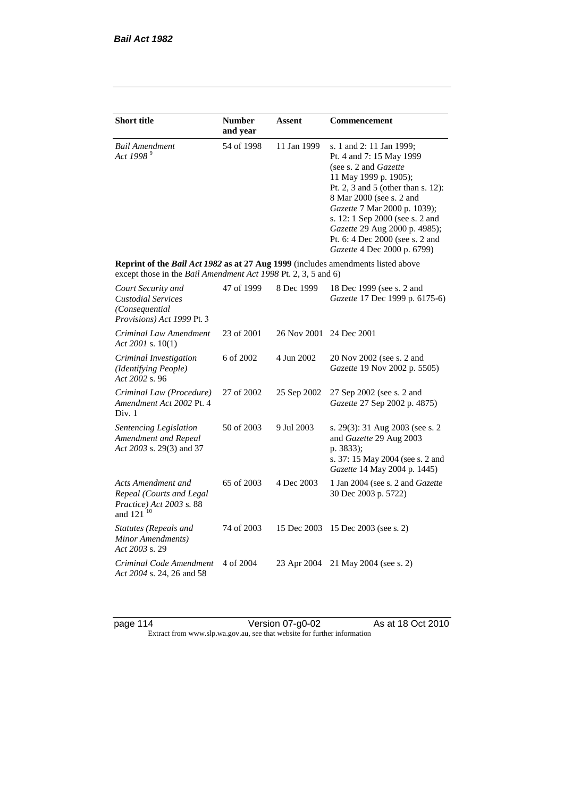| <b>Short title</b>                                                                                                                                 | <b>Number</b><br>and year | Assent      | Commencement                                                                                                                                                                                                                                                                                                                                            |
|----------------------------------------------------------------------------------------------------------------------------------------------------|---------------------------|-------------|---------------------------------------------------------------------------------------------------------------------------------------------------------------------------------------------------------------------------------------------------------------------------------------------------------------------------------------------------------|
| <b>Bail Amendment</b><br>Act 1998 <sup>9</sup>                                                                                                     | 54 of 1998                | 11 Jan 1999 | s. 1 and 2: 11 Jan 1999;<br>Pt. 4 and 7: 15 May 1999<br>(see s. 2 and <i>Gazette</i> )<br>11 May 1999 p. 1905);<br>Pt. 2, 3 and 5 (other than s. 12):<br>8 Mar 2000 (see s. 2 and<br>Gazette 7 Mar 2000 p. 1039);<br>s. 12: 1 Sep 2000 (see s. 2 and<br>Gazette 29 Aug 2000 p. 4985);<br>Pt. 6: 4 Dec 2000 (see s. 2 and<br>Gazette 4 Dec 2000 p. 6799) |
| Reprint of the Bail Act 1982 as at 27 Aug 1999 (includes amendments listed above<br>except those in the Bail Amendment Act 1998 Pt. 2, 3, 5 and 6) |                           |             |                                                                                                                                                                                                                                                                                                                                                         |
| Court Security and<br><b>Custodial Services</b><br>(Consequential<br>Provisions) Act 1999 Pt. 3                                                    | 47 of 1999                | 8 Dec 1999  | 18 Dec 1999 (see s. 2 and<br>Gazette 17 Dec 1999 p. 6175-6)                                                                                                                                                                                                                                                                                             |
| Criminal Law Amendment<br>Act 2001 s. $10(1)$                                                                                                      | 23 of 2001                | 26 Nov 2001 | 24 Dec 2001                                                                                                                                                                                                                                                                                                                                             |
| Criminal Investigation<br>(Identifying People)<br>Act 2002 s. 96                                                                                   | 6 of 2002                 | 4 Jun 2002  | 20 Nov 2002 (see s. 2 and<br>Gazette 19 Nov 2002 p. 5505)                                                                                                                                                                                                                                                                                               |
| Criminal Law (Procedure)<br>Amendment Act 2002 Pt. 4<br>Div. 1                                                                                     | 27 of 2002                | 25 Sep 2002 | 27 Sep 2002 (see s. 2 and<br>Gazette 27 Sep 2002 p. 4875)                                                                                                                                                                                                                                                                                               |
| Sentencing Legislation<br>Amendment and Repeal<br>Act 2003 s. 29(3) and 37                                                                         | 50 of 2003                | 9 Jul 2003  | s. 29(3): 31 Aug 2003 (see s. 2)<br>and Gazette 29 Aug 2003<br>p. 3833);<br>s. 37: 15 May 2004 (see s. 2 and<br>Gazette 14 May 2004 p. 1445)                                                                                                                                                                                                            |
| Acts Amendment and<br>Repeal (Courts and Legal<br>Practice) Act 2003 s. 88<br>and 121 <sup>10</sup>                                                | 65 of 2003                | 4 Dec 2003  | 1 Jan 2004 (see s. 2 and Gazette<br>30 Dec 2003 p. 5722)                                                                                                                                                                                                                                                                                                |
| <b>Statutes (Repeals and</b><br>Minor Amendments)<br>Act 2003 s. 29                                                                                | 74 of 2003                | 15 Dec 2003 | 15 Dec 2003 (see s. 2)                                                                                                                                                                                                                                                                                                                                  |
| Criminal Code Amendment<br>Act 2004 s. 24, 26 and 58                                                                                               | 4 of 2004                 | 23 Apr 2004 | 21 May 2004 (see s. 2)                                                                                                                                                                                                                                                                                                                                  |

page 114 Version 07-g0-02 As at 18 Oct 2010 Extract from www.slp.wa.gov.au, see that website for further information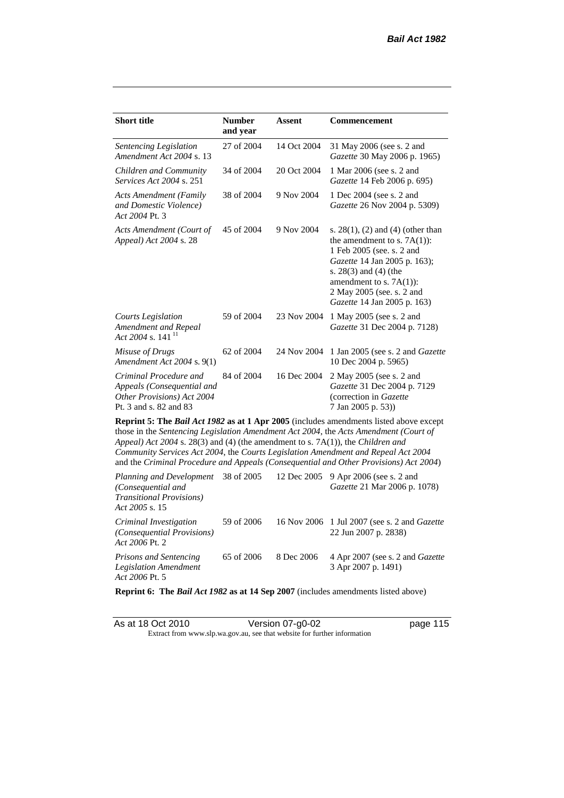| <b>Short title</b>                                                                                                                                                                                                                                                                                                                                                                                                                                     | <b>Number</b><br>and year | <b>Assent</b> | <b>Commencement</b>                                                                                                                                                                                                                                      |  |  |
|--------------------------------------------------------------------------------------------------------------------------------------------------------------------------------------------------------------------------------------------------------------------------------------------------------------------------------------------------------------------------------------------------------------------------------------------------------|---------------------------|---------------|----------------------------------------------------------------------------------------------------------------------------------------------------------------------------------------------------------------------------------------------------------|--|--|
| Sentencing Legislation<br>Amendment Act 2004 s. 13                                                                                                                                                                                                                                                                                                                                                                                                     | 27 of 2004                | 14 Oct 2004   | 31 May 2006 (see s. 2 and<br>Gazette 30 May 2006 p. 1965)                                                                                                                                                                                                |  |  |
| Children and Community<br>Services Act 2004 s. 251                                                                                                                                                                                                                                                                                                                                                                                                     | 34 of 2004                | 20 Oct 2004   | 1 Mar 2006 (see s. 2 and<br>Gazette 14 Feb 2006 p. 695)                                                                                                                                                                                                  |  |  |
| <b>Acts Amendment (Family</b><br>and Domestic Violence)<br>Act 2004 Pt. 3                                                                                                                                                                                                                                                                                                                                                                              | 38 of 2004                | 9 Nov 2004    | 1 Dec 2004 (see s. 2 and<br>Gazette 26 Nov 2004 p. 5309)                                                                                                                                                                                                 |  |  |
| Acts Amendment (Court of<br>Appeal) Act 2004 s. 28                                                                                                                                                                                                                                                                                                                                                                                                     | 45 of 2004                | 9 Nov 2004    | s. $28(1)$ , (2) and (4) (other than<br>the amendment to s. $7A(1)$ :<br>1 Feb 2005 (see. s. 2 and<br>Gazette 14 Jan 2005 p. 163);<br>s. $28(3)$ and $(4)$ (the<br>amendment to s. $7A(1)$ :<br>2 May 2005 (see. s. 2 and<br>Gazette 14 Jan 2005 p. 163) |  |  |
| <b>Courts Legislation</b><br>Amendment and Repeal<br>Act 2004 s. 141 $^{11}$                                                                                                                                                                                                                                                                                                                                                                           | 59 of 2004                | 23 Nov 2004   | 1 May 2005 (see s. 2 and<br>Gazette 31 Dec 2004 p. 7128)                                                                                                                                                                                                 |  |  |
| Misuse of Drugs<br>Amendment Act 2004 s. 9(1)                                                                                                                                                                                                                                                                                                                                                                                                          | 62 of 2004                | 24 Nov 2004   | 1 Jan 2005 (see s. 2 and <i>Gazette</i><br>10 Dec 2004 p. 5965)                                                                                                                                                                                          |  |  |
| Criminal Procedure and<br>Appeals (Consequential and<br>Other Provisions) Act 2004<br>Pt. 3 and s. 82 and 83                                                                                                                                                                                                                                                                                                                                           | 84 of 2004                | 16 Dec 2004   | 2 May 2005 (see s. 2 and<br>Gazette 31 Dec 2004 p. 7129<br>(correction in Gazette<br>7 Jan 2005 p. 53))                                                                                                                                                  |  |  |
| <b>Reprint 5: The Bail Act 1982 as at 1 Apr 2005</b> (includes amendments listed above except<br>those in the Sentencing Legislation Amendment Act 2004, the Acts Amendment (Court of<br>Appeal) Act 2004 s. 28(3) and (4) (the amendment to s. 7A(1)), the Children and<br>Community Services Act 2004, the Courts Legislation Amendment and Repeal Act 2004<br>and the Criminal Procedure and Appeals (Consequential and Other Provisions) Act 2004) |                           |               |                                                                                                                                                                                                                                                          |  |  |

| <i>Planning and Development</i> 38 of 2005 12 Dec 2005 9 Apr 2006 (see s. 2 and<br>(Consequential and<br><b>Transitional Provisions</b> )<br>Act 2005 s. 15 |            |            | <i>Gazette</i> 21 Mar 2006 p. 1078)                                         |
|-------------------------------------------------------------------------------------------------------------------------------------------------------------|------------|------------|-----------------------------------------------------------------------------|
| Criminal Investigation<br>(Consequential Provisions)<br>Act 2006 Pt. 2                                                                                      | 59 of 2006 |            | 16 Nov 2006 1 Jul 2007 (see s. 2 and <i>Gazette</i><br>22 Jun 2007 p. 2838) |
| <b>Prisons and Sentencing</b><br>Legislation Amendment<br>Act 2006 Pt. 5                                                                                    | 65 of 2006 | 8 Dec 2006 | 4 Apr 2007 (see s. 2 and <i>Gazette</i><br>3 Apr 2007 p. 1491)              |

**Reprint 6: The** *Bail Act 1982* **as at 14 Sep 2007** (includes amendments listed above)

| As at 18 Oct 2010 | Version 07-g0-02                                                         | page 115 |
|-------------------|--------------------------------------------------------------------------|----------|
|                   | Extract from www.slp.wa.gov.au, see that website for further information |          |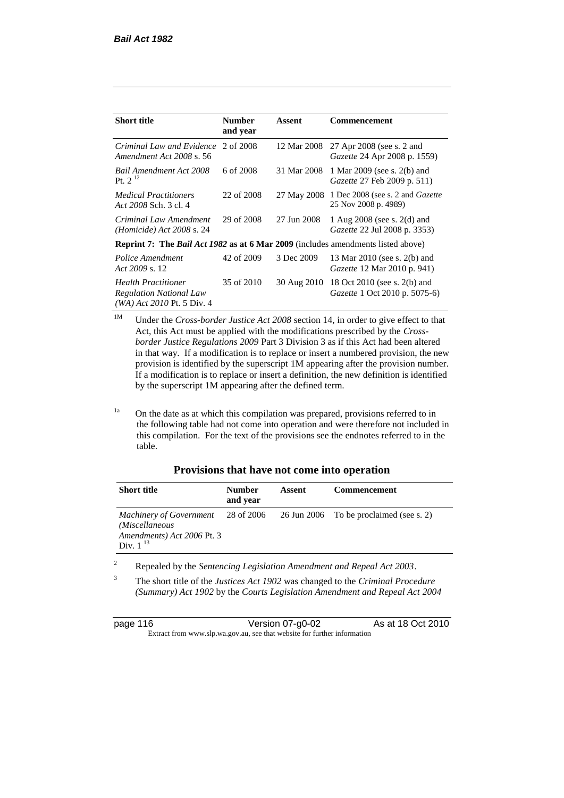| <b>Short title</b>                                                                           | <b>Number</b><br>and year | Assent      | Commencement                                                         |  |
|----------------------------------------------------------------------------------------------|---------------------------|-------------|----------------------------------------------------------------------|--|
| Criminal Law and Evidence<br>Amendment Act 2008 s. 56                                        | 2 of 2008                 | 12 Mar 2008 | 27 Apr 2008 (see s. 2 and<br><i>Gazette</i> 24 Apr 2008 p. 1559)     |  |
| Bail Amendment Act 2008<br>Pt. $2^{12}$                                                      | 6 of 2008                 | 31 Mar 2008 | 1 Mar 2009 (see s. 2(b) and<br>Gazette 27 Feb 2009 p. 511)           |  |
| <b>Medical Practitioners</b><br>Act 2008 Sch. 3 cl. 4                                        | 22 of 2008                |             | 27 May 2008 1 Dec 2008 (see s. 2 and Gazette<br>25 Nov 2008 p. 4989) |  |
| Criminal Law Amendment<br>$(Homicide)$ Act 2008 s. 24                                        | 29 of 2008                | 27 Jun 2008 | 1 Aug $2008$ (see s. $2(d)$ and<br>Gazette 22 Jul 2008 p. 3353)      |  |
| <b>Reprint 7: The Bail Act 1982 as at 6 Mar 2009</b> (includes amendments listed above)      |                           |             |                                                                      |  |
| Police Amendment<br>Act $2009$ s. 12                                                         | 42 of 2009                | 3 Dec 2009  | 13 Mar 2010 (see s. 2(b) and<br><i>Gazette</i> 12 Mar 2010 p. 941)   |  |
| <b>Health Practitioner</b><br><b>Regulation National Law</b><br>$(WA)$ Act 2010 Pt. 5 Div. 4 | 35 of 2010                | 30 Aug 2010 | 18 Oct 2010 (see s. 2(b) and<br>Gazette 1 Oct 2010 p. 5075-6)        |  |

- <sup>1M</sup> Under the *Cross-border Justice Act 2008* section 14, in order to give effect to that Act, this Act must be applied with the modifications prescribed by the *Crossborder Justice Regulations 2009* Part 3 Division 3 as if this Act had been altered in that way. If a modification is to replace or insert a numbered provision, the new provision is identified by the superscript 1M appearing after the provision number. If a modification is to replace or insert a definition, the new definition is identified by the superscript 1M appearing after the defined term.
- <sup>1a</sup> On the date as at which this compilation was prepared, provisions referred to in the following table had not come into operation and were therefore not included in this compilation. For the text of the provisions see the endnotes referred to in the table.

| Provisions that have not come into operation |  |
|----------------------------------------------|--|
|----------------------------------------------|--|

| <b>Short title</b>                                                                              | <b>Number</b><br>and year | Assent | <b>Commencement</b>                     |
|-------------------------------------------------------------------------------------------------|---------------------------|--------|-----------------------------------------|
| <b>Machinery of Government</b><br>(Miscellaneous<br>Amendments) Act 2006 Pt. 3<br>Div. $1^{13}$ | 28 of 2006                |        | 26 Jun 2006 To be proclaimed (see s. 2) |

<sup>2</sup> Repealed by the *Sentencing Legislation Amendment and Repeal Act 2003*.

<sup>3</sup> The short title of the *Justices Act 1902* was changed to the *Criminal Procedure (Summary) Act 1902* by the *Courts Legislation Amendment and Repeal Act 2004* 

page 116 Version 07-g0-02 As at 18 Oct 2010 Extract from www.slp.wa.gov.au, see that website for further information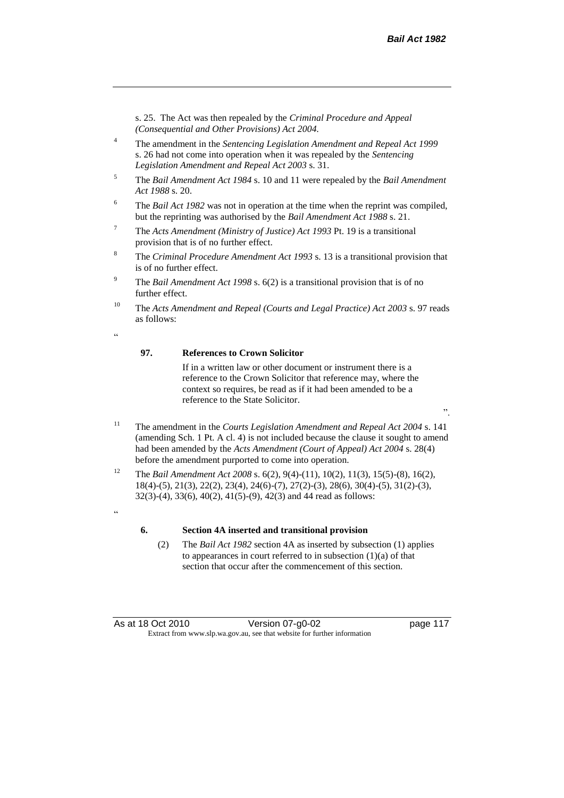s. 25. The Act was then repealed by the *Criminal Procedure and Appeal (Consequential and Other Provisions) Act 2004.*

- <sup>4</sup> The amendment in the *Sentencing Legislation Amendment and Repeal Act 1999* s. 26 had not come into operation when it was repealed by the *Sentencing Legislation Amendment and Repeal Act 2003* s. 31.
- <sup>5</sup> The *Bail Amendment Act 1984* s. 10 and 11 were repealed by the *Bail Amendment Act 1988* s. 20.
- <sup>6</sup> The *Bail Act 1982* was not in operation at the time when the reprint was compiled, but the reprinting was authorised by the *Bail Amendment Act 1988* s. 21.
- <sup>7</sup> The *Acts Amendment (Ministry of Justice) Act 1993* Pt. 19 is a transitional provision that is of no further effect.
- <sup>8</sup> The *Criminal Procedure Amendment Act 1993* s. 13 is a transitional provision that is of no further effect.
- <sup>9</sup> The *Bail Amendment Act 1998* s. 6(2) is a transitional provision that is of no further effect.
- <sup>10</sup> The *Acts Amendment and Repeal (Courts and Legal Practice) Act 2003* s. 97 reads as follows:
- <u>،</u>

### **97. References to Crown Solicitor**

If in a written law or other document or instrument there is a reference to the Crown Solicitor that reference may, where the context so requires, be read as if it had been amended to be a reference to the State Solicitor.

- <sup>11</sup> The amendment in the *Courts Legislation Amendment and Repeal Act 2004* s. 141 (amending Sch. 1 Pt. A cl. 4) is not included because the clause it sought to amend had been amended by the *Acts Amendment (Court of Appeal) Act 2004* s. 28(4) before the amendment purported to come into operation.
- <sup>12</sup> The *Bail Amendment Act 2008* s. 6(2), 9(4)-(11), 10(2), 11(3), 15(5)-(8), 16(2), 18(4)-(5), 21(3), 22(2), 23(4), 24(6)-(7), 27(2)-(3), 28(6), 30(4)-(5), 31(2)-(3), 32(3)-(4), 33(6), 40(2), 41(5)-(9), 42(3) and 44 read as follows:
- .<br>44

#### **6. Section 4A inserted and transitional provision**

(2) The *Bail Act 1982* section 4A as inserted by subsection (1) applies to appearances in court referred to in subsection  $(1)(a)$  of that section that occur after the commencement of this section.

".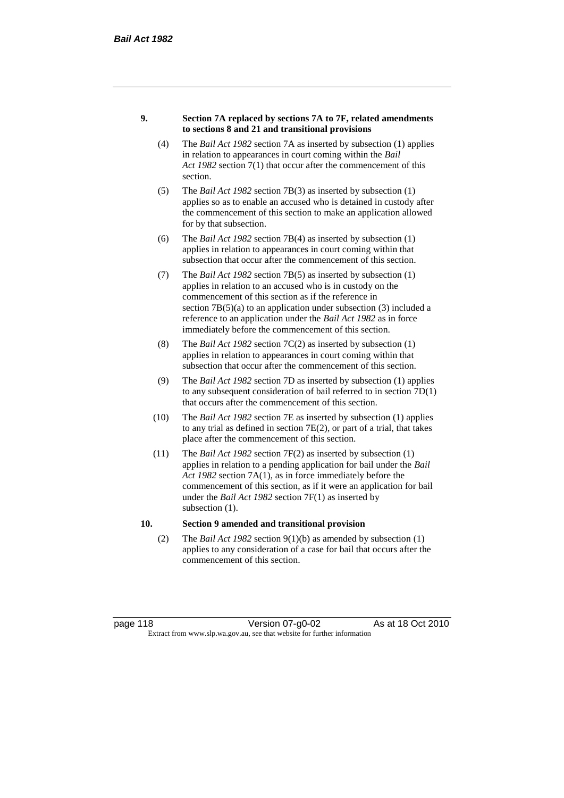#### **9. Section 7A replaced by sections 7A to 7F, related amendments to sections 8 and 21 and transitional provisions**

- (4) The *Bail Act 1982* section 7A as inserted by subsection (1) applies in relation to appearances in court coming within the *Bail Act 1982* section 7(1) that occur after the commencement of this section.
- (5) The *Bail Act 1982* section 7B(3) as inserted by subsection (1) applies so as to enable an accused who is detained in custody after the commencement of this section to make an application allowed for by that subsection.
- (6) The *Bail Act 1982* section 7B(4) as inserted by subsection (1) applies in relation to appearances in court coming within that subsection that occur after the commencement of this section.
- (7) The *Bail Act 1982* section 7B(5) as inserted by subsection (1) applies in relation to an accused who is in custody on the commencement of this section as if the reference in section  $7B(5)(a)$  to an application under subsection (3) included a reference to an application under the *Bail Act 1982* as in force immediately before the commencement of this section.
- (8) The *Bail Act 1982* section 7C(2) as inserted by subsection (1) applies in relation to appearances in court coming within that subsection that occur after the commencement of this section.
- (9) The *Bail Act 1982* section 7D as inserted by subsection (1) applies to any subsequent consideration of bail referred to in section 7D(1) that occurs after the commencement of this section.
- (10) The *Bail Act 1982* section 7E as inserted by subsection (1) applies to any trial as defined in section 7E(2), or part of a trial, that takes place after the commencement of this section.
- (11) The *Bail Act 1982* section 7F(2) as inserted by subsection (1) applies in relation to a pending application for bail under the *Bail Act 1982* section 7A(1), as in force immediately before the commencement of this section, as if it were an application for bail under the *Bail Act 1982* section 7F(1) as inserted by subsection  $(1)$ .

#### **10. Section 9 amended and transitional provision**

(2) The *Bail Act 1982* section 9(1)(b) as amended by subsection (1) applies to any consideration of a case for bail that occurs after the commencement of this section.

page 118 Version 07-g0-02 As at 18 Oct 2010 Extract from www.slp.wa.gov.au, see that website for further information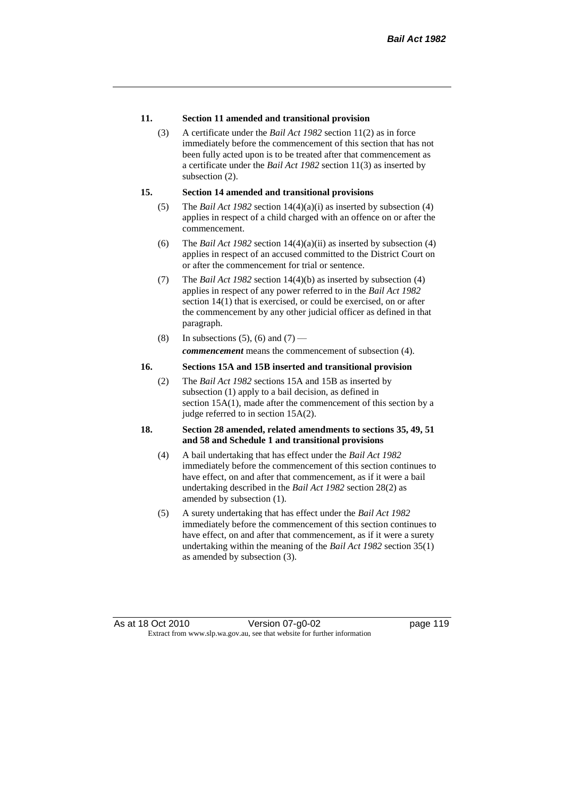#### **11. Section 11 amended and transitional provision**

(3) A certificate under the *Bail Act 1982* section 11(2) as in force immediately before the commencement of this section that has not been fully acted upon is to be treated after that commencement as a certificate under the *Bail Act 1982* section 11(3) as inserted by subsection  $(2)$ .

#### **15. Section 14 amended and transitional provisions**

- (5) The *Bail Act 1982* section 14(4)(a)(i) as inserted by subsection (4) applies in respect of a child charged with an offence on or after the commencement.
- (6) The *Bail Act 1982* section 14(4)(a)(ii) as inserted by subsection (4) applies in respect of an accused committed to the District Court on or after the commencement for trial or sentence.
- (7) The *Bail Act 1982* section 14(4)(b) as inserted by subsection (4) applies in respect of any power referred to in the *Bail Act 1982* section 14(1) that is exercised, or could be exercised, on or after the commencement by any other judicial officer as defined in that paragraph.
- (8) In subsections (5), (6) and (7) *commencement* means the commencement of subsection (4).

#### **16. Sections 15A and 15B inserted and transitional provision**

(2) The *Bail Act 1982* sections 15A and 15B as inserted by subsection (1) apply to a bail decision, as defined in section 15A(1), made after the commencement of this section by a judge referred to in section 15A(2).

#### **18. Section 28 amended, related amendments to sections 35, 49, 51 and 58 and Schedule 1 and transitional provisions**

- (4) A bail undertaking that has effect under the *Bail Act 1982* immediately before the commencement of this section continues to have effect, on and after that commencement, as if it were a bail undertaking described in the *Bail Act 1982* section 28(2) as amended by subsection (1).
- (5) A surety undertaking that has effect under the *Bail Act 1982* immediately before the commencement of this section continues to have effect, on and after that commencement, as if it were a surety undertaking within the meaning of the *Bail Act 1982* section 35(1) as amended by subsection (3).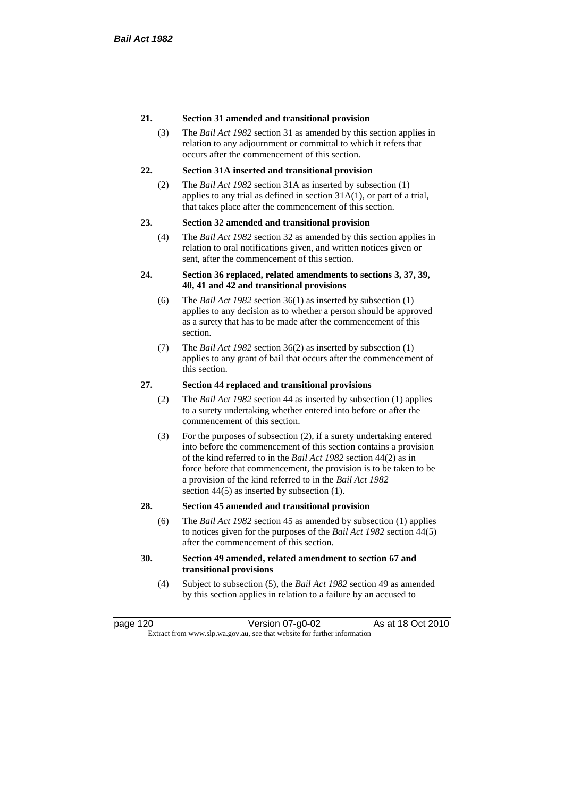#### **21. Section 31 amended and transitional provision**

(3) The *Bail Act 1982* section 31 as amended by this section applies in relation to any adjournment or committal to which it refers that occurs after the commencement of this section.

#### **22. Section 31A inserted and transitional provision**

(2) The *Bail Act 1982* section 31A as inserted by subsection (1) applies to any trial as defined in section 31A(1), or part of a trial, that takes place after the commencement of this section.

#### **23. Section 32 amended and transitional provision**

(4) The *Bail Act 1982* section 32 as amended by this section applies in relation to oral notifications given, and written notices given or sent, after the commencement of this section.

#### **24. Section 36 replaced, related amendments to sections 3, 37, 39, 40, 41 and 42 and transitional provisions**

- (6) The *Bail Act 1982* section 36(1) as inserted by subsection (1) applies to any decision as to whether a person should be approved as a surety that has to be made after the commencement of this section.
- (7) The *Bail Act 1982* section 36(2) as inserted by subsection (1) applies to any grant of bail that occurs after the commencement of this section.

#### **27. Section 44 replaced and transitional provisions**

- (2) The *Bail Act 1982* section 44 as inserted by subsection (1) applies to a surety undertaking whether entered into before or after the commencement of this section.
- (3) For the purposes of subsection (2), if a surety undertaking entered into before the commencement of this section contains a provision of the kind referred to in the *Bail Act 1982* section 44(2) as in force before that commencement, the provision is to be taken to be a provision of the kind referred to in the *Bail Act 1982*  section 44(5) as inserted by subsection (1).

#### **28. Section 45 amended and transitional provision**

(6) The *Bail Act 1982* section 45 as amended by subsection (1) applies to notices given for the purposes of the *Bail Act 1982* section 44(5) after the commencement of this section.

#### **30. Section 49 amended, related amendment to section 67 and transitional provisions**

(4) Subject to subsection (5), the *Bail Act 1982* section 49 as amended by this section applies in relation to a failure by an accused to

page 120 Version 07-g0-02 As at 18 Oct 2010 Extract from www.slp.wa.gov.au, see that website for further information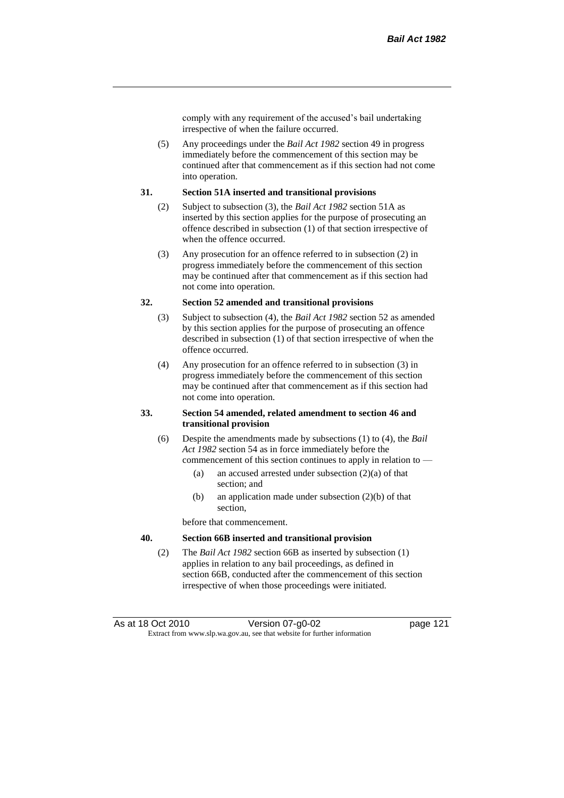comply with any requirement of the accused's bail undertaking irrespective of when the failure occurred.

(5) Any proceedings under the *Bail Act 1982* section 49 in progress immediately before the commencement of this section may be continued after that commencement as if this section had not come into operation.

#### **31. Section 51A inserted and transitional provisions**

- (2) Subject to subsection (3), the *Bail Act 1982* section 51A as inserted by this section applies for the purpose of prosecuting an offence described in subsection (1) of that section irrespective of when the offence occurred.
- (3) Any prosecution for an offence referred to in subsection (2) in progress immediately before the commencement of this section may be continued after that commencement as if this section had not come into operation.

#### **32. Section 52 amended and transitional provisions**

- (3) Subject to subsection (4), the *Bail Act 1982* section 52 as amended by this section applies for the purpose of prosecuting an offence described in subsection (1) of that section irrespective of when the offence occurred.
- (4) Any prosecution for an offence referred to in subsection (3) in progress immediately before the commencement of this section may be continued after that commencement as if this section had not come into operation.

#### **33. Section 54 amended, related amendment to section 46 and transitional provision**

- (6) Despite the amendments made by subsections (1) to (4), the *Bail Act 1982* section 54 as in force immediately before the commencement of this section continues to apply in relation to —
	- (a) an accused arrested under subsection  $(2)(a)$  of that section; and
	- (b) an application made under subsection (2)(b) of that section,

before that commencement.

#### **40. Section 66B inserted and transitional provision**

(2) The *Bail Act 1982* section 66B as inserted by subsection (1) applies in relation to any bail proceedings, as defined in section 66B, conducted after the commencement of this section irrespective of when those proceedings were initiated.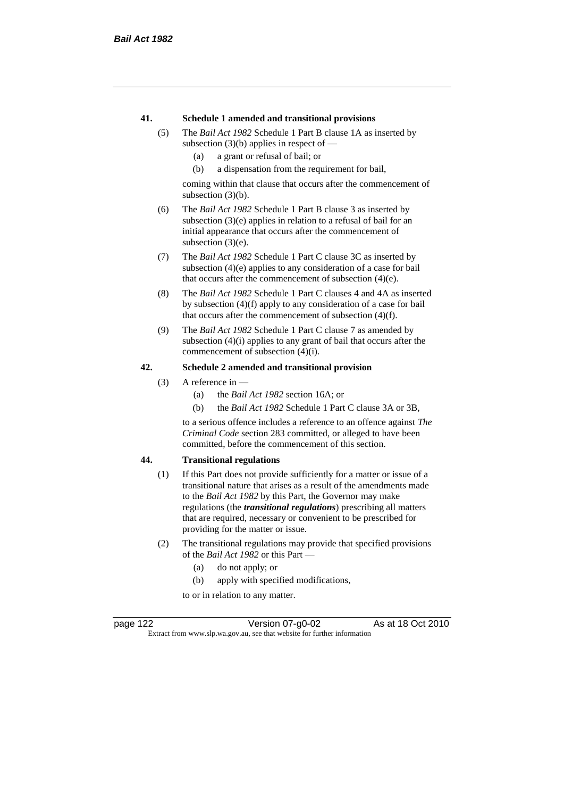#### **41. Schedule 1 amended and transitional provisions**

- (5) The *Bail Act 1982* Schedule 1 Part B clause 1A as inserted by subsection  $(3)(b)$  applies in respect of —
	- (a) a grant or refusal of bail; or
	- (b) a dispensation from the requirement for bail,

coming within that clause that occurs after the commencement of subsection (3)(b).

- (6) The *Bail Act 1982* Schedule 1 Part B clause 3 as inserted by subsection (3)(e) applies in relation to a refusal of bail for an initial appearance that occurs after the commencement of subsection  $(3)(e)$ .
- (7) The *Bail Act 1982* Schedule 1 Part C clause 3C as inserted by subsection (4)(e) applies to any consideration of a case for bail that occurs after the commencement of subsection (4)(e).
- (8) The *Bail Act 1982* Schedule 1 Part C clauses 4 and 4A as inserted by subsection (4)(f) apply to any consideration of a case for bail that occurs after the commencement of subsection (4)(f).
- (9) The *Bail Act 1982* Schedule 1 Part C clause 7 as amended by subsection (4)(i) applies to any grant of bail that occurs after the commencement of subsection (4)(i).

#### **42. Schedule 2 amended and transitional provision**

- (3) A reference in
	- (a) the *Bail Act 1982* section 16A; or
	- (b) the *Bail Act 1982* Schedule 1 Part C clause 3A or 3B,

to a serious offence includes a reference to an offence against *The Criminal Code* section 283 committed, or alleged to have been committed, before the commencement of this section.

#### **44. Transitional regulations**

- (1) If this Part does not provide sufficiently for a matter or issue of a transitional nature that arises as a result of the amendments made to the *Bail Act 1982* by this Part, the Governor may make regulations (the *transitional regulations*) prescribing all matters that are required, necessary or convenient to be prescribed for providing for the matter or issue.
- (2) The transitional regulations may provide that specified provisions of the *Bail Act 1982* or this Part —
	- (a) do not apply; or
	- (b) apply with specified modifications,

to or in relation to any matter.

page 122 Version 07-g0-02 As at 18 Oct 2010 Extract from www.slp.wa.gov.au, see that website for further information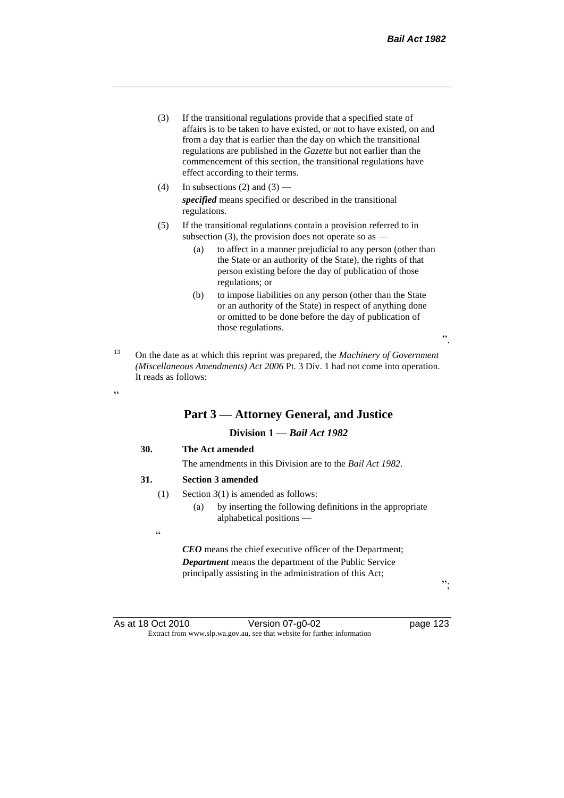- (3) If the transitional regulations provide that a specified state of affairs is to be taken to have existed, or not to have existed, on and from a day that is earlier than the day on which the transitional regulations are published in the *Gazette* but not earlier than the commencement of this section, the transitional regulations have effect according to their terms.
- (4) In subsections (2) and (3) *specified* means specified or described in the transitional regulations.
- (5) If the transitional regulations contain a provision referred to in subsection (3), the provision does not operate so as —
	- (a) to affect in a manner prejudicial to any person (other than the State or an authority of the State), the rights of that person existing before the day of publication of those regulations; or
	- (b) to impose liabilities on any person (other than the State or an authority of the State) in respect of anything done or omitted to be done before the day of publication of those regulations.
- <sup>13</sup> On the date as at which this reprint was prepared, the *Machinery of Government (Miscellaneous Amendments) Act 2006* Pt. 3 Div. 1 had not come into operation. It reads as follows:

# **Part 3 — Attorney General, and Justice**

### **Division 1 —** *Bail Act 1982*

#### **30. The Act amended**

The amendments in this Division are to the *Bail Act 1982*.

#### **31. Section 3 amended**

- (1) Section 3(1) is amended as follows:
	- (a) by inserting the following definitions in the appropriate alphabetical positions —
- .<br>C

<u>، د</u>

*CEO* means the chief executive officer of the Department; *Department* means the department of the Public Service principally assisting in the administration of this Act;

";

".

As at 18 Oct 2010 Version 07-g0-02 page 123 Extract from www.slp.wa.gov.au, see that website for further information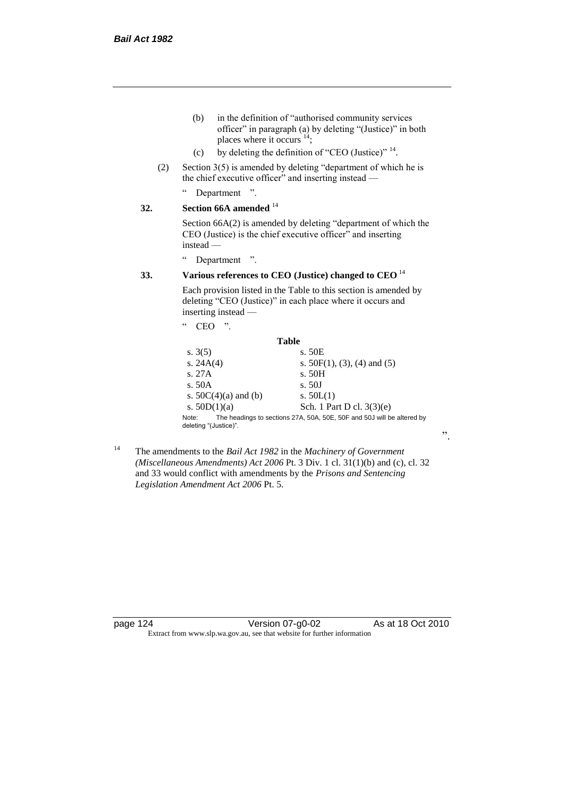- (b) in the definition of "authorised community services officer" in paragraph (a) by deleting "(Justice)" in both places where it occurs <sup>14</sup>;
- (c) by deleting the definition of "CEO (Justice)"  $14$ .
- (2) Section 3(5) is amended by deleting "department of which he is the chief executive officer" and inserting instead —
	- " Department ".

# **32. Section 66A amended** <sup>14</sup>

Section 66A(2) is amended by deleting "department of which the CEO (Justice) is the chief executive officer" and inserting instead —

" Department ".

# **33. Various references to CEO (Justice) changed to CEO** <sup>14</sup>

Each provision listed in the Table to this section is amended by deleting "CEO (Justice)" in each place where it occurs and inserting instead —

| cc<br>,,                       |                                                                        |
|--------------------------------|------------------------------------------------------------------------|
| Table                          |                                                                        |
| s. $3(5)$                      | s. 50E                                                                 |
| s. $24A(4)$                    | s. $50F(1)$ , (3), (4) and (5)                                         |
| s. 27A                         | s. 50H                                                                 |
| s.50A                          | s. 50J                                                                 |
| s. $50C(4)(a)$ and (b)         | s. $50L(1)$                                                            |
| s. $50D(1)(a)$                 | Sch. 1 Part D cl. $3(3)(e)$                                            |
| Note:<br>deleting "(Justice)". | The headings to sections 27A, 50A, 50E, 50F and 50J will be altered by |

<sup>14</sup> The amendments to the *Bail Act 1982* in the *Machinery of Government (Miscellaneous Amendments) Act 2006* Pt. 3 Div. 1 cl. 31(1)(b) and (c), cl. 32 and 33 would conflict with amendments by the *Prisons and Sentencing Legislation Amendment Act 2006* Pt. 5.

page 124 Version 07-g0-02 As at 18 Oct 2010 Extract from www.slp.wa.gov.au, see that website for further information

".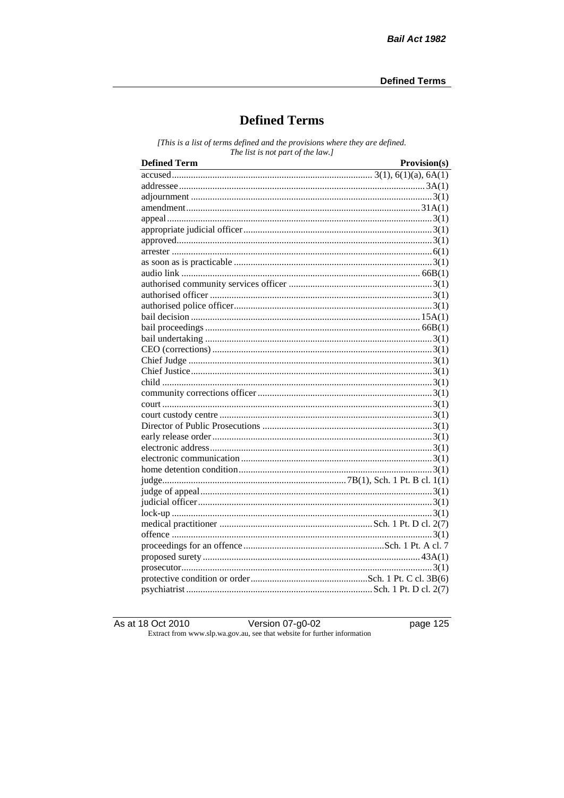# **Defined Terms**

[This is a list of terms defined and the provisions where they are defined. The list is not part of the law.]

| <b>Defined Term</b><br><u> 1989 - Johann Barn, mars eta bat erroman erroman erroman erroman erroman erroman erroman erroman erroman err</u> | Provision(s) |
|---------------------------------------------------------------------------------------------------------------------------------------------|--------------|
|                                                                                                                                             |              |
|                                                                                                                                             |              |
|                                                                                                                                             |              |
|                                                                                                                                             |              |
|                                                                                                                                             |              |
|                                                                                                                                             |              |
|                                                                                                                                             |              |
|                                                                                                                                             |              |
|                                                                                                                                             |              |
|                                                                                                                                             |              |
|                                                                                                                                             |              |
|                                                                                                                                             |              |
|                                                                                                                                             |              |
|                                                                                                                                             |              |
|                                                                                                                                             |              |
|                                                                                                                                             |              |
|                                                                                                                                             |              |
|                                                                                                                                             |              |
|                                                                                                                                             |              |
|                                                                                                                                             |              |
|                                                                                                                                             |              |
|                                                                                                                                             |              |
|                                                                                                                                             |              |
|                                                                                                                                             |              |
|                                                                                                                                             |              |
|                                                                                                                                             |              |
|                                                                                                                                             |              |
|                                                                                                                                             |              |
|                                                                                                                                             |              |
|                                                                                                                                             |              |
|                                                                                                                                             |              |
|                                                                                                                                             |              |
|                                                                                                                                             |              |
|                                                                                                                                             |              |
|                                                                                                                                             |              |
|                                                                                                                                             |              |
|                                                                                                                                             |              |
|                                                                                                                                             |              |
|                                                                                                                                             |              |

As at 18 Oct 2010

page  $125$ 

3 Oct 2010<br>Extract from www.slp.wa.gov.au, see that website for further information